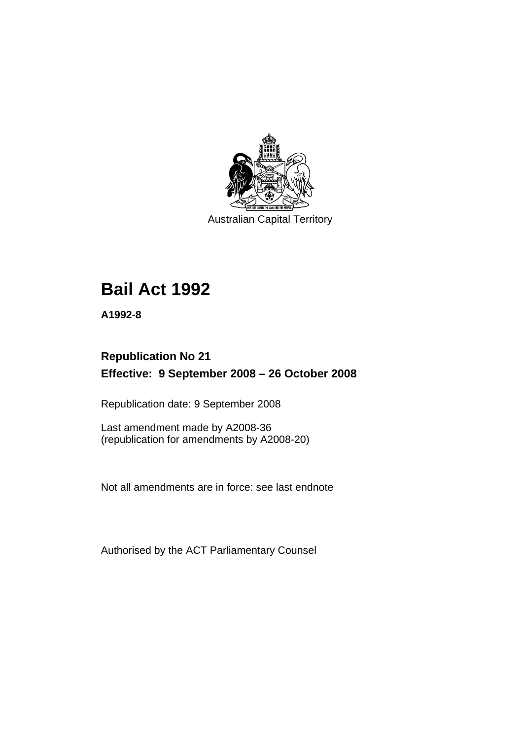

Australian Capital Territory

# **[Bail Act 1992](#page-6-0)**

**A1992-8** 

# **Republication No 21 Effective: 9 September 2008 – 26 October 2008**

Republication date: 9 September 2008

Last amendment made by A2008-36 (republication for amendments by A2008-20)

Not all amendments are in force: see last endnote

Authorised by the ACT Parliamentary Counsel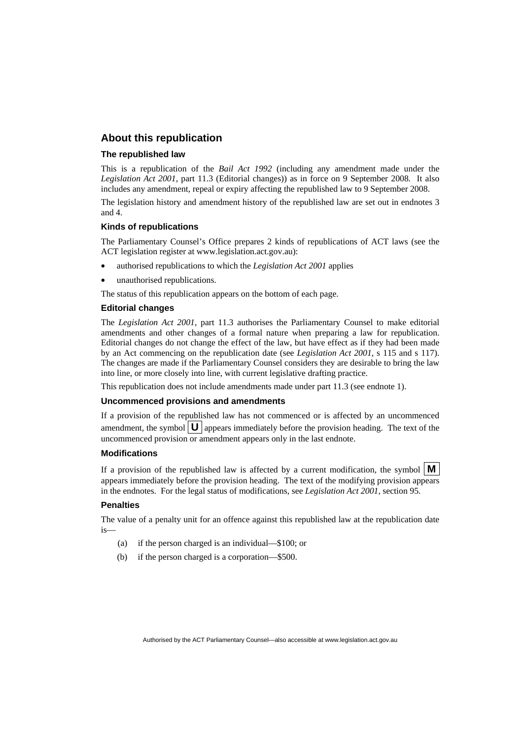#### **About this republication**

#### **The republished law**

This is a republication of the *Bail Act 1992* (including any amendment made under the *Legislation Act 2001*, part 11.3 (Editorial changes)) as in force on 9 September 2008*.* It also includes any amendment, repeal or expiry affecting the republished law to 9 September 2008.

The legislation history and amendment history of the republished law are set out in endnotes 3 and 4.

#### **Kinds of republications**

The Parliamentary Counsel's Office prepares 2 kinds of republications of ACT laws (see the ACT legislation register at www.legislation.act.gov.au):

- authorised republications to which the *Legislation Act 2001* applies
- unauthorised republications.

The status of this republication appears on the bottom of each page.

#### **Editorial changes**

The *Legislation Act 2001*, part 11.3 authorises the Parliamentary Counsel to make editorial amendments and other changes of a formal nature when preparing a law for republication. Editorial changes do not change the effect of the law, but have effect as if they had been made by an Act commencing on the republication date (see *Legislation Act 2001*, s 115 and s 117). The changes are made if the Parliamentary Counsel considers they are desirable to bring the law into line, or more closely into line, with current legislative drafting practice.

This republication does not include amendments made under part 11.3 (see endnote 1).

#### **Uncommenced provisions and amendments**

If a provision of the republished law has not commenced or is affected by an uncommenced amendment, the symbol  $\mathbf{U}$  appears immediately before the provision heading. The text of the uncommenced provision or amendment appears only in the last endnote.

#### **Modifications**

If a provision of the republished law is affected by a current modification, the symbol  $\mathbf{M}$ appears immediately before the provision heading. The text of the modifying provision appears in the endnotes. For the legal status of modifications, see *Legislation Act 2001*, section 95.

#### **Penalties**

The value of a penalty unit for an offence against this republished law at the republication date is—

- (a) if the person charged is an individual—\$100; or
- (b) if the person charged is a corporation—\$500.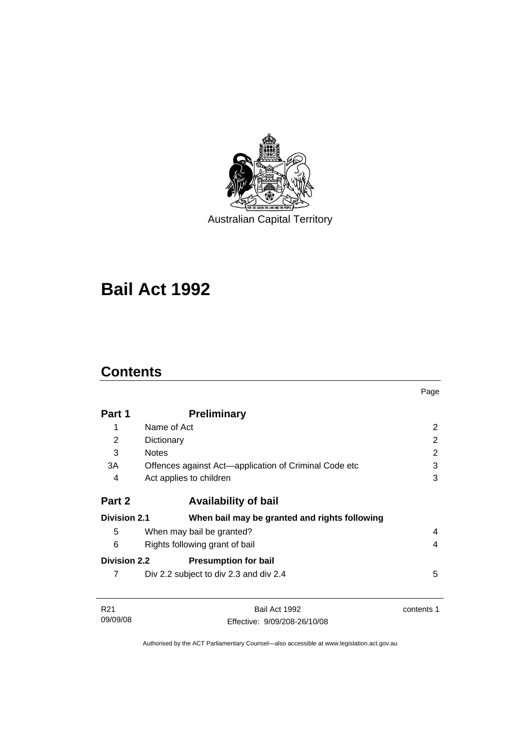

Australian Capital Territory

# **[Bail Act 1992](#page-6-0)**

# **Contents**

09/09/08

|                     |                                                       | Page           |
|---------------------|-------------------------------------------------------|----------------|
| Part 1              | <b>Preliminary</b>                                    |                |
| 1                   | Name of Act                                           | 2              |
| 2                   | Dictionary                                            | $\overline{2}$ |
| 3                   | <b>Notes</b>                                          | 2              |
| 3A                  | Offences against Act-application of Criminal Code etc | 3              |
| 4                   | Act applies to children                               | 3              |
| Part 2              | <b>Availability of bail</b>                           |                |
| <b>Division 2.1</b> | When bail may be granted and rights following         |                |
| 5                   | When may bail be granted?                             | 4              |
| 6                   | Rights following grant of bail                        | 4              |
| <b>Division 2.2</b> | <b>Presumption for bail</b>                           |                |
| 7                   | Div 2.2 subject to div 2.3 and div 2.4                | 5              |
| R <sub>21</sub>     | Bail Act 1992                                         | contents 1     |

Authorised by the ACT Parliamentary Counsel—also accessible at www.legislation.act.gov.au

Effective: 9/09/208-26/10/08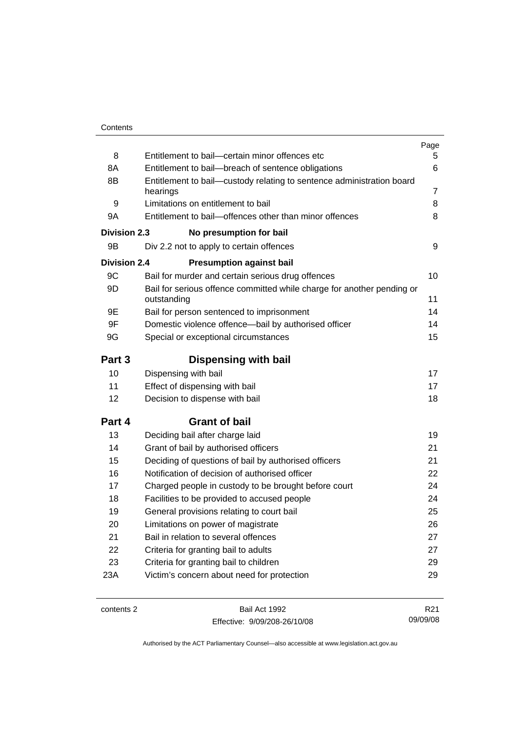|                     |                                                                                       | Page            |
|---------------------|---------------------------------------------------------------------------------------|-----------------|
| 8                   | Entitlement to bail-certain minor offences etc                                        | 5.              |
| 8A                  | Entitlement to bail-breach of sentence obligations                                    | 6               |
| 8B                  | Entitlement to bail—custody relating to sentence administration board                 |                 |
|                     | hearings                                                                              | 7               |
| 9                   | Limitations on entitlement to bail                                                    | 8               |
| 9Α                  | Entitlement to bail-offences other than minor offences                                | 8               |
| <b>Division 2.3</b> | No presumption for bail                                                               |                 |
| 9Β                  | Div 2.2 not to apply to certain offences                                              | 9               |
| <b>Division 2.4</b> | <b>Presumption against bail</b>                                                       |                 |
| 9C                  | Bail for murder and certain serious drug offences                                     | 10              |
| 9D                  | Bail for serious offence committed while charge for another pending or<br>outstanding | 11              |
| 9Ε                  | Bail for person sentenced to imprisonment                                             | 14              |
| 9F                  | Domestic violence offence-bail by authorised officer                                  | 14              |
| 9G                  | Special or exceptional circumstances                                                  | 15              |
| Part 3              | <b>Dispensing with bail</b>                                                           |                 |
| 10                  | Dispensing with bail                                                                  | 17              |
| 11                  | Effect of dispensing with bail                                                        | 17              |
| 12                  | Decision to dispense with bail                                                        | 18              |
| Part 4              | <b>Grant of bail</b>                                                                  |                 |
| 13                  | Deciding bail after charge laid                                                       | 19              |
| 14                  | Grant of bail by authorised officers                                                  | 21              |
| 15                  | Deciding of questions of bail by authorised officers                                  | 21              |
| 16                  | Notification of decision of authorised officer                                        | 22              |
| 17                  | Charged people in custody to be brought before court                                  | 24              |
| 18                  | Facilities to be provided to accused people                                           | 24              |
| 19                  | General provisions relating to court bail                                             | 25              |
| 20                  | Limitations on power of magistrate                                                    | 26              |
| 21                  | Bail in relation to several offences                                                  | 27              |
| 22                  | Criteria for granting bail to adults                                                  | 27              |
| 23                  | Criteria for granting bail to children                                                | 29              |
| 23A                 | Victim's concern about need for protection                                            | 29              |
|                     |                                                                                       |                 |
| contents 2          | Bail Act 1992                                                                         | R <sub>21</sub> |

Effective: 9/09/208-26/10/08

Authorised by the ACT Parliamentary Counsel—also accessible at www.legislation.act.gov.au

09/09/08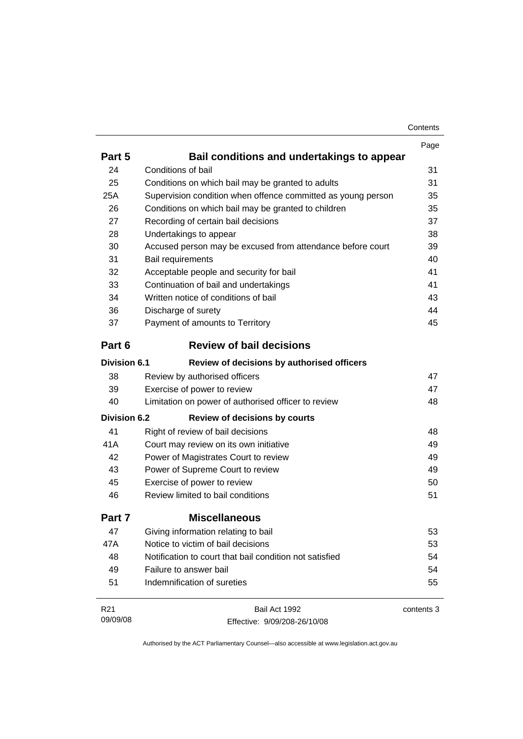| Contents |
|----------|
|----------|

|                     |                                                              | Page       |  |
|---------------------|--------------------------------------------------------------|------------|--|
| Part 5              | Bail conditions and undertakings to appear                   |            |  |
| 24                  | Conditions of bail                                           | 31         |  |
| 25                  | Conditions on which bail may be granted to adults            | 31         |  |
| 25A                 | Supervision condition when offence committed as young person | 35         |  |
| 26                  | Conditions on which bail may be granted to children          | 35         |  |
| 27                  | Recording of certain bail decisions                          | 37         |  |
| 28                  | Undertakings to appear                                       | 38         |  |
| 30                  | Accused person may be excused from attendance before court   | 39         |  |
| 31                  | Bail requirements                                            | 40         |  |
| 32                  | Acceptable people and security for bail                      | 41         |  |
| 33                  | Continuation of bail and undertakings                        | 41         |  |
| 34                  | Written notice of conditions of bail                         | 43         |  |
| 36                  | Discharge of surety                                          | 44         |  |
| 37                  | Payment of amounts to Territory                              | 45         |  |
| Part 6              | <b>Review of bail decisions</b>                              |            |  |
| <b>Division 6.1</b> | Review of decisions by authorised officers                   |            |  |
| 38                  | Review by authorised officers                                | 47         |  |
| 39                  | Exercise of power to review                                  | 47         |  |
| 40                  | Limitation on power of authorised officer to review          | 48         |  |
| <b>Division 6.2</b> | <b>Review of decisions by courts</b>                         |            |  |
| 41                  | Right of review of bail decisions                            | 48         |  |
| 41A                 | Court may review on its own initiative                       | 49         |  |
| 42                  | Power of Magistrates Court to review                         | 49         |  |
| 43                  | Power of Supreme Court to review                             | 49         |  |
| 45                  | Exercise of power to review                                  | 50         |  |
| 46                  | Review limited to bail conditions                            | 51         |  |
| Part 7              | <b>Miscellaneous</b>                                         |            |  |
| 47                  | Giving information relating to bail                          | 53         |  |
| 47A                 | Notice to victim of bail decisions                           | 53         |  |
| 48                  | Notification to court that bail condition not satisfied      | 54         |  |
| 49                  | Failure to answer bail                                       | 54         |  |
| 51                  | Indemnification of sureties                                  | 55         |  |
| R <sub>21</sub>     | Bail Act 1992                                                | contents 3 |  |
| 09/09/08            | Effective: 9/09/208-26/10/08                                 |            |  |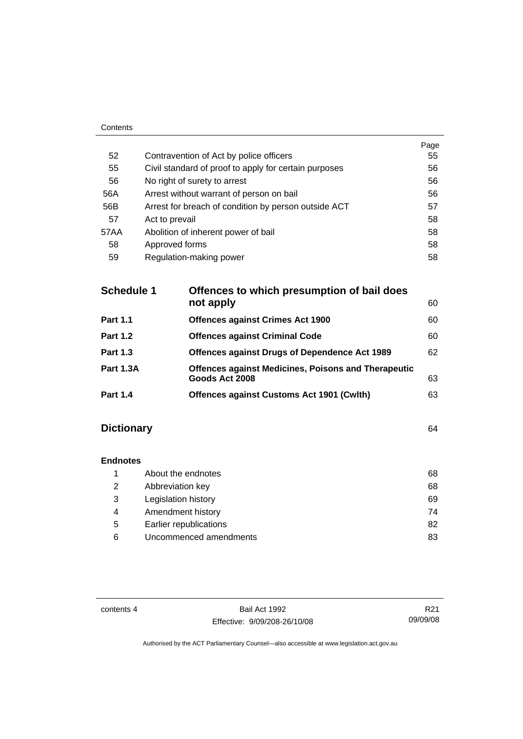| 52   | Contravention of Act by police officers               | Page<br>55 |
|------|-------------------------------------------------------|------------|
| 55   | Civil standard of proof to apply for certain purposes | 56         |
| 56   | No right of surety to arrest                          | 56         |
| 56A  | Arrest without warrant of person on bail              | 56         |
| 56B  | Arrest for breach of condition by person outside ACT  | 57         |
| 57   | Act to prevail                                        | 58         |
| 57AA | Abolition of inherent power of bail                   | 58         |
| 58   | Approved forms                                        | 58         |
| 59   | Regulation-making power                               | 58         |
|      |                                                       |            |

| <b>Schedule 1</b><br>Offences to which presumption of bail does |                                                                              |    |
|-----------------------------------------------------------------|------------------------------------------------------------------------------|----|
|                                                                 | not apply                                                                    | 60 |
| <b>Part 1.1</b>                                                 | <b>Offences against Crimes Act 1900</b>                                      | 60 |
| <b>Part 1.2</b>                                                 | <b>Offences against Criminal Code</b>                                        | 60 |
| <b>Part 1.3</b>                                                 | Offences against Drugs of Dependence Act 1989                                | 62 |
| <b>Part 1.3A</b>                                                | <b>Offences against Medicines, Poisons and Therapeutic</b><br>Goods Act 2008 | 63 |
| <b>Part 1.4</b>                                                 | Offences against Customs Act 1901 (Cwlth)                                    | 63 |

# **Dictionary** [64](#page-69-0)

Contents

# **Endnotes**

|   | About the endnotes     | 68 |
|---|------------------------|----|
| 2 | Abbreviation key       | 68 |
| 3 | Legislation history    | 69 |
| 4 | Amendment history      | 74 |
| 5 | Earlier republications | 82 |
| 6 | Uncommenced amendments | 83 |

contents 4 Bail Act 1992 Effective: 9/09/208-26/10/08

R21 09/09/08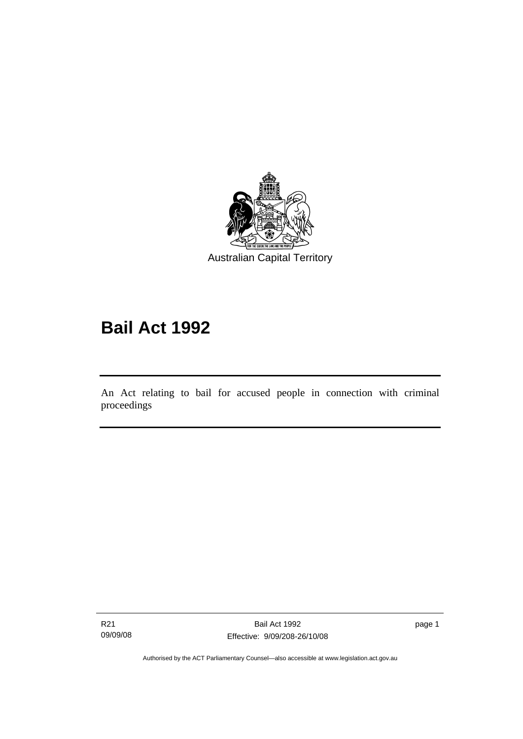<span id="page-6-0"></span>

# **Bail Act 1992**

An Act relating to bail for accused people in connection with criminal proceedings

R21 09/09/08

Ī

page 1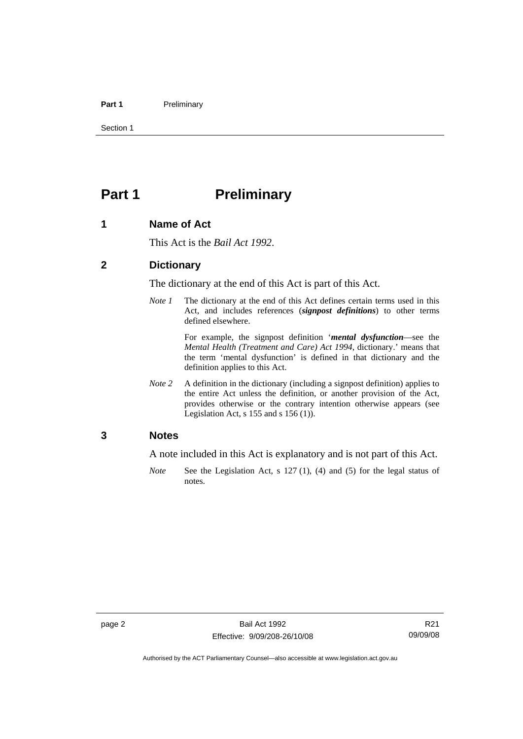#### <span id="page-7-0"></span>Part 1 **Preliminary**

Section 1

# **Part 1** Preliminary

#### **1 Name of Act**

This Act is the *Bail Act 1992*.

#### **2 Dictionary**

The dictionary at the end of this Act is part of this Act.

*Note 1* The dictionary at the end of this Act defines certain terms used in this Act, and includes references (*signpost definitions*) to other terms defined elsewhere.

> For example, the signpost definition '*mental dysfunction*—see the *Mental Health (Treatment and Care) Act 1994*, dictionary.' means that the term 'mental dysfunction' is defined in that dictionary and the definition applies to this Act.

*Note* 2 A definition in the dictionary (including a signpost definition) applies to the entire Act unless the definition, or another provision of the Act, provides otherwise or the contrary intention otherwise appears (see Legislation Act, s  $155$  and s  $156$  (1)).

#### **3 Notes**

A note included in this Act is explanatory and is not part of this Act.

*Note* See the Legislation Act, s 127 (1), (4) and (5) for the legal status of notes.

R21 09/09/08

Authorised by the ACT Parliamentary Counsel—also accessible at www.legislation.act.gov.au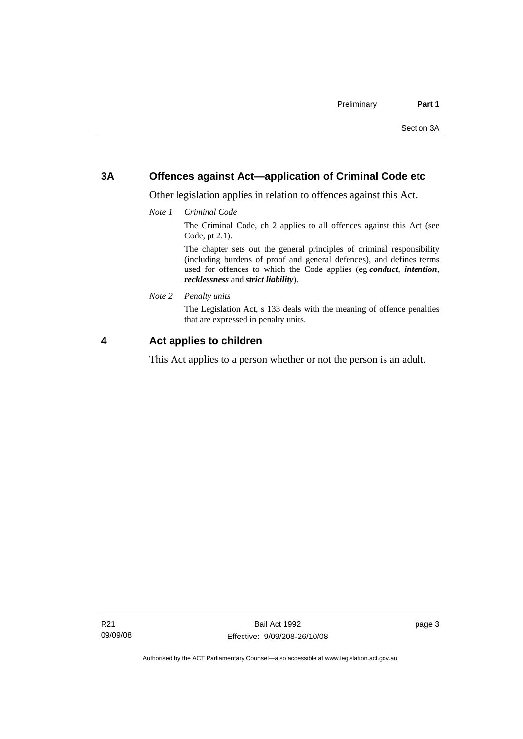### <span id="page-8-0"></span>**3A Offences against Act—application of Criminal Code etc**

Other legislation applies in relation to offences against this Act.

*Note 1 Criminal Code*

The Criminal Code, ch 2 applies to all offences against this Act (see Code, pt 2.1).

The chapter sets out the general principles of criminal responsibility (including burdens of proof and general defences), and defines terms used for offences to which the Code applies (eg *conduct*, *intention*, *recklessness* and *strict liability*).

*Note 2 Penalty units* 

The Legislation Act, s 133 deals with the meaning of offence penalties that are expressed in penalty units.

### **4 Act applies to children**

This Act applies to a person whether or not the person is an adult.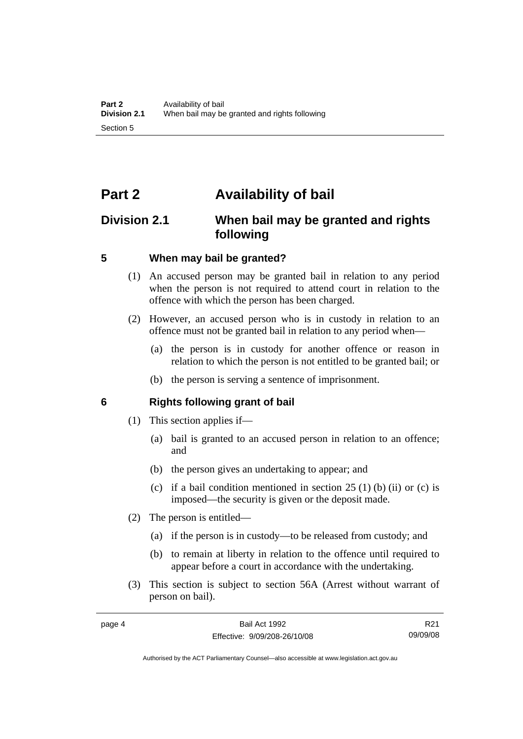# <span id="page-9-0"></span>**Part 2 Availability of bail**

# **Division 2.1 When bail may be granted and rights following**

#### **5 When may bail be granted?**

- (1) An accused person may be granted bail in relation to any period when the person is not required to attend court in relation to the offence with which the person has been charged.
- (2) However, an accused person who is in custody in relation to an offence must not be granted bail in relation to any period when—
	- (a) the person is in custody for another offence or reason in relation to which the person is not entitled to be granted bail; or
	- (b) the person is serving a sentence of imprisonment.

#### **6 Rights following grant of bail**

- (1) This section applies if—
	- (a) bail is granted to an accused person in relation to an offence; and
	- (b) the person gives an undertaking to appear; and
	- (c) if a bail condition mentioned in section  $25(1)$  (b) (ii) or (c) is imposed—the security is given or the deposit made.
- (2) The person is entitled—
	- (a) if the person is in custody—to be released from custody; and
	- (b) to remain at liberty in relation to the offence until required to appear before a court in accordance with the undertaking.
- (3) This section is subject to section 56A (Arrest without warrant of person on bail).

R21 09/09/08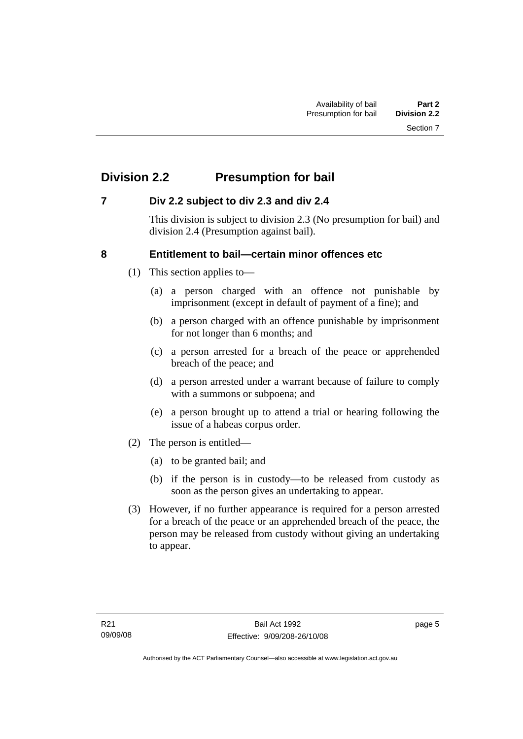# <span id="page-10-0"></span>**Division 2.2 Presumption for bail**

### **7 Div 2.2 subject to div 2.3 and div 2.4**

This division is subject to division 2.3 (No presumption for bail) and division 2.4 (Presumption against bail).

### **8 Entitlement to bail—certain minor offences etc**

- (1) This section applies to—
	- (a) a person charged with an offence not punishable by imprisonment (except in default of payment of a fine); and
	- (b) a person charged with an offence punishable by imprisonment for not longer than 6 months; and
	- (c) a person arrested for a breach of the peace or apprehended breach of the peace; and
	- (d) a person arrested under a warrant because of failure to comply with a summons or subpoena; and
	- (e) a person brought up to attend a trial or hearing following the issue of a habeas corpus order.
- (2) The person is entitled—
	- (a) to be granted bail; and
	- (b) if the person is in custody—to be released from custody as soon as the person gives an undertaking to appear.
- (3) However, if no further appearance is required for a person arrested for a breach of the peace or an apprehended breach of the peace, the person may be released from custody without giving an undertaking to appear.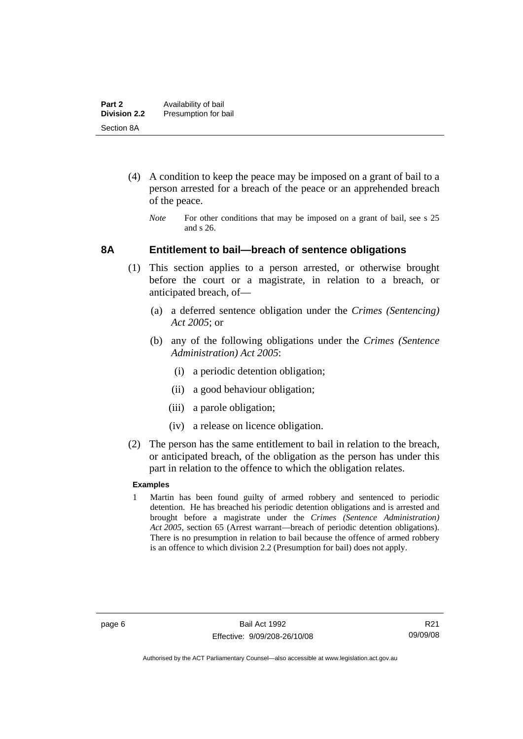- <span id="page-11-0"></span> (4) A condition to keep the peace may be imposed on a grant of bail to a person arrested for a breach of the peace or an apprehended breach of the peace.
	- *Note* For other conditions that may be imposed on a grant of bail, see s 25 and s 26.

#### **8A Entitlement to bail—breach of sentence obligations**

- (1) This section applies to a person arrested, or otherwise brought before the court or a magistrate, in relation to a breach, or anticipated breach, of—
	- (a) a deferred sentence obligation under the *Crimes (Sentencing) Act 2005*; or
	- (b) any of the following obligations under the *Crimes (Sentence Administration) Act 2005*:
		- (i) a periodic detention obligation;
		- (ii) a good behaviour obligation;
		- (iii) a parole obligation;
		- (iv) a release on licence obligation.
- (2) The person has the same entitlement to bail in relation to the breach, or anticipated breach, of the obligation as the person has under this part in relation to the offence to which the obligation relates.

#### **Examples**

1 Martin has been found guilty of armed robbery and sentenced to periodic detention. He has breached his periodic detention obligations and is arrested and brought before a magistrate under the *Crimes (Sentence Administration) Act 2005*, section 65 (Arrest warrant—breach of periodic detention obligations). There is no presumption in relation to bail because the offence of armed robbery is an offence to which division 2.2 (Presumption for bail) does not apply.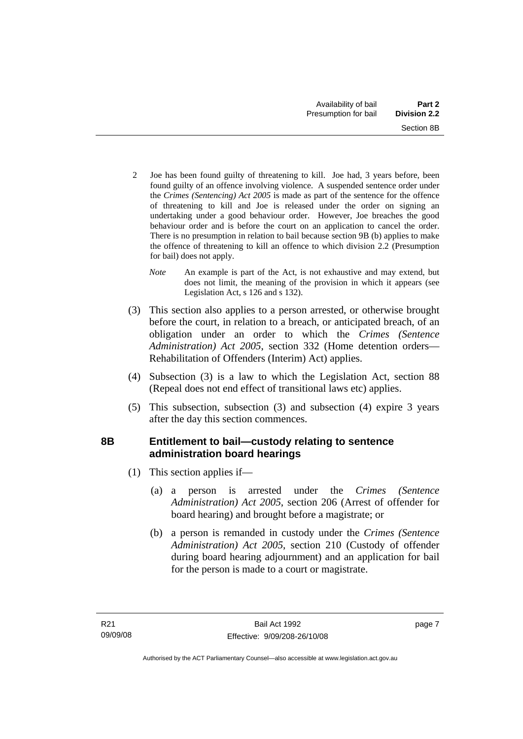- <span id="page-12-0"></span>2 Joe has been found guilty of threatening to kill. Joe had, 3 years before, been found guilty of an offence involving violence. A suspended sentence order under the *Crimes (Sentencing) Act 2005* is made as part of the sentence for the offence of threatening to kill and Joe is released under the order on signing an undertaking under a good behaviour order. However, Joe breaches the good behaviour order and is before the court on an application to cancel the order. There is no presumption in relation to bail because section 9B (b) applies to make the offence of threatening to kill an offence to which division 2.2 (Presumption for bail) does not apply.
	- *Note* An example is part of the Act, is not exhaustive and may extend, but does not limit, the meaning of the provision in which it appears (see Legislation Act, s 126 and s 132).
- (3) This section also applies to a person arrested, or otherwise brought before the court, in relation to a breach, or anticipated breach, of an obligation under an order to which the *Crimes (Sentence Administration) Act 2005*, section 332 (Home detention orders— Rehabilitation of Offenders (Interim) Act) applies.
- (4) Subsection (3) is a law to which the Legislation Act, section 88 (Repeal does not end effect of transitional laws etc) applies.
- (5) This subsection, subsection (3) and subsection (4) expire 3 years after the day this section commences.

# **8B Entitlement to bail—custody relating to sentence administration board hearings**

- (1) This section applies if—
	- (a) a person is arrested under the *Crimes (Sentence Administration) Act 2005*, section 206 (Arrest of offender for board hearing) and brought before a magistrate; or
	- (b) a person is remanded in custody under the *Crimes (Sentence Administration) Act 2005*, section 210 (Custody of offender during board hearing adjournment) and an application for bail for the person is made to a court or magistrate.

page 7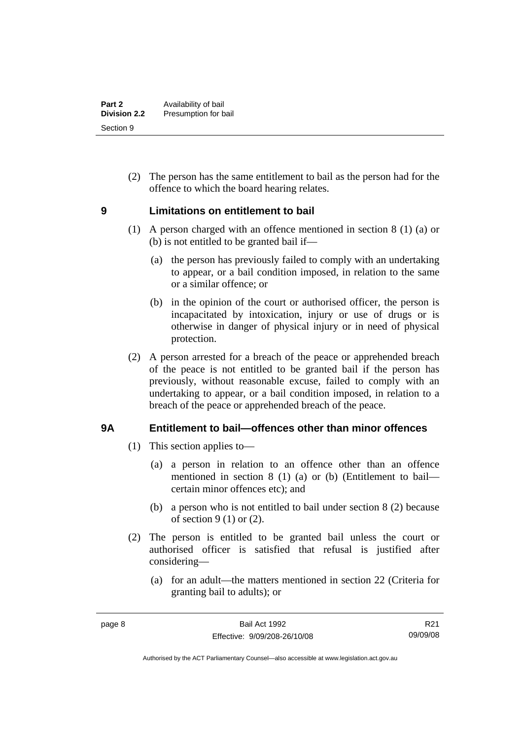<span id="page-13-0"></span> (2) The person has the same entitlement to bail as the person had for the offence to which the board hearing relates.

### **9 Limitations on entitlement to bail**

- (1) A person charged with an offence mentioned in section 8 (1) (a) or (b) is not entitled to be granted bail if—
	- (a) the person has previously failed to comply with an undertaking to appear, or a bail condition imposed, in relation to the same or a similar offence; or
	- (b) in the opinion of the court or authorised officer, the person is incapacitated by intoxication, injury or use of drugs or is otherwise in danger of physical injury or in need of physical protection.
- (2) A person arrested for a breach of the peace or apprehended breach of the peace is not entitled to be granted bail if the person has previously, without reasonable excuse, failed to comply with an undertaking to appear, or a bail condition imposed, in relation to a breach of the peace or apprehended breach of the peace.

## **9A Entitlement to bail—offences other than minor offences**

- (1) This section applies to—
	- (a) a person in relation to an offence other than an offence mentioned in section 8 (1) (a) or (b) (Entitlement to bail certain minor offences etc); and
	- (b) a person who is not entitled to bail under section 8 (2) because of section  $9(1)$  or  $(2)$ .
- (2) The person is entitled to be granted bail unless the court or authorised officer is satisfied that refusal is justified after considering—
	- (a) for an adult—the matters mentioned in section 22 (Criteria for granting bail to adults); or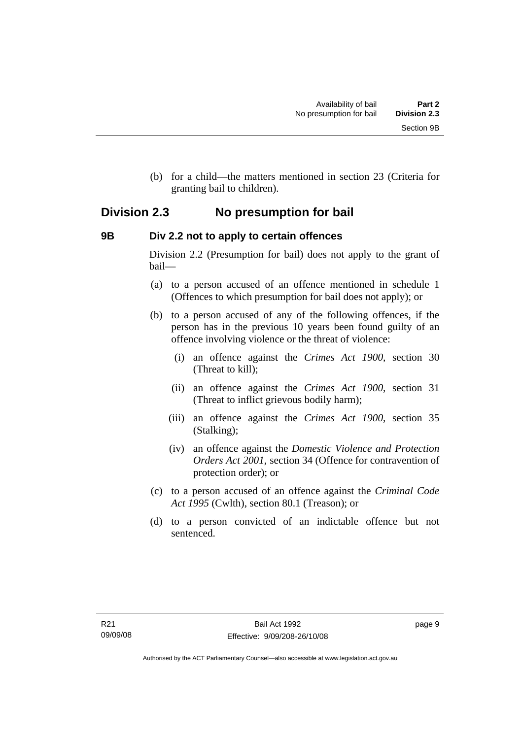<span id="page-14-0"></span> (b) for a child—the matters mentioned in section 23 (Criteria for granting bail to children).

# **Division 2.3 No presumption for bail**

### **9B Div 2.2 not to apply to certain offences**

Division 2.2 (Presumption for bail) does not apply to the grant of bail—

- (a) to a person accused of an offence mentioned in schedule 1 (Offences to which presumption for bail does not apply); or
- (b) to a person accused of any of the following offences, if the person has in the previous 10 years been found guilty of an offence involving violence or the threat of violence:
	- (i) an offence against the *Crimes Act 1900*, section 30 (Threat to kill);
	- (ii) an offence against the *Crimes Act 1900*, section 31 (Threat to inflict grievous bodily harm);
	- (iii) an offence against the *Crimes Act 1900*, section 35 (Stalking);
	- (iv) an offence against the *Domestic Violence and Protection Orders Act 2001*, section 34 (Offence for contravention of protection order); or
- (c) to a person accused of an offence against the *Criminal Code Act 1995* (Cwlth), section 80.1 (Treason); or
- (d) to a person convicted of an indictable offence but not sentenced.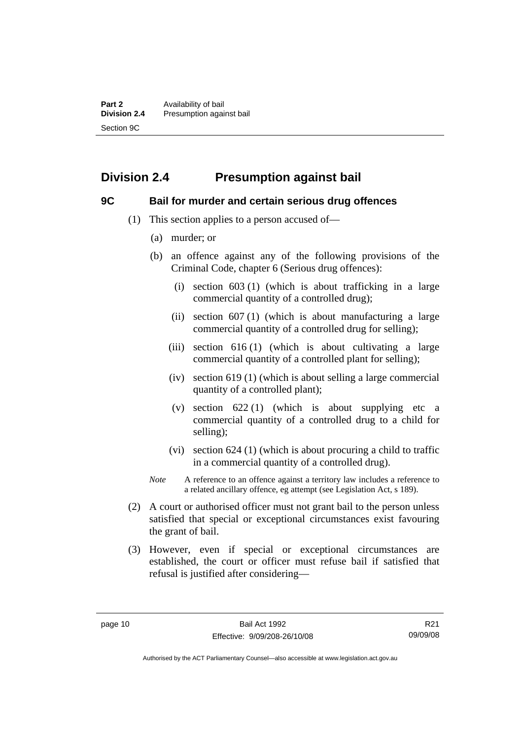# <span id="page-15-0"></span>**Division 2.4 Presumption against bail**

### **9C Bail for murder and certain serious drug offences**

- (1) This section applies to a person accused of—
	- (a) murder; or
	- (b) an offence against any of the following provisions of the Criminal Code, chapter 6 (Serious drug offences):
		- (i) section 603 (1) (which is about trafficking in a large commercial quantity of a controlled drug);
		- (ii) section  $607(1)$  (which is about manufacturing a large commercial quantity of a controlled drug for selling);
		- (iii) section  $616(1)$  (which is about cultivating a large commercial quantity of a controlled plant for selling);
		- (iv) section 619 (1) (which is about selling a large commercial quantity of a controlled plant);
		- (v) section  $622(1)$  (which is about supplying etc a commercial quantity of a controlled drug to a child for selling);
		- (vi) section 624 (1) (which is about procuring a child to traffic in a commercial quantity of a controlled drug).
	- *Note* A reference to an offence against a territory law includes a reference to a related ancillary offence, eg attempt (see Legislation Act, s 189).
- (2) A court or authorised officer must not grant bail to the person unless satisfied that special or exceptional circumstances exist favouring the grant of bail.
- (3) However, even if special or exceptional circumstances are established, the court or officer must refuse bail if satisfied that refusal is justified after considering—

R21 09/09/08

Authorised by the ACT Parliamentary Counsel—also accessible at www.legislation.act.gov.au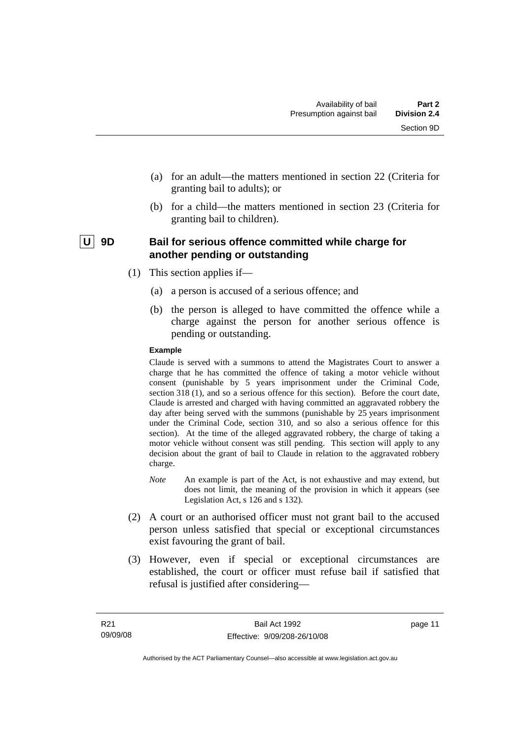- <span id="page-16-0"></span> (a) for an adult—the matters mentioned in section 22 (Criteria for granting bail to adults); or
- (b) for a child—the matters mentioned in section 23 (Criteria for granting bail to children).

### | U | 9D Bail for serious offence committed while charge for **another pending or outstanding**

- (1) This section applies if—
	- (a) a person is accused of a serious offence; and
	- (b) the person is alleged to have committed the offence while a charge against the person for another serious offence is pending or outstanding.

#### **Example**

Claude is served with a summons to attend the Magistrates Court to answer a charge that he has committed the offence of taking a motor vehicle without consent (punishable by 5 years imprisonment under the Criminal Code, section 318 (1), and so a serious offence for this section). Before the court date, Claude is arrested and charged with having committed an aggravated robbery the day after being served with the summons (punishable by 25 years imprisonment under the Criminal Code, section 310, and so also a serious offence for this section). At the time of the alleged aggravated robbery, the charge of taking a motor vehicle without consent was still pending. This section will apply to any decision about the grant of bail to Claude in relation to the aggravated robbery charge.

- *Note* An example is part of the Act, is not exhaustive and may extend, but does not limit, the meaning of the provision in which it appears (see Legislation Act, s 126 and s 132).
- (2) A court or an authorised officer must not grant bail to the accused person unless satisfied that special or exceptional circumstances exist favouring the grant of bail.
- (3) However, even if special or exceptional circumstances are established, the court or officer must refuse bail if satisfied that refusal is justified after considering—

page 11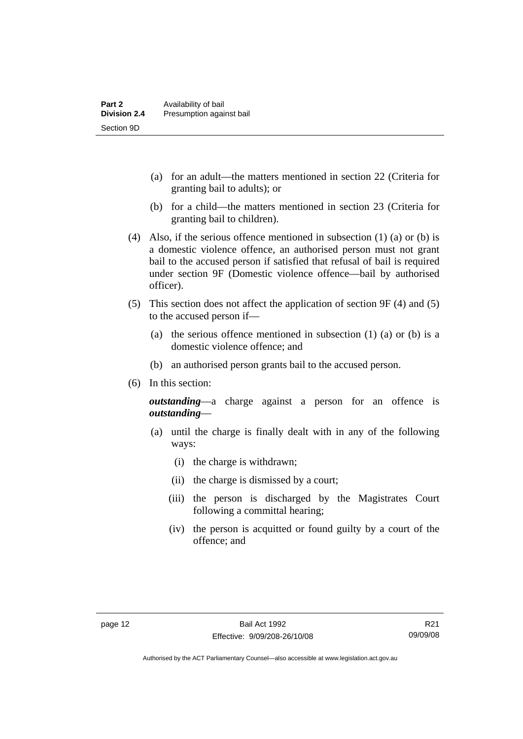- (a) for an adult—the matters mentioned in section 22 (Criteria for granting bail to adults); or
- (b) for a child—the matters mentioned in section 23 (Criteria for granting bail to children).
- (4) Also, if the serious offence mentioned in subsection (1) (a) or (b) is a domestic violence offence, an authorised person must not grant bail to the accused person if satisfied that refusal of bail is required under section 9F (Domestic violence offence—bail by authorised officer).
- (5) This section does not affect the application of section 9F (4) and (5) to the accused person if—
	- (a) the serious offence mentioned in subsection (1) (a) or (b) is a domestic violence offence; and
	- (b) an authorised person grants bail to the accused person.
- (6) In this section:

*outstanding*—a charge against a person for an offence is *outstanding*—

- (a) until the charge is finally dealt with in any of the following ways:
	- (i) the charge is withdrawn;
	- (ii) the charge is dismissed by a court;
	- (iii) the person is discharged by the Magistrates Court following a committal hearing;
	- (iv) the person is acquitted or found guilty by a court of the offence; and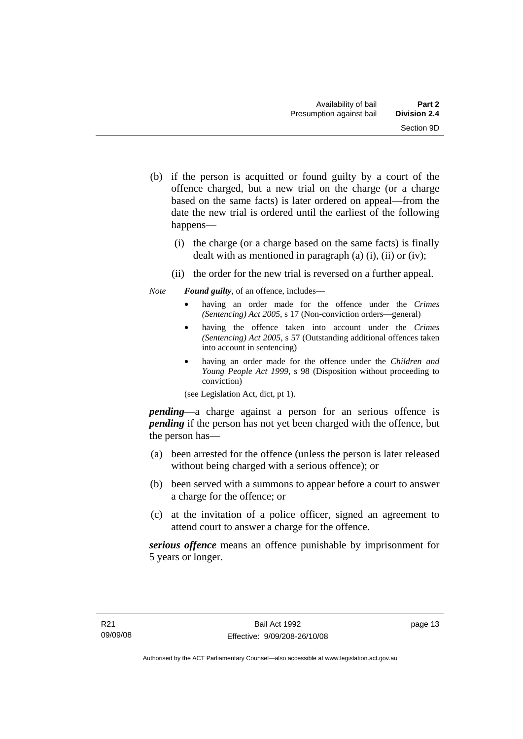- (b) if the person is acquitted or found guilty by a court of the offence charged, but a new trial on the charge (or a charge based on the same facts) is later ordered on appeal—from the date the new trial is ordered until the earliest of the following happens—
	- (i) the charge (or a charge based on the same facts) is finally dealt with as mentioned in paragraph (a)  $(i)$ ,  $(ii)$  or  $(iv)$ ;
	- (ii) the order for the new trial is reversed on a further appeal.

*Note Found guilty*, of an offence, includes—

- having an order made for the offence under the *Crimes (Sentencing) Act 2005*, s 17 (Non-conviction orders—general)
- having the offence taken into account under the *Crimes (Sentencing) Act 2005*, s 57 (Outstanding additional offences taken into account in sentencing)
- having an order made for the offence under the *Children and Young People Act 1999*, s 98 (Disposition without proceeding to conviction)

(see Legislation Act, dict, pt 1).

*pending*—a charge against a person for an serious offence is *pending* if the person has not yet been charged with the offence, but the person has—

- (a) been arrested for the offence (unless the person is later released without being charged with a serious offence); or
- (b) been served with a summons to appear before a court to answer a charge for the offence; or
- (c) at the invitation of a police officer, signed an agreement to attend court to answer a charge for the offence.

*serious offence* means an offence punishable by imprisonment for 5 years or longer.

page 13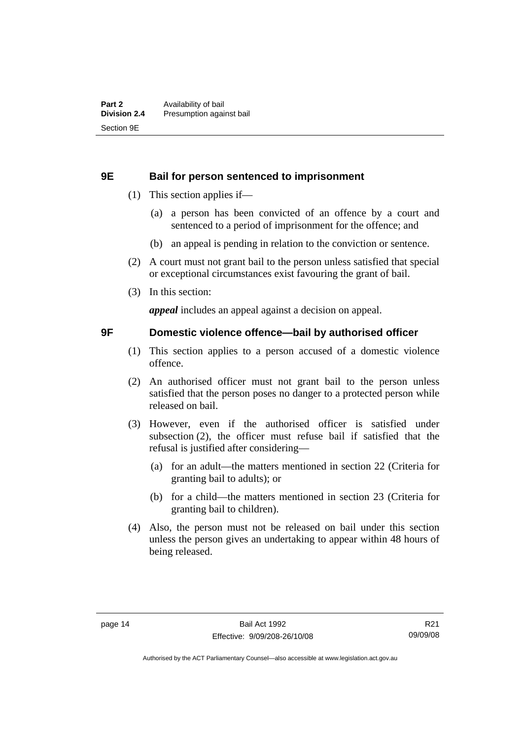#### <span id="page-19-0"></span>**9E Bail for person sentenced to imprisonment**

- (1) This section applies if—
	- (a) a person has been convicted of an offence by a court and sentenced to a period of imprisonment for the offence; and
	- (b) an appeal is pending in relation to the conviction or sentence.
- (2) A court must not grant bail to the person unless satisfied that special or exceptional circumstances exist favouring the grant of bail.
- (3) In this section:

*appeal* includes an appeal against a decision on appeal.

#### **9F Domestic violence offence—bail by authorised officer**

- (1) This section applies to a person accused of a domestic violence offence.
- (2) An authorised officer must not grant bail to the person unless satisfied that the person poses no danger to a protected person while released on bail.
- (3) However, even if the authorised officer is satisfied under subsection (2), the officer must refuse bail if satisfied that the refusal is justified after considering—
	- (a) for an adult—the matters mentioned in section 22 (Criteria for granting bail to adults); or
	- (b) for a child—the matters mentioned in section 23 (Criteria for granting bail to children).
- (4) Also, the person must not be released on bail under this section unless the person gives an undertaking to appear within 48 hours of being released.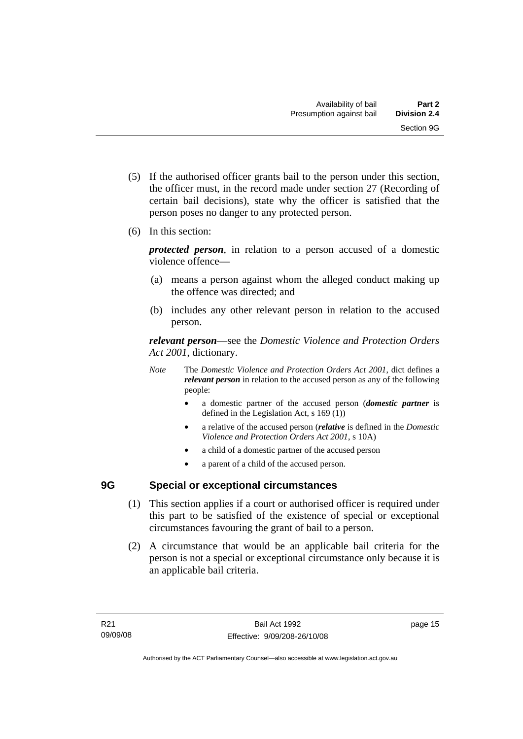- <span id="page-20-0"></span> (5) If the authorised officer grants bail to the person under this section, the officer must, in the record made under section 27 (Recording of certain bail decisions), state why the officer is satisfied that the person poses no danger to any protected person.
- (6) In this section:

*protected person*, in relation to a person accused of a domestic violence offence—

- (a) means a person against whom the alleged conduct making up the offence was directed; and
- (b) includes any other relevant person in relation to the accused person.

*relevant person*—see the *Domestic Violence and Protection Orders Act 2001*, dictionary.

- *Note* The *Domestic Violence and Protection Orders Act 2001*, dict defines a *relevant person* in relation to the accused person as any of the following people:
	- a domestic partner of the accused person (*domestic partner* is defined in the Legislation Act, s 169 (1))
	- a relative of the accused person (*relative* is defined in the *Domestic Violence and Protection Orders Act 2001*, s 10A)
	- a child of a domestic partner of the accused person
	- a parent of a child of the accused person.

# **9G Special or exceptional circumstances**

- (1) This section applies if a court or authorised officer is required under this part to be satisfied of the existence of special or exceptional circumstances favouring the grant of bail to a person.
- (2) A circumstance that would be an applicable bail criteria for the person is not a special or exceptional circumstance only because it is an applicable bail criteria.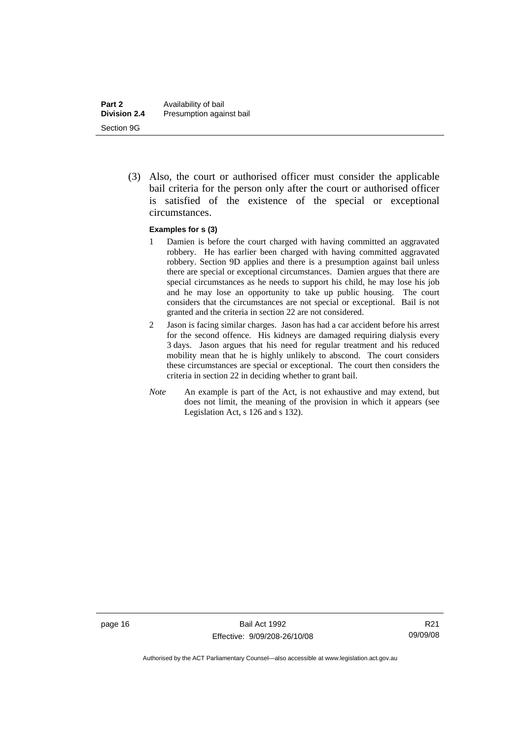(3) Also, the court or authorised officer must consider the applicable bail criteria for the person only after the court or authorised officer is satisfied of the existence of the special or exceptional circumstances.

#### **Examples for s (3)**

- 1 Damien is before the court charged with having committed an aggravated robbery. He has earlier been charged with having committed aggravated robbery. Section 9D applies and there is a presumption against bail unless there are special or exceptional circumstances. Damien argues that there are special circumstances as he needs to support his child, he may lose his job and he may lose an opportunity to take up public housing. The court considers that the circumstances are not special or exceptional. Bail is not granted and the criteria in section 22 are not considered.
- 2 Jason is facing similar charges. Jason has had a car accident before his arrest for the second offence. His kidneys are damaged requiring dialysis every 3 days. Jason argues that his need for regular treatment and his reduced mobility mean that he is highly unlikely to abscond. The court considers these circumstances are special or exceptional. The court then considers the criteria in section 22 in deciding whether to grant bail.
- *Note* An example is part of the Act, is not exhaustive and may extend, but does not limit, the meaning of the provision in which it appears (see Legislation Act, s 126 and s 132).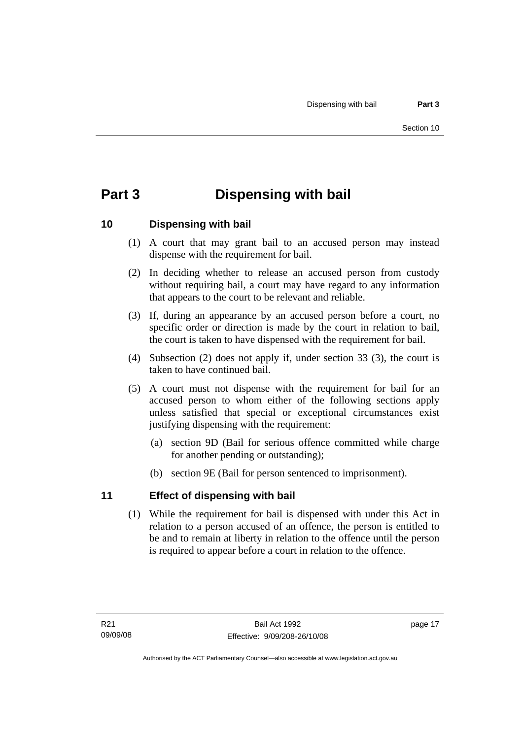# <span id="page-22-0"></span>**Part 3 Dispensing with bail**

## **10 Dispensing with bail**

- (1) A court that may grant bail to an accused person may instead dispense with the requirement for bail.
- (2) In deciding whether to release an accused person from custody without requiring bail, a court may have regard to any information that appears to the court to be relevant and reliable.
- (3) If, during an appearance by an accused person before a court, no specific order or direction is made by the court in relation to bail, the court is taken to have dispensed with the requirement for bail.
- (4) Subsection (2) does not apply if, under section 33 (3), the court is taken to have continued bail.
- (5) A court must not dispense with the requirement for bail for an accused person to whom either of the following sections apply unless satisfied that special or exceptional circumstances exist justifying dispensing with the requirement:
	- (a) section 9D (Bail for serious offence committed while charge for another pending or outstanding);
	- (b) section 9E (Bail for person sentenced to imprisonment).

## **11 Effect of dispensing with bail**

 (1) While the requirement for bail is dispensed with under this Act in relation to a person accused of an offence, the person is entitled to be and to remain at liberty in relation to the offence until the person is required to appear before a court in relation to the offence.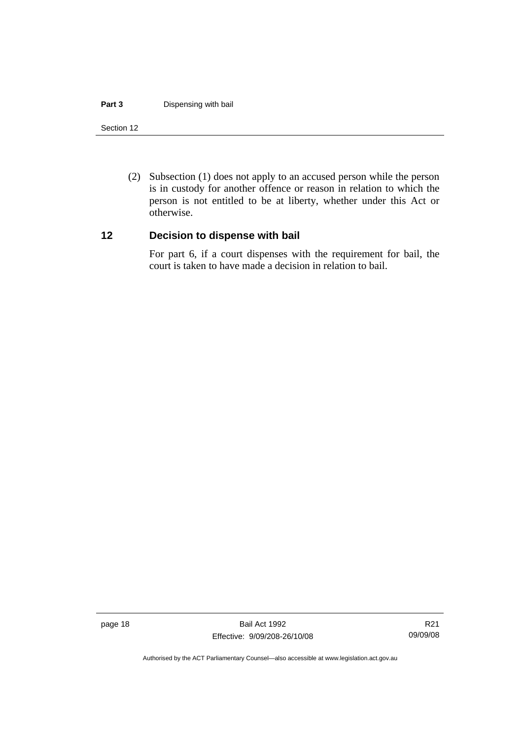#### <span id="page-23-0"></span>**Part 3** Dispensing with bail

#### Section 12

 (2) Subsection (1) does not apply to an accused person while the person is in custody for another offence or reason in relation to which the person is not entitled to be at liberty, whether under this Act or otherwise.

#### **12 Decision to dispense with bail**

For part 6, if a court dispenses with the requirement for bail, the court is taken to have made a decision in relation to bail.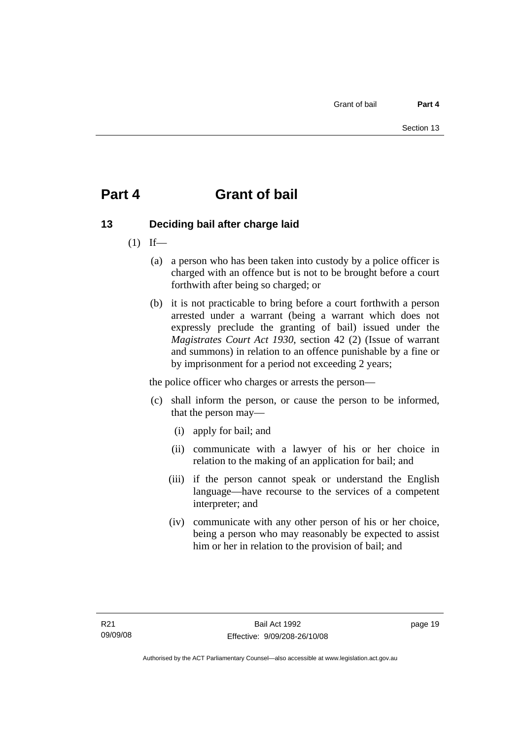# <span id="page-24-0"></span>**Part 4 Grant of bail**

# **13 Deciding bail after charge laid**

- $(1)$  If—
	- (a) a person who has been taken into custody by a police officer is charged with an offence but is not to be brought before a court forthwith after being so charged; or
	- (b) it is not practicable to bring before a court forthwith a person arrested under a warrant (being a warrant which does not expressly preclude the granting of bail) issued under the *Magistrates Court Act 1930*, section 42 (2) (Issue of warrant and summons) in relation to an offence punishable by a fine or by imprisonment for a period not exceeding 2 years;

the police officer who charges or arrests the person—

- (c) shall inform the person, or cause the person to be informed, that the person may—
	- (i) apply for bail; and
	- (ii) communicate with a lawyer of his or her choice in relation to the making of an application for bail; and
	- (iii) if the person cannot speak or understand the English language—have recourse to the services of a competent interpreter; and
	- (iv) communicate with any other person of his or her choice, being a person who may reasonably be expected to assist him or her in relation to the provision of bail; and

page 19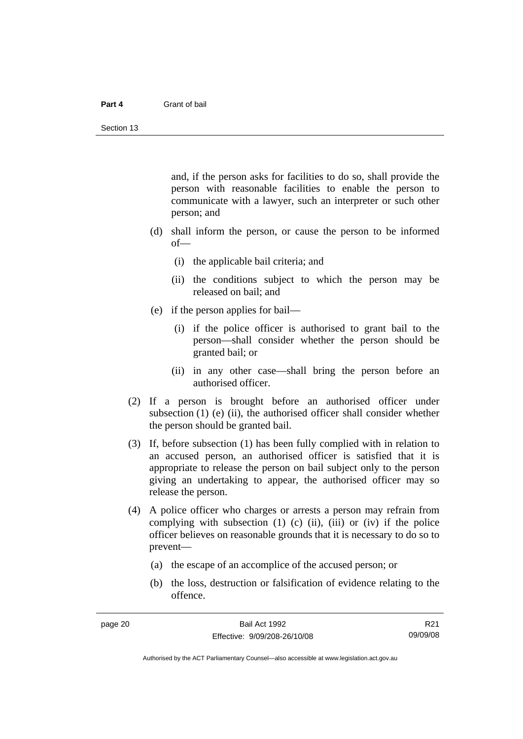#### **Part 4** Grant of bail

and, if the person asks for facilities to do so, shall provide the person with reasonable facilities to enable the person to communicate with a lawyer, such an interpreter or such other person; and

- (d) shall inform the person, or cause the person to be informed of—
	- (i) the applicable bail criteria; and
	- (ii) the conditions subject to which the person may be released on bail; and
- (e) if the person applies for bail—
	- (i) if the police officer is authorised to grant bail to the person—shall consider whether the person should be granted bail; or
	- (ii) in any other case—shall bring the person before an authorised officer.
- (2) If a person is brought before an authorised officer under subsection  $(1)$  (e)  $(ii)$ , the authorised officer shall consider whether the person should be granted bail.
- (3) If, before subsection (1) has been fully complied with in relation to an accused person, an authorised officer is satisfied that it is appropriate to release the person on bail subject only to the person giving an undertaking to appear, the authorised officer may so release the person.
- (4) A police officer who charges or arrests a person may refrain from complying with subsection  $(1)$   $(c)$   $(ii)$ ,  $(iii)$  or  $(iv)$  if the police officer believes on reasonable grounds that it is necessary to do so to prevent—
	- (a) the escape of an accomplice of the accused person; or
	- (b) the loss, destruction or falsification of evidence relating to the offence.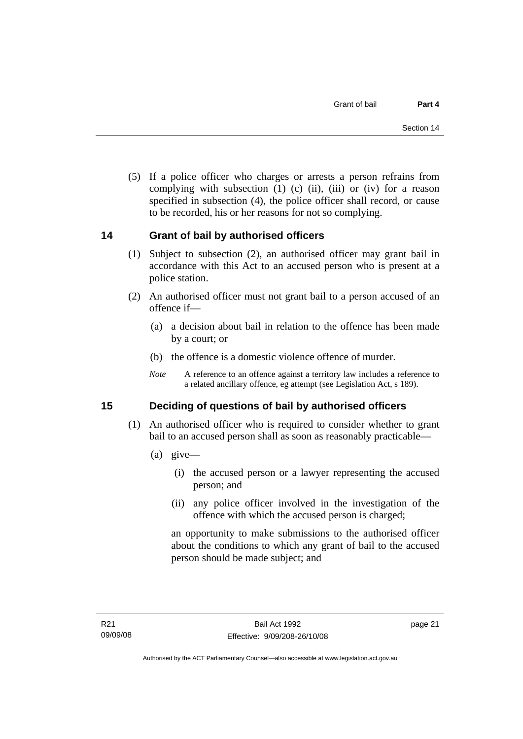<span id="page-26-0"></span> (5) If a police officer who charges or arrests a person refrains from complying with subsection  $(1)$   $(c)$   $(ii)$ ,  $(iii)$  or  $(iv)$  for a reason specified in subsection (4), the police officer shall record, or cause to be recorded, his or her reasons for not so complying.

## **14 Grant of bail by authorised officers**

- (1) Subject to subsection (2), an authorised officer may grant bail in accordance with this Act to an accused person who is present at a police station.
- (2) An authorised officer must not grant bail to a person accused of an offence if—
	- (a) a decision about bail in relation to the offence has been made by a court; or
	- (b) the offence is a domestic violence offence of murder.
	- *Note* A reference to an offence against a territory law includes a reference to a related ancillary offence, eg attempt (see Legislation Act, s 189).

## **15 Deciding of questions of bail by authorised officers**

- (1) An authorised officer who is required to consider whether to grant bail to an accused person shall as soon as reasonably practicable—
	- (a) give—
		- (i) the accused person or a lawyer representing the accused person; and
		- (ii) any police officer involved in the investigation of the offence with which the accused person is charged;

an opportunity to make submissions to the authorised officer about the conditions to which any grant of bail to the accused person should be made subject; and

page 21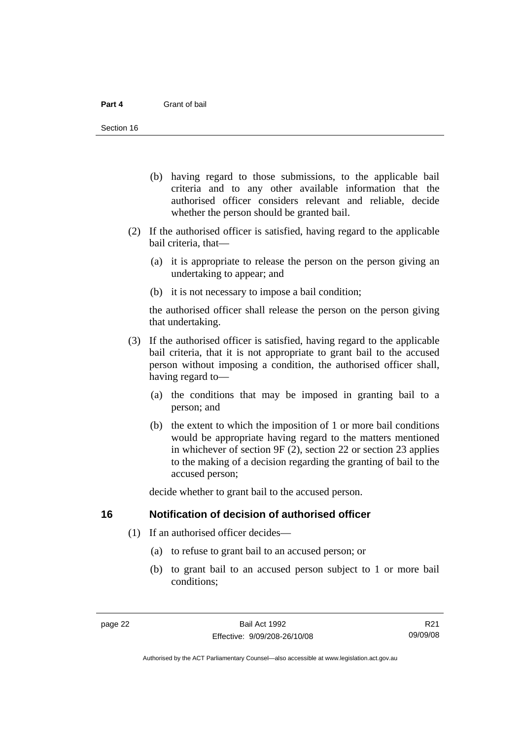- <span id="page-27-0"></span> (b) having regard to those submissions, to the applicable bail criteria and to any other available information that the authorised officer considers relevant and reliable, decide whether the person should be granted bail.
- (2) If the authorised officer is satisfied, having regard to the applicable bail criteria, that—
	- (a) it is appropriate to release the person on the person giving an undertaking to appear; and
	- (b) it is not necessary to impose a bail condition;

the authorised officer shall release the person on the person giving that undertaking.

- (3) If the authorised officer is satisfied, having regard to the applicable bail criteria, that it is not appropriate to grant bail to the accused person without imposing a condition, the authorised officer shall, having regard to—
	- (a) the conditions that may be imposed in granting bail to a person; and
	- (b) the extent to which the imposition of 1 or more bail conditions would be appropriate having regard to the matters mentioned in whichever of section 9F (2), section 22 or section 23 applies to the making of a decision regarding the granting of bail to the accused person;

decide whether to grant bail to the accused person.

#### **16 Notification of decision of authorised officer**

- (1) If an authorised officer decides—
	- (a) to refuse to grant bail to an accused person; or
	- (b) to grant bail to an accused person subject to 1 or more bail conditions;

R21 09/09/08

Authorised by the ACT Parliamentary Counsel—also accessible at www.legislation.act.gov.au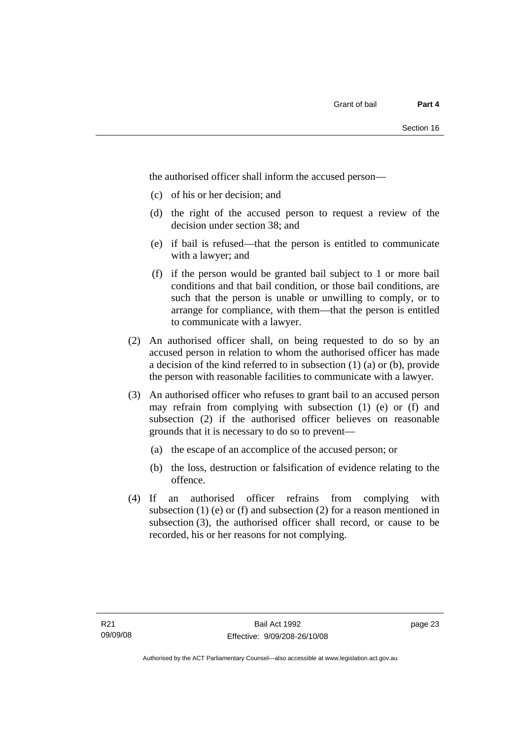the authorised officer shall inform the accused person—

- (c) of his or her decision; and
- (d) the right of the accused person to request a review of the decision under section 38; and
- (e) if bail is refused—that the person is entitled to communicate with a lawyer; and
- (f) if the person would be granted bail subject to 1 or more bail conditions and that bail condition, or those bail conditions, are such that the person is unable or unwilling to comply, or to arrange for compliance, with them—that the person is entitled to communicate with a lawyer.
- (2) An authorised officer shall, on being requested to do so by an accused person in relation to whom the authorised officer has made a decision of the kind referred to in subsection (1) (a) or (b), provide the person with reasonable facilities to communicate with a lawyer.
- (3) An authorised officer who refuses to grant bail to an accused person may refrain from complying with subsection (1) (e) or (f) and subsection (2) if the authorised officer believes on reasonable grounds that it is necessary to do so to prevent—
	- (a) the escape of an accomplice of the accused person; or
	- (b) the loss, destruction or falsification of evidence relating to the offence.
- (4) If an authorised officer refrains from complying with subsection  $(1)$  (e) or  $(f)$  and subsection  $(2)$  for a reason mentioned in subsection (3), the authorised officer shall record, or cause to be recorded, his or her reasons for not complying.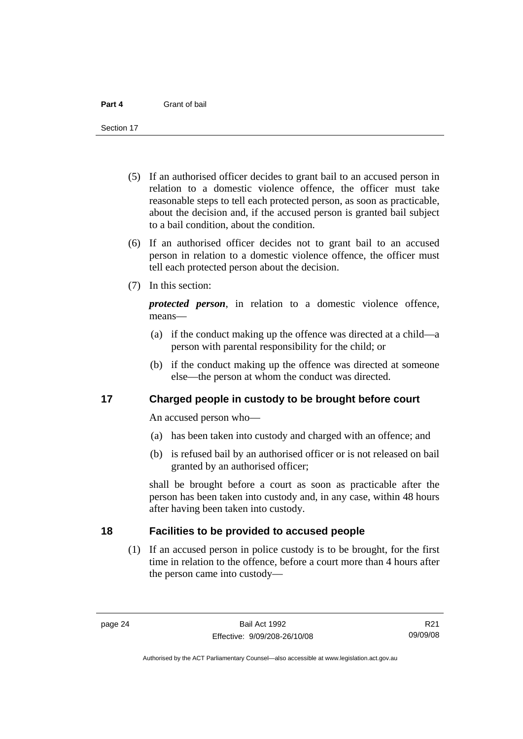<span id="page-29-0"></span>Section 17

- (5) If an authorised officer decides to grant bail to an accused person in relation to a domestic violence offence, the officer must take reasonable steps to tell each protected person, as soon as practicable, about the decision and, if the accused person is granted bail subject to a bail condition, about the condition.
- (6) If an authorised officer decides not to grant bail to an accused person in relation to a domestic violence offence, the officer must tell each protected person about the decision.
- (7) In this section:

*protected person*, in relation to a domestic violence offence, means—

- (a) if the conduct making up the offence was directed at a child—a person with parental responsibility for the child; or
- (b) if the conduct making up the offence was directed at someone else—the person at whom the conduct was directed.

#### **17 Charged people in custody to be brought before court**

An accused person who—

- (a) has been taken into custody and charged with an offence; and
- (b) is refused bail by an authorised officer or is not released on bail granted by an authorised officer;

shall be brought before a court as soon as practicable after the person has been taken into custody and, in any case, within 48 hours after having been taken into custody.

### **18 Facilities to be provided to accused people**

 (1) If an accused person in police custody is to be brought, for the first time in relation to the offence, before a court more than 4 hours after the person came into custody—

R21 09/09/08

Authorised by the ACT Parliamentary Counsel—also accessible at www.legislation.act.gov.au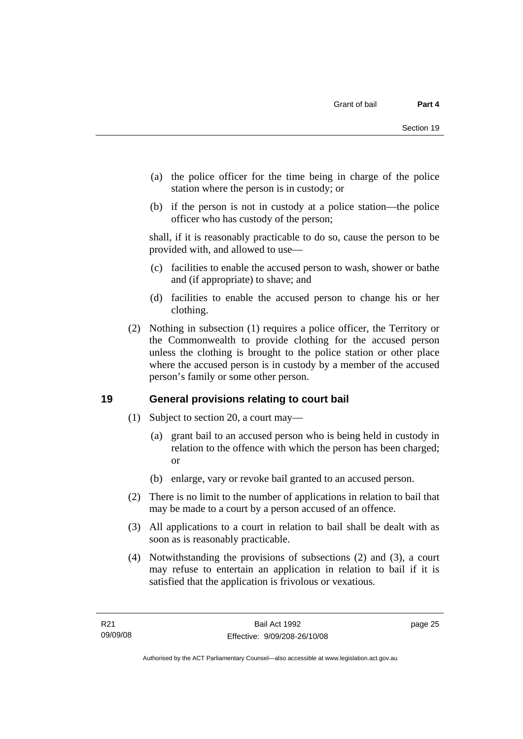- <span id="page-30-0"></span> (a) the police officer for the time being in charge of the police station where the person is in custody; or
- (b) if the person is not in custody at a police station—the police officer who has custody of the person;

shall, if it is reasonably practicable to do so, cause the person to be provided with, and allowed to use—

- (c) facilities to enable the accused person to wash, shower or bathe and (if appropriate) to shave; and
- (d) facilities to enable the accused person to change his or her clothing.
- (2) Nothing in subsection (1) requires a police officer, the Territory or the Commonwealth to provide clothing for the accused person unless the clothing is brought to the police station or other place where the accused person is in custody by a member of the accused person's family or some other person.

## **19 General provisions relating to court bail**

- (1) Subject to section 20, a court may—
	- (a) grant bail to an accused person who is being held in custody in relation to the offence with which the person has been charged; or
	- (b) enlarge, vary or revoke bail granted to an accused person.
- (2) There is no limit to the number of applications in relation to bail that may be made to a court by a person accused of an offence.
- (3) All applications to a court in relation to bail shall be dealt with as soon as is reasonably practicable.
- (4) Notwithstanding the provisions of subsections (2) and (3), a court may refuse to entertain an application in relation to bail if it is satisfied that the application is frivolous or vexatious.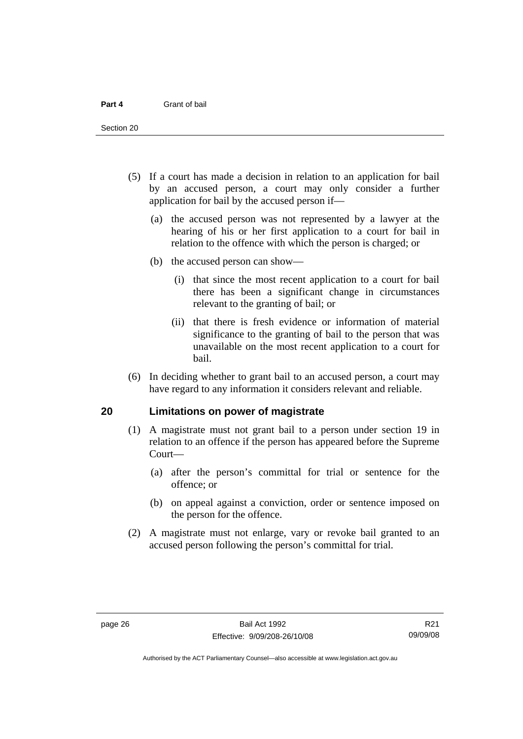<span id="page-31-0"></span>Section 20

- (5) If a court has made a decision in relation to an application for bail by an accused person, a court may only consider a further application for bail by the accused person if—
	- (a) the accused person was not represented by a lawyer at the hearing of his or her first application to a court for bail in relation to the offence with which the person is charged; or
	- (b) the accused person can show—
		- (i) that since the most recent application to a court for bail there has been a significant change in circumstances relevant to the granting of bail; or
		- (ii) that there is fresh evidence or information of material significance to the granting of bail to the person that was unavailable on the most recent application to a court for bail.
- (6) In deciding whether to grant bail to an accused person, a court may have regard to any information it considers relevant and reliable.

#### **20 Limitations on power of magistrate**

- (1) A magistrate must not grant bail to a person under section 19 in relation to an offence if the person has appeared before the Supreme Court—
	- (a) after the person's committal for trial or sentence for the offence; or
	- (b) on appeal against a conviction, order or sentence imposed on the person for the offence.
- (2) A magistrate must not enlarge, vary or revoke bail granted to an accused person following the person's committal for trial.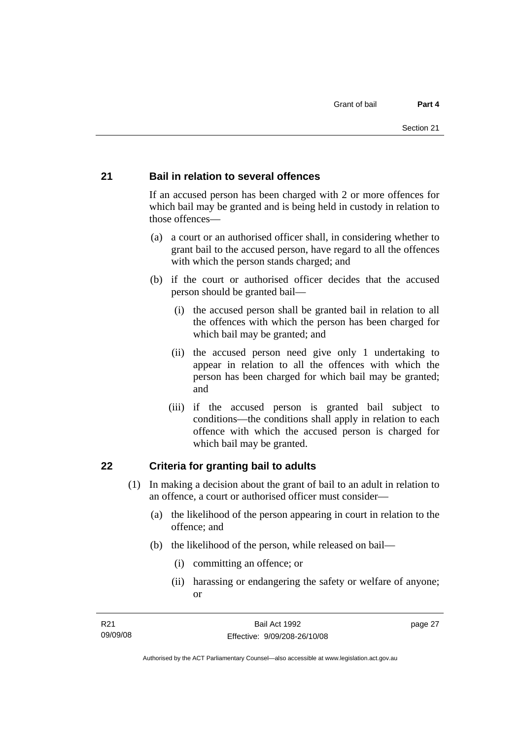#### <span id="page-32-0"></span>**21 Bail in relation to several offences**

If an accused person has been charged with 2 or more offences for which bail may be granted and is being held in custody in relation to those offences—

- (a) a court or an authorised officer shall, in considering whether to grant bail to the accused person, have regard to all the offences with which the person stands charged; and
- (b) if the court or authorised officer decides that the accused person should be granted bail—
	- (i) the accused person shall be granted bail in relation to all the offences with which the person has been charged for which bail may be granted; and
	- (ii) the accused person need give only 1 undertaking to appear in relation to all the offences with which the person has been charged for which bail may be granted; and
	- (iii) if the accused person is granted bail subject to conditions—the conditions shall apply in relation to each offence with which the accused person is charged for which bail may be granted.

#### **22 Criteria for granting bail to adults**

- (1) In making a decision about the grant of bail to an adult in relation to an offence, a court or authorised officer must consider—
	- (a) the likelihood of the person appearing in court in relation to the offence; and
	- (b) the likelihood of the person, while released on bail—
		- (i) committing an offence; or
		- (ii) harassing or endangering the safety or welfare of anyone; or

page 27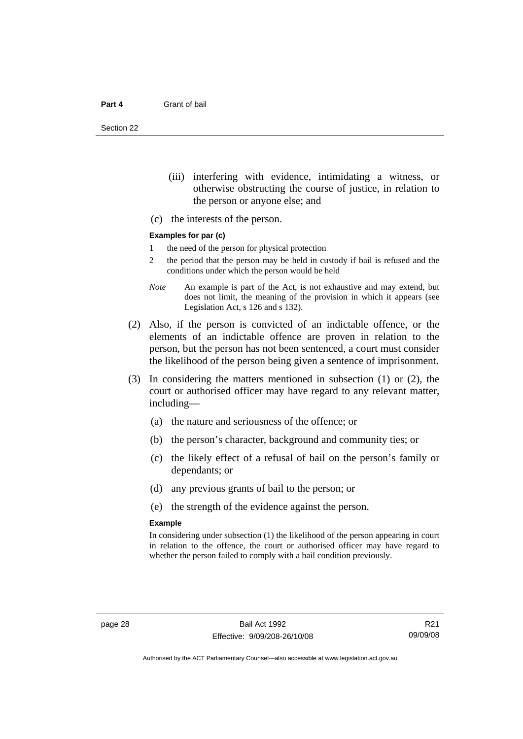Section 22

- (iii) interfering with evidence, intimidating a witness, or otherwise obstructing the course of justice, in relation to the person or anyone else; and
- (c) the interests of the person.

#### **Examples for par (c)**

- 1 the need of the person for physical protection
- 2 the period that the person may be held in custody if bail is refused and the conditions under which the person would be held
- *Note* An example is part of the Act, is not exhaustive and may extend, but does not limit, the meaning of the provision in which it appears (see Legislation Act, s 126 and s 132).
- (2) Also, if the person is convicted of an indictable offence, or the elements of an indictable offence are proven in relation to the person, but the person has not been sentenced, a court must consider the likelihood of the person being given a sentence of imprisonment.
- (3) In considering the matters mentioned in subsection (1) or (2), the court or authorised officer may have regard to any relevant matter, including—
	- (a) the nature and seriousness of the offence; or
	- (b) the person's character, background and community ties; or
	- (c) the likely effect of a refusal of bail on the person's family or dependants; or
	- (d) any previous grants of bail to the person; or
	- (e) the strength of the evidence against the person.

#### **Example**

In considering under subsection (1) the likelihood of the person appearing in court in relation to the offence, the court or authorised officer may have regard to whether the person failed to comply with a bail condition previously.

R21 09/09/08

Authorised by the ACT Parliamentary Counsel—also accessible at www.legislation.act.gov.au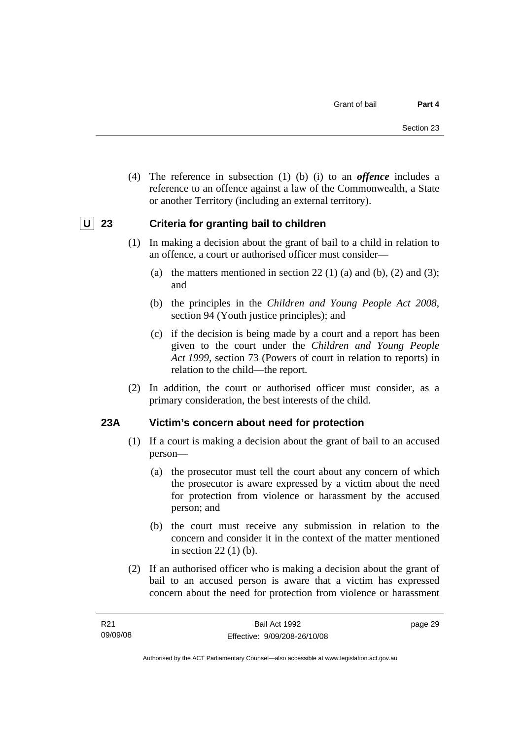<span id="page-34-0"></span> (4) The reference in subsection (1) (b) (i) to an *offence* includes a reference to an offence against a law of the Commonwealth, a State or another Territory (including an external territory).

## **U** 23 Criteria for granting bail to children

- (1) In making a decision about the grant of bail to a child in relation to an offence, a court or authorised officer must consider—
	- (a) the matters mentioned in section 22 (1) (a) and (b), (2) and (3); and
	- (b) the principles in the *Children and Young People Act 2008*, section 94 (Youth justice principles); and
	- (c) if the decision is being made by a court and a report has been given to the court under the *Children and Young People Act 1999*, section 73 (Powers of court in relation to reports) in relation to the child—the report.
- (2) In addition, the court or authorised officer must consider, as a primary consideration, the best interests of the child.

#### **23A Victim's concern about need for protection**

- (1) If a court is making a decision about the grant of bail to an accused person—
	- (a) the prosecutor must tell the court about any concern of which the prosecutor is aware expressed by a victim about the need for protection from violence or harassment by the accused person; and
	- (b) the court must receive any submission in relation to the concern and consider it in the context of the matter mentioned in section 22 (1) (b).
- (2) If an authorised officer who is making a decision about the grant of bail to an accused person is aware that a victim has expressed concern about the need for protection from violence or harassment

page 29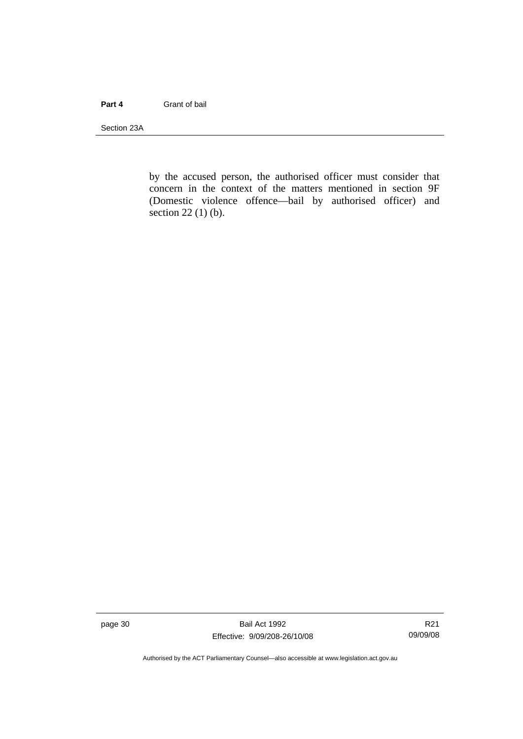#### **Part 4** Grant of bail

Section 23A

by the accused person, the authorised officer must consider that concern in the context of the matters mentioned in section 9F (Domestic violence offence—bail by authorised officer) and section 22 (1) (b).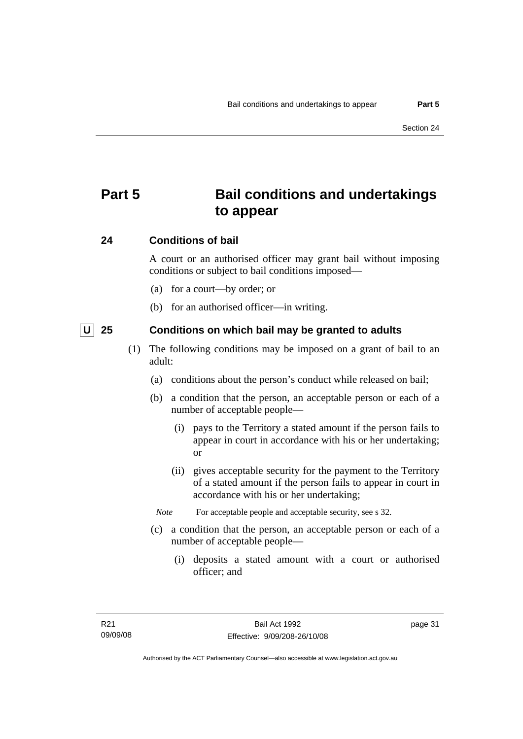# **Part 5 Bail conditions and undertakings to appear**

### **24 Conditions of bail**

A court or an authorised officer may grant bail without imposing conditions or subject to bail conditions imposed—

- (a) for a court—by order; or
- (b) for an authorised officer—in writing.

 **U 25 Conditions on which bail may be granted to adults** 

- (1) The following conditions may be imposed on a grant of bail to an adult:
	- (a) conditions about the person's conduct while released on bail;
	- (b) a condition that the person, an acceptable person or each of a number of acceptable people—
		- (i) pays to the Territory a stated amount if the person fails to appear in court in accordance with his or her undertaking; or
		- (ii) gives acceptable security for the payment to the Territory of a stated amount if the person fails to appear in court in accordance with his or her undertaking;
		- *Note* For acceptable people and acceptable security, see s 32.
	- (c) a condition that the person, an acceptable person or each of a number of acceptable people—
		- (i) deposits a stated amount with a court or authorised officer; and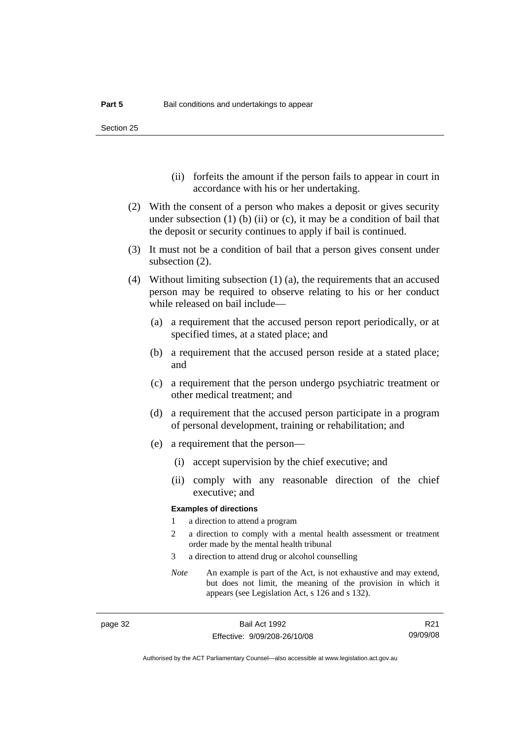Section 25

- (ii) forfeits the amount if the person fails to appear in court in accordance with his or her undertaking.
- (2) With the consent of a person who makes a deposit or gives security under subsection  $(1)$  (b)  $(ii)$  or  $(c)$ , it may be a condition of bail that the deposit or security continues to apply if bail is continued.
- (3) It must not be a condition of bail that a person gives consent under subsection (2).
- (4) Without limiting subsection (1) (a), the requirements that an accused person may be required to observe relating to his or her conduct while released on bail include—
	- (a) a requirement that the accused person report periodically, or at specified times, at a stated place; and
	- (b) a requirement that the accused person reside at a stated place; and
	- (c) a requirement that the person undergo psychiatric treatment or other medical treatment; and
	- (d) a requirement that the accused person participate in a program of personal development, training or rehabilitation; and
	- (e) a requirement that the person—
		- (i) accept supervision by the chief executive; and
		- (ii) comply with any reasonable direction of the chief executive; and

#### **Examples of directions**

- 1 a direction to attend a program
- 2 a direction to comply with a mental health assessment or treatment order made by the mental health tribunal
- 3 a direction to attend drug or alcohol counselling
- *Note* An example is part of the Act, is not exhaustive and may extend, but does not limit, the meaning of the provision in which it appears (see Legislation Act, s 126 and s 132).

R21 09/09/08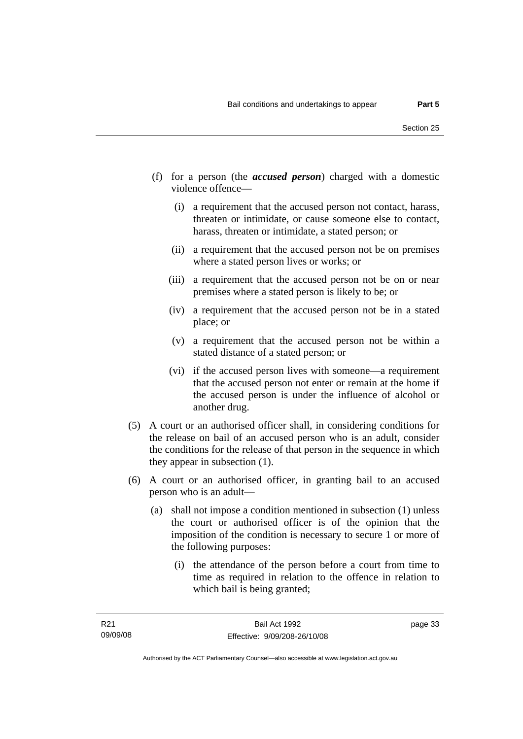- (f) for a person (the *accused person*) charged with a domestic violence offence—
	- (i) a requirement that the accused person not contact, harass, threaten or intimidate, or cause someone else to contact, harass, threaten or intimidate, a stated person; or
	- (ii) a requirement that the accused person not be on premises where a stated person lives or works; or
	- (iii) a requirement that the accused person not be on or near premises where a stated person is likely to be; or
	- (iv) a requirement that the accused person not be in a stated place; or
	- (v) a requirement that the accused person not be within a stated distance of a stated person; or
	- (vi) if the accused person lives with someone—a requirement that the accused person not enter or remain at the home if the accused person is under the influence of alcohol or another drug.
- (5) A court or an authorised officer shall, in considering conditions for the release on bail of an accused person who is an adult, consider the conditions for the release of that person in the sequence in which they appear in subsection (1).
- (6) A court or an authorised officer, in granting bail to an accused person who is an adult—
	- (a) shall not impose a condition mentioned in subsection (1) unless the court or authorised officer is of the opinion that the imposition of the condition is necessary to secure 1 or more of the following purposes:
		- (i) the attendance of the person before a court from time to time as required in relation to the offence in relation to which bail is being granted;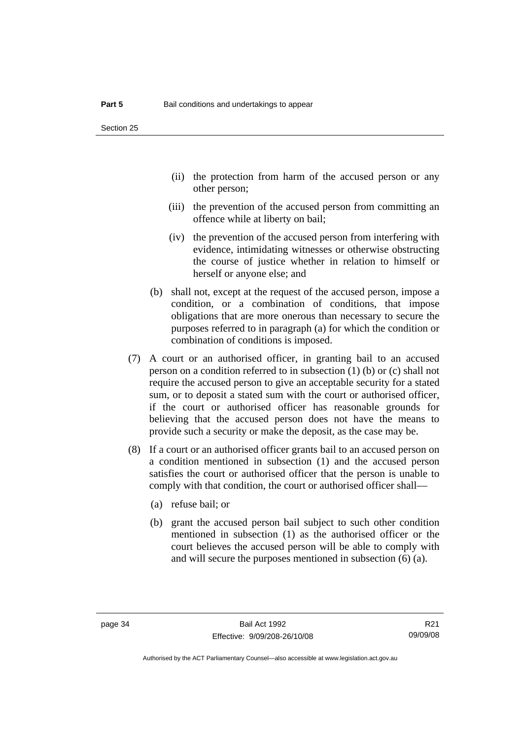- (ii) the protection from harm of the accused person or any other person;
- (iii) the prevention of the accused person from committing an offence while at liberty on bail;
- (iv) the prevention of the accused person from interfering with evidence, intimidating witnesses or otherwise obstructing the course of justice whether in relation to himself or herself or anyone else; and
- (b) shall not, except at the request of the accused person, impose a condition, or a combination of conditions, that impose obligations that are more onerous than necessary to secure the purposes referred to in paragraph (a) for which the condition or combination of conditions is imposed.
- (7) A court or an authorised officer, in granting bail to an accused person on a condition referred to in subsection (1) (b) or (c) shall not require the accused person to give an acceptable security for a stated sum, or to deposit a stated sum with the court or authorised officer, if the court or authorised officer has reasonable grounds for believing that the accused person does not have the means to provide such a security or make the deposit, as the case may be.
- (8) If a court or an authorised officer grants bail to an accused person on a condition mentioned in subsection (1) and the accused person satisfies the court or authorised officer that the person is unable to comply with that condition, the court or authorised officer shall—
	- (a) refuse bail; or
	- (b) grant the accused person bail subject to such other condition mentioned in subsection (1) as the authorised officer or the court believes the accused person will be able to comply with and will secure the purposes mentioned in subsection (6) (a).

R21 09/09/08

Authorised by the ACT Parliamentary Counsel—also accessible at www.legislation.act.gov.au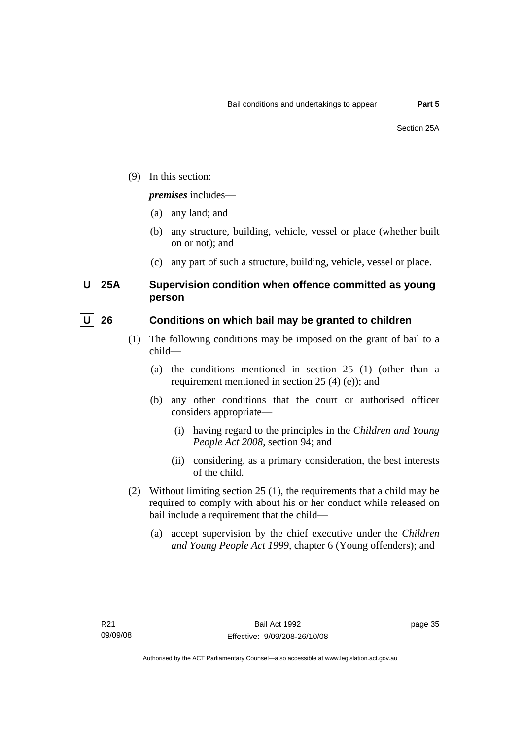(9) In this section:

### *premises* includes—

- (a) any land; and
- (b) any structure, building, vehicle, vessel or place (whether built on or not); and
- (c) any part of such a structure, building, vehicle, vessel or place.

## **U** 25A Supervision condition when offence committed as young **person**

### **U** 26 Conditions on which bail may be granted to children

- (1) The following conditions may be imposed on the grant of bail to a child—
	- (a) the conditions mentioned in section 25 (1) (other than a requirement mentioned in section 25 (4) (e)); and
	- (b) any other conditions that the court or authorised officer considers appropriate—
		- (i) having regard to the principles in the *Children and Young People Act 2008*, section 94; and
		- (ii) considering, as a primary consideration, the best interests of the child.
- (2) Without limiting section 25 (1), the requirements that a child may be required to comply with about his or her conduct while released on bail include a requirement that the child—
	- (a) accept supervision by the chief executive under the *Children and Young People Act 1999,* chapter 6 (Young offenders); and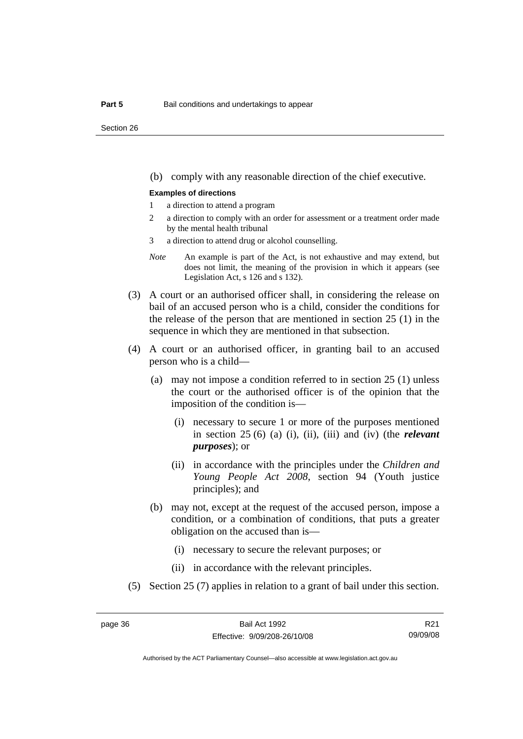Section 26

(b) comply with any reasonable direction of the chief executive.

#### **Examples of directions**

- 1 a direction to attend a program
- 2 a direction to comply with an order for assessment or a treatment order made by the mental health tribunal
- 3 a direction to attend drug or alcohol counselling.
- *Note* An example is part of the Act, is not exhaustive and may extend, but does not limit, the meaning of the provision in which it appears (see Legislation Act, s 126 and s 132).
- (3) A court or an authorised officer shall, in considering the release on bail of an accused person who is a child, consider the conditions for the release of the person that are mentioned in section 25 (1) in the sequence in which they are mentioned in that subsection.
- (4) A court or an authorised officer, in granting bail to an accused person who is a child—
	- (a) may not impose a condition referred to in section 25 (1) unless the court or the authorised officer is of the opinion that the imposition of the condition is—
		- (i) necessary to secure 1 or more of the purposes mentioned in section 25 (6) (a) (i), (ii), (iii) and (iv) (the *relevant purposes*); or
		- (ii) in accordance with the principles under the *Children and Young People Act 2008*, section 94 (Youth justice principles); and
	- (b) may not, except at the request of the accused person, impose a condition, or a combination of conditions, that puts a greater obligation on the accused than is—
		- (i) necessary to secure the relevant purposes; or
		- (ii) in accordance with the relevant principles.
- (5) Section 25 (7) applies in relation to a grant of bail under this section.

R21 09/09/08

Authorised by the ACT Parliamentary Counsel—also accessible at www.legislation.act.gov.au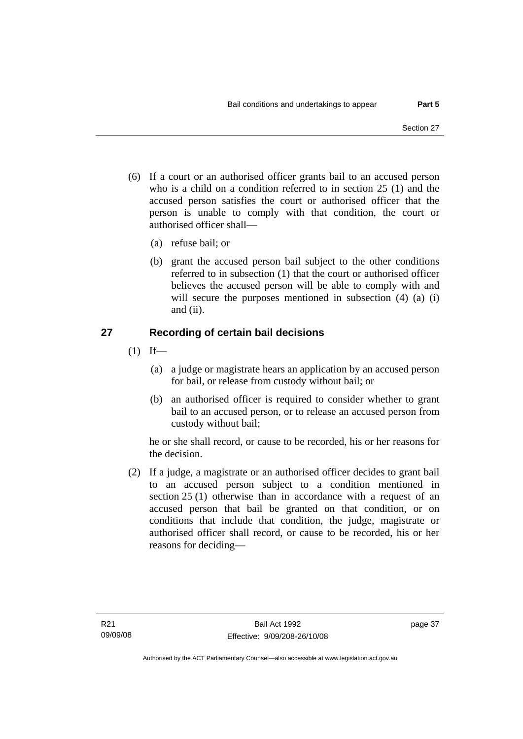- (6) If a court or an authorised officer grants bail to an accused person who is a child on a condition referred to in section 25 (1) and the accused person satisfies the court or authorised officer that the person is unable to comply with that condition, the court or authorised officer shall—
	- (a) refuse bail; or
	- (b) grant the accused person bail subject to the other conditions referred to in subsection (1) that the court or authorised officer believes the accused person will be able to comply with and will secure the purposes mentioned in subsection (4) (a) (i) and (ii).

## **27 Recording of certain bail decisions**

- $(1)$  If—
	- (a) a judge or magistrate hears an application by an accused person for bail, or release from custody without bail; or
	- (b) an authorised officer is required to consider whether to grant bail to an accused person, or to release an accused person from custody without bail;

he or she shall record, or cause to be recorded, his or her reasons for the decision.

 (2) If a judge, a magistrate or an authorised officer decides to grant bail to an accused person subject to a condition mentioned in section 25 (1) otherwise than in accordance with a request of an accused person that bail be granted on that condition, or on conditions that include that condition, the judge, magistrate or authorised officer shall record, or cause to be recorded, his or her reasons for deciding—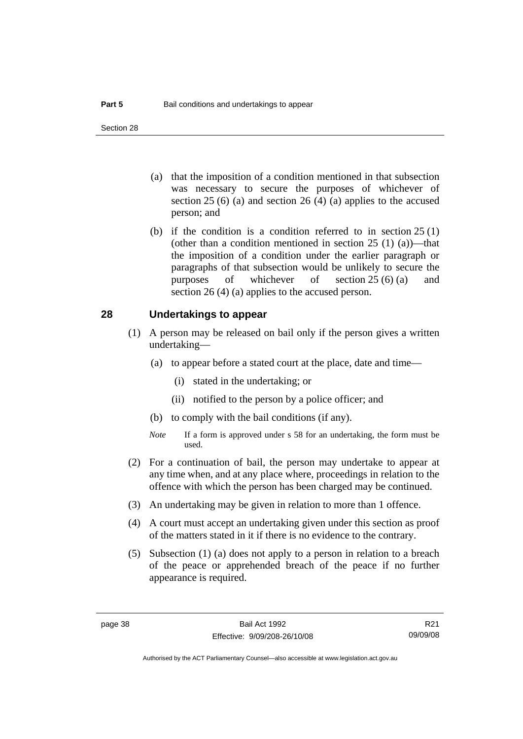- (a) that the imposition of a condition mentioned in that subsection was necessary to secure the purposes of whichever of section  $25(6)$  (a) and section  $26(4)$  (a) applies to the accused person; and
- (b) if the condition is a condition referred to in section 25 (1) (other than a condition mentioned in section  $25(1)(a)$ —that the imposition of a condition under the earlier paragraph or paragraphs of that subsection would be unlikely to secure the purposes of whichever of section 25 (6) (a) and section 26 (4) (a) applies to the accused person.

### **28 Undertakings to appear**

- (1) A person may be released on bail only if the person gives a written undertaking—
	- (a) to appear before a stated court at the place, date and time—
		- (i) stated in the undertaking; or
		- (ii) notified to the person by a police officer; and
	- (b) to comply with the bail conditions (if any).
	- *Note* If a form is approved under s 58 for an undertaking, the form must be used.
- (2) For a continuation of bail, the person may undertake to appear at any time when, and at any place where, proceedings in relation to the offence with which the person has been charged may be continued.
- (3) An undertaking may be given in relation to more than 1 offence.
- (4) A court must accept an undertaking given under this section as proof of the matters stated in it if there is no evidence to the contrary.
- (5) Subsection (1) (a) does not apply to a person in relation to a breach of the peace or apprehended breach of the peace if no further appearance is required.

R21 09/09/08

Authorised by the ACT Parliamentary Counsel—also accessible at www.legislation.act.gov.au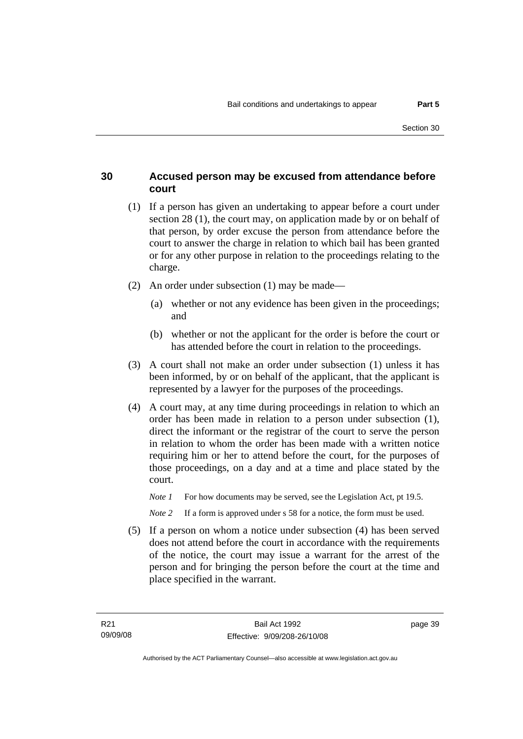### **30 Accused person may be excused from attendance before court**

- (1) If a person has given an undertaking to appear before a court under section 28 (1), the court may, on application made by or on behalf of that person, by order excuse the person from attendance before the court to answer the charge in relation to which bail has been granted or for any other purpose in relation to the proceedings relating to the charge.
- (2) An order under subsection (1) may be made—
	- (a) whether or not any evidence has been given in the proceedings; and
	- (b) whether or not the applicant for the order is before the court or has attended before the court in relation to the proceedings.
- (3) A court shall not make an order under subsection (1) unless it has been informed, by or on behalf of the applicant, that the applicant is represented by a lawyer for the purposes of the proceedings.
- (4) A court may, at any time during proceedings in relation to which an order has been made in relation to a person under subsection (1), direct the informant or the registrar of the court to serve the person in relation to whom the order has been made with a written notice requiring him or her to attend before the court, for the purposes of those proceedings, on a day and at a time and place stated by the court.
	- *Note 1* For how documents may be served, see the Legislation Act, pt 19.5.

*Note* 2 If a form is approved under s 58 for a notice, the form must be used.

 (5) If a person on whom a notice under subsection (4) has been served does not attend before the court in accordance with the requirements of the notice, the court may issue a warrant for the arrest of the person and for bringing the person before the court at the time and place specified in the warrant.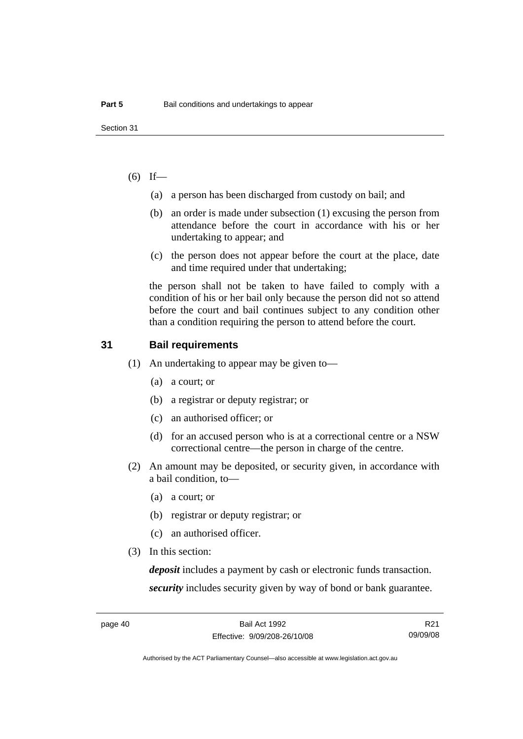### $(6)$  If—

- (a) a person has been discharged from custody on bail; and
- (b) an order is made under subsection (1) excusing the person from attendance before the court in accordance with his or her undertaking to appear; and
- (c) the person does not appear before the court at the place, date and time required under that undertaking;

the person shall not be taken to have failed to comply with a condition of his or her bail only because the person did not so attend before the court and bail continues subject to any condition other than a condition requiring the person to attend before the court.

### **31 Bail requirements**

- (1) An undertaking to appear may be given to—
	- (a) a court; or
	- (b) a registrar or deputy registrar; or
	- (c) an authorised officer; or
	- (d) for an accused person who is at a correctional centre or a NSW correctional centre—the person in charge of the centre.
- (2) An amount may be deposited, or security given, in accordance with a bail condition, to—
	- (a) a court; or
	- (b) registrar or deputy registrar; or
	- (c) an authorised officer.
- (3) In this section:

*deposit* includes a payment by cash or electronic funds transaction. *security* includes security given by way of bond or bank guarantee.

R21 09/09/08

Authorised by the ACT Parliamentary Counsel—also accessible at www.legislation.act.gov.au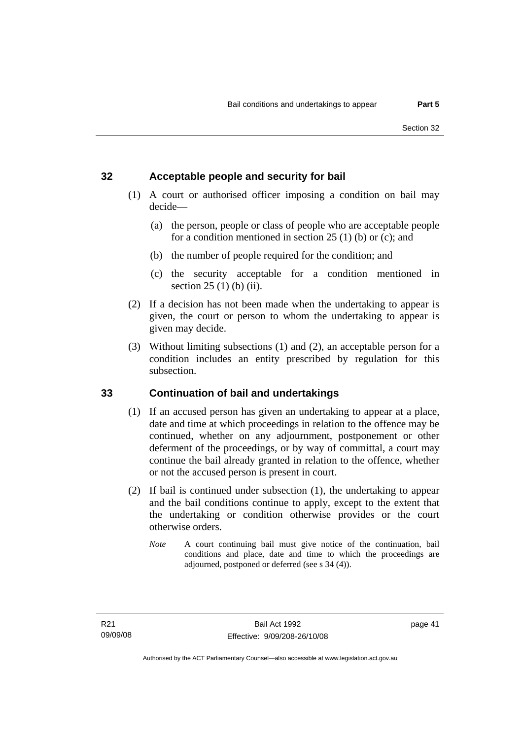### **32 Acceptable people and security for bail**

- (1) A court or authorised officer imposing a condition on bail may decide—
	- (a) the person, people or class of people who are acceptable people for a condition mentioned in section 25 (1) (b) or (c); and
	- (b) the number of people required for the condition; and
	- (c) the security acceptable for a condition mentioned in section 25 (1) (b) (ii).
- (2) If a decision has not been made when the undertaking to appear is given, the court or person to whom the undertaking to appear is given may decide.
- (3) Without limiting subsections (1) and (2), an acceptable person for a condition includes an entity prescribed by regulation for this subsection.

### **33 Continuation of bail and undertakings**

- (1) If an accused person has given an undertaking to appear at a place, date and time at which proceedings in relation to the offence may be continued, whether on any adjournment, postponement or other deferment of the proceedings, or by way of committal, a court may continue the bail already granted in relation to the offence, whether or not the accused person is present in court.
- (2) If bail is continued under subsection (1), the undertaking to appear and the bail conditions continue to apply, except to the extent that the undertaking or condition otherwise provides or the court otherwise orders.
	- *Note* A court continuing bail must give notice of the continuation, bail conditions and place, date and time to which the proceedings are adjourned, postponed or deferred (see s 34 (4)).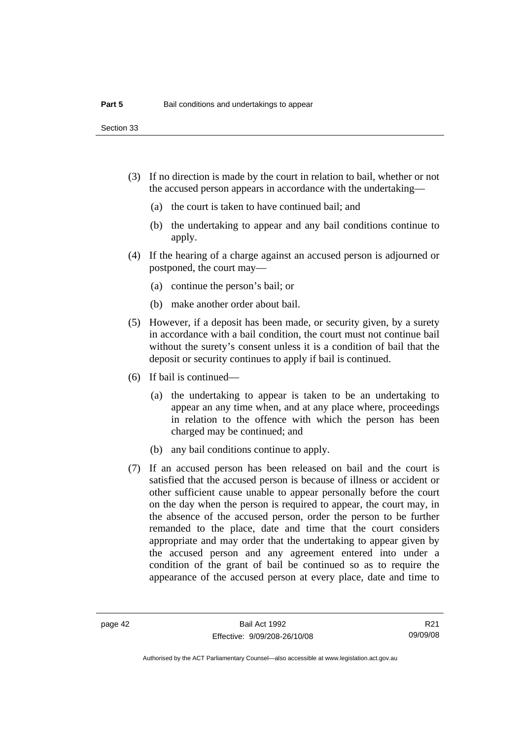Section 33

- (3) If no direction is made by the court in relation to bail, whether or not the accused person appears in accordance with the undertaking—
	- (a) the court is taken to have continued bail; and
	- (b) the undertaking to appear and any bail conditions continue to apply.
- (4) If the hearing of a charge against an accused person is adjourned or postponed, the court may—
	- (a) continue the person's bail; or
	- (b) make another order about bail.
- (5) However, if a deposit has been made, or security given, by a surety in accordance with a bail condition, the court must not continue bail without the surety's consent unless it is a condition of bail that the deposit or security continues to apply if bail is continued.
- (6) If bail is continued—
	- (a) the undertaking to appear is taken to be an undertaking to appear an any time when, and at any place where, proceedings in relation to the offence with which the person has been charged may be continued; and
	- (b) any bail conditions continue to apply.
- (7) If an accused person has been released on bail and the court is satisfied that the accused person is because of illness or accident or other sufficient cause unable to appear personally before the court on the day when the person is required to appear, the court may, in the absence of the accused person, order the person to be further remanded to the place, date and time that the court considers appropriate and may order that the undertaking to appear given by the accused person and any agreement entered into under a condition of the grant of bail be continued so as to require the appearance of the accused person at every place, date and time to

R21 09/09/08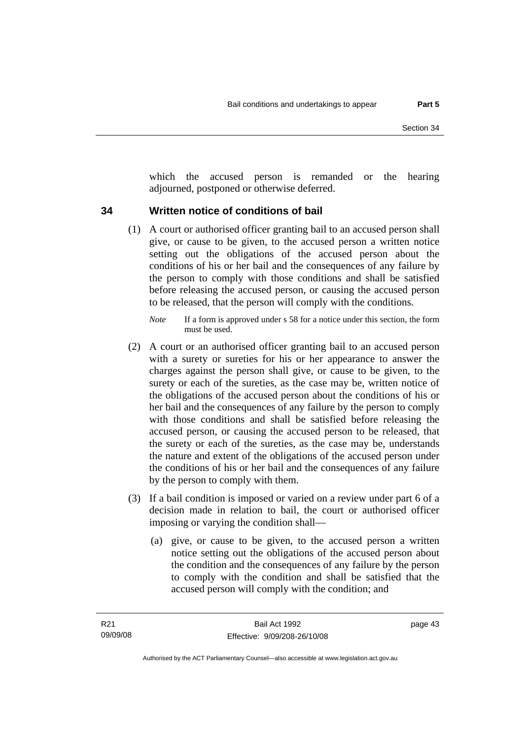which the accused person is remanded or the hearing adjourned, postponed or otherwise deferred.

### **34 Written notice of conditions of bail**

- (1) A court or authorised officer granting bail to an accused person shall give, or cause to be given, to the accused person a written notice setting out the obligations of the accused person about the conditions of his or her bail and the consequences of any failure by the person to comply with those conditions and shall be satisfied before releasing the accused person, or causing the accused person to be released, that the person will comply with the conditions.
	- *Note* If a form is approved under s 58 for a notice under this section, the form must be used.
- (2) A court or an authorised officer granting bail to an accused person with a surety or sureties for his or her appearance to answer the charges against the person shall give, or cause to be given, to the surety or each of the sureties, as the case may be, written notice of the obligations of the accused person about the conditions of his or her bail and the consequences of any failure by the person to comply with those conditions and shall be satisfied before releasing the accused person, or causing the accused person to be released, that the surety or each of the sureties, as the case may be, understands the nature and extent of the obligations of the accused person under the conditions of his or her bail and the consequences of any failure by the person to comply with them.
- (3) If a bail condition is imposed or varied on a review under part 6 of a decision made in relation to bail, the court or authorised officer imposing or varying the condition shall—
	- (a) give, or cause to be given, to the accused person a written notice setting out the obligations of the accused person about the condition and the consequences of any failure by the person to comply with the condition and shall be satisfied that the accused person will comply with the condition; and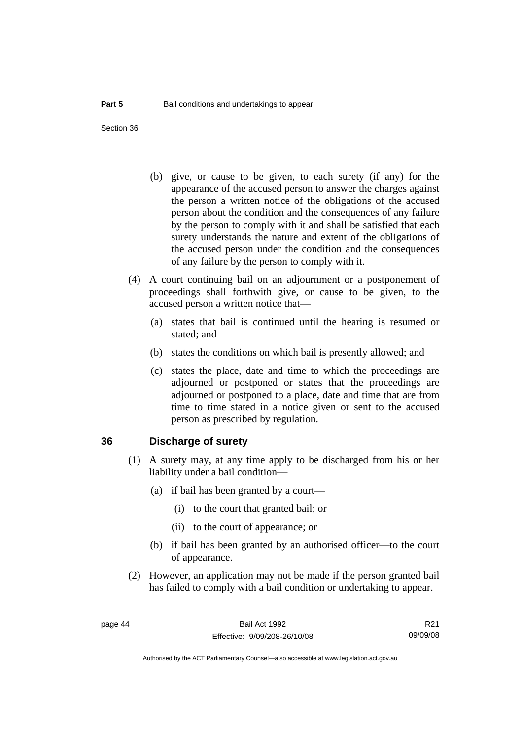Section 36

- (b) give, or cause to be given, to each surety (if any) for the appearance of the accused person to answer the charges against the person a written notice of the obligations of the accused person about the condition and the consequences of any failure by the person to comply with it and shall be satisfied that each surety understands the nature and extent of the obligations of the accused person under the condition and the consequences of any failure by the person to comply with it.
- (4) A court continuing bail on an adjournment or a postponement of proceedings shall forthwith give, or cause to be given, to the accused person a written notice that—
	- (a) states that bail is continued until the hearing is resumed or stated; and
	- (b) states the conditions on which bail is presently allowed; and
	- (c) states the place, date and time to which the proceedings are adjourned or postponed or states that the proceedings are adjourned or postponed to a place, date and time that are from time to time stated in a notice given or sent to the accused person as prescribed by regulation.

### **36 Discharge of surety**

- (1) A surety may, at any time apply to be discharged from his or her liability under a bail condition—
	- (a) if bail has been granted by a court—
		- (i) to the court that granted bail; or
		- (ii) to the court of appearance; or
	- (b) if bail has been granted by an authorised officer—to the court of appearance.
- (2) However, an application may not be made if the person granted bail has failed to comply with a bail condition or undertaking to appear.

R21 09/09/08

Authorised by the ACT Parliamentary Counsel—also accessible at www.legislation.act.gov.au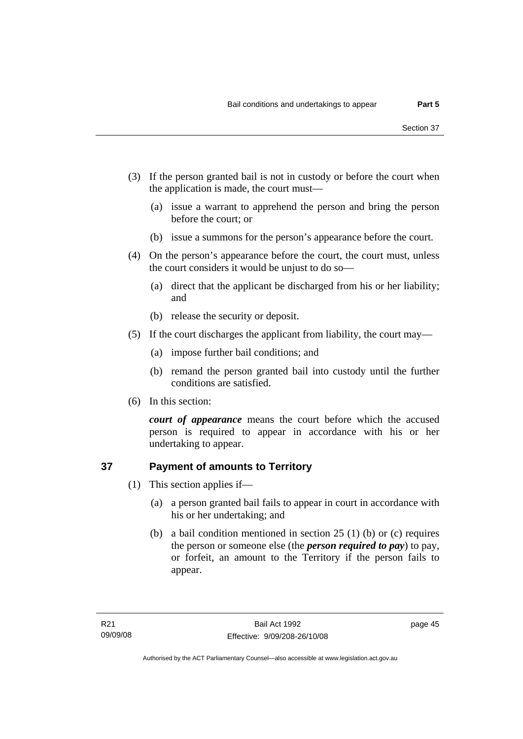- (3) If the person granted bail is not in custody or before the court when the application is made, the court must—
	- (a) issue a warrant to apprehend the person and bring the person before the court; or
	- (b) issue a summons for the person's appearance before the court.
- (4) On the person's appearance before the court, the court must, unless the court considers it would be unjust to do so—
	- (a) direct that the applicant be discharged from his or her liability; and
	- (b) release the security or deposit.
- (5) If the court discharges the applicant from liability, the court may—
	- (a) impose further bail conditions; and
	- (b) remand the person granted bail into custody until the further conditions are satisfied.
- (6) In this section:

*court of appearance* means the court before which the accused person is required to appear in accordance with his or her undertaking to appear.

## **37 Payment of amounts to Territory**

- (1) This section applies if—
	- (a) a person granted bail fails to appear in court in accordance with his or her undertaking; and
	- (b) a bail condition mentioned in section 25 (1) (b) or (c) requires the person or someone else (the *person required to pay*) to pay, or forfeit, an amount to the Territory if the person fails to appear.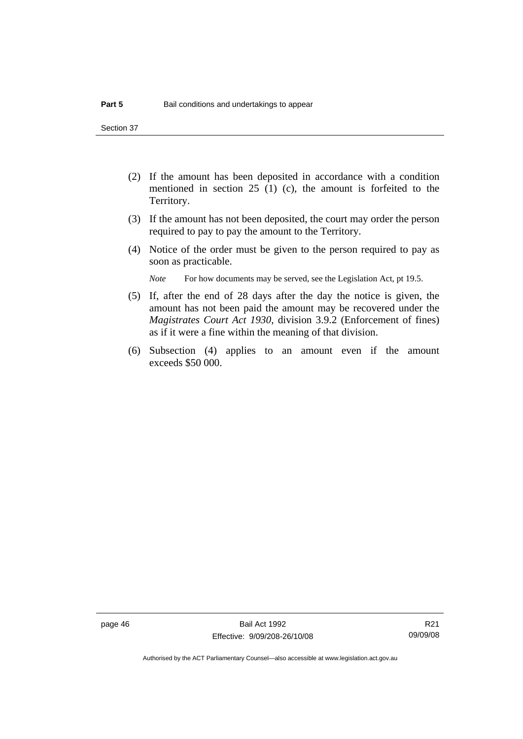Section 37

- (2) If the amount has been deposited in accordance with a condition mentioned in section 25 (1) (c), the amount is forfeited to the Territory.
- (3) If the amount has not been deposited, the court may order the person required to pay to pay the amount to the Territory.
- (4) Notice of the order must be given to the person required to pay as soon as practicable.

*Note* For how documents may be served, see the Legislation Act, pt 19.5.

- (5) If, after the end of 28 days after the day the notice is given, the amount has not been paid the amount may be recovered under the *Magistrates Court Act 1930*, division 3.9.2 (Enforcement of fines) as if it were a fine within the meaning of that division.
- (6) Subsection (4) applies to an amount even if the amount exceeds \$50 000.

R21 09/09/08

Authorised by the ACT Parliamentary Counsel—also accessible at www.legislation.act.gov.au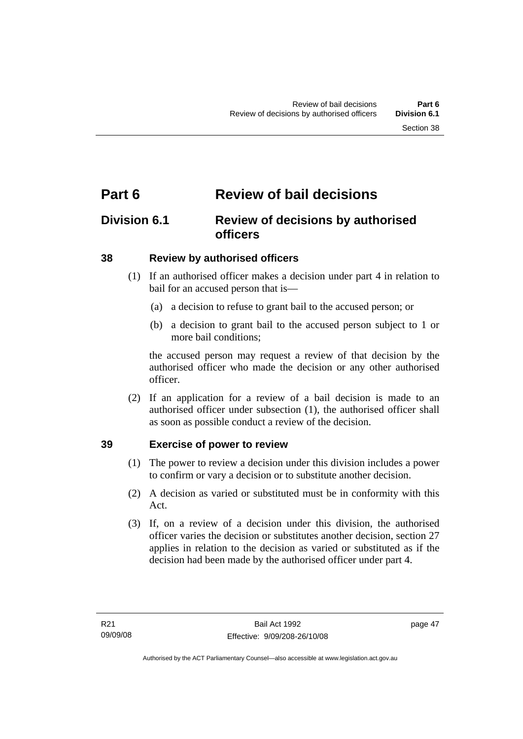# **Part 6 Review of bail decisions**

## **Division 6.1 Review of decisions by authorised officers**

### **38 Review by authorised officers**

- (1) If an authorised officer makes a decision under part 4 in relation to bail for an accused person that is—
	- (a) a decision to refuse to grant bail to the accused person; or
	- (b) a decision to grant bail to the accused person subject to 1 or more bail conditions;

the accused person may request a review of that decision by the authorised officer who made the decision or any other authorised officer.

 (2) If an application for a review of a bail decision is made to an authorised officer under subsection (1), the authorised officer shall as soon as possible conduct a review of the decision.

### **39 Exercise of power to review**

- (1) The power to review a decision under this division includes a power to confirm or vary a decision or to substitute another decision.
- (2) A decision as varied or substituted must be in conformity with this Act.
- (3) If, on a review of a decision under this division, the authorised officer varies the decision or substitutes another decision, section 27 applies in relation to the decision as varied or substituted as if the decision had been made by the authorised officer under part 4.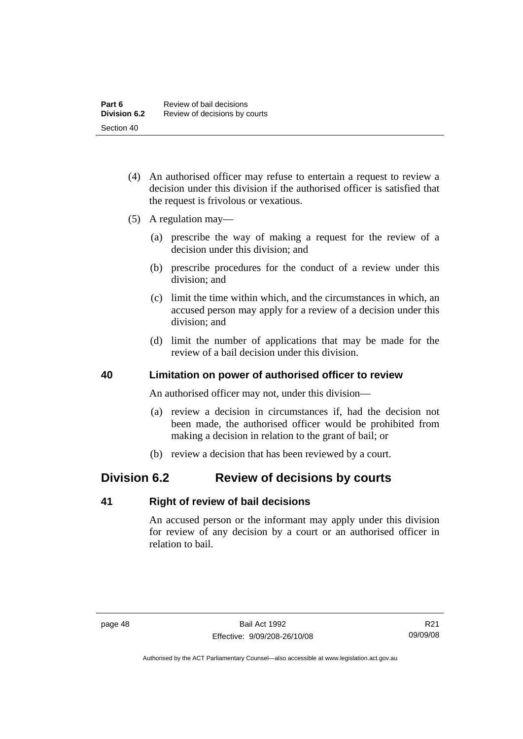- (4) An authorised officer may refuse to entertain a request to review a decision under this division if the authorised officer is satisfied that the request is frivolous or vexatious.
- (5) A regulation may—
	- (a) prescribe the way of making a request for the review of a decision under this division; and
	- (b) prescribe procedures for the conduct of a review under this division; and
	- (c) limit the time within which, and the circumstances in which, an accused person may apply for a review of a decision under this division; and
	- (d) limit the number of applications that may be made for the review of a bail decision under this division.

### **40 Limitation on power of authorised officer to review**

An authorised officer may not, under this division—

- (a) review a decision in circumstances if, had the decision not been made, the authorised officer would be prohibited from making a decision in relation to the grant of bail; or
- (b) review a decision that has been reviewed by a court.

## **Division 6.2 Review of decisions by courts**

### **41 Right of review of bail decisions**

An accused person or the informant may apply under this division for review of any decision by a court or an authorised officer in relation to bail.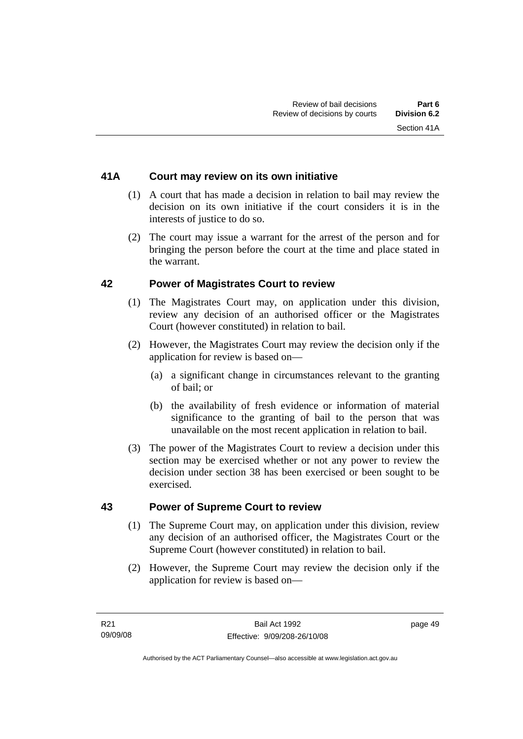### **41A Court may review on its own initiative**

- (1) A court that has made a decision in relation to bail may review the decision on its own initiative if the court considers it is in the interests of justice to do so.
- (2) The court may issue a warrant for the arrest of the person and for bringing the person before the court at the time and place stated in the warrant.

### **42 Power of Magistrates Court to review**

- (1) The Magistrates Court may, on application under this division, review any decision of an authorised officer or the Magistrates Court (however constituted) in relation to bail.
- (2) However, the Magistrates Court may review the decision only if the application for review is based on—
	- (a) a significant change in circumstances relevant to the granting of bail; or
	- (b) the availability of fresh evidence or information of material significance to the granting of bail to the person that was unavailable on the most recent application in relation to bail.
- (3) The power of the Magistrates Court to review a decision under this section may be exercised whether or not any power to review the decision under section 38 has been exercised or been sought to be exercised.

### **43 Power of Supreme Court to review**

- (1) The Supreme Court may, on application under this division, review any decision of an authorised officer, the Magistrates Court or the Supreme Court (however constituted) in relation to bail.
- (2) However, the Supreme Court may review the decision only if the application for review is based on—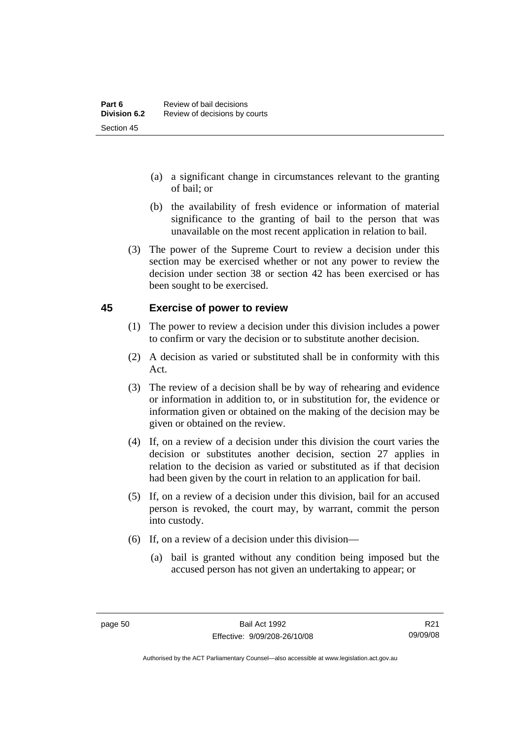- (a) a significant change in circumstances relevant to the granting of bail; or
- (b) the availability of fresh evidence or information of material significance to the granting of bail to the person that was unavailable on the most recent application in relation to bail.
- (3) The power of the Supreme Court to review a decision under this section may be exercised whether or not any power to review the decision under section 38 or section 42 has been exercised or has been sought to be exercised.

### **45 Exercise of power to review**

- (1) The power to review a decision under this division includes a power to confirm or vary the decision or to substitute another decision.
- (2) A decision as varied or substituted shall be in conformity with this Act.
- (3) The review of a decision shall be by way of rehearing and evidence or information in addition to, or in substitution for, the evidence or information given or obtained on the making of the decision may be given or obtained on the review.
- (4) If, on a review of a decision under this division the court varies the decision or substitutes another decision, section 27 applies in relation to the decision as varied or substituted as if that decision had been given by the court in relation to an application for bail.
- (5) If, on a review of a decision under this division, bail for an accused person is revoked, the court may, by warrant, commit the person into custody.
- (6) If, on a review of a decision under this division—
	- (a) bail is granted without any condition being imposed but the accused person has not given an undertaking to appear; or

R21 09/09/08

Authorised by the ACT Parliamentary Counsel—also accessible at www.legislation.act.gov.au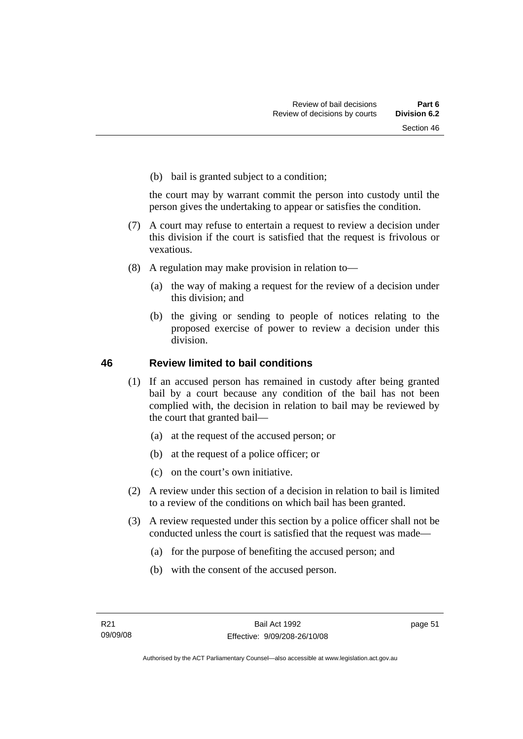(b) bail is granted subject to a condition;

the court may by warrant commit the person into custody until the person gives the undertaking to appear or satisfies the condition.

- (7) A court may refuse to entertain a request to review a decision under this division if the court is satisfied that the request is frivolous or vexatious.
- (8) A regulation may make provision in relation to—
	- (a) the way of making a request for the review of a decision under this division; and
	- (b) the giving or sending to people of notices relating to the proposed exercise of power to review a decision under this division.

### **46 Review limited to bail conditions**

- (1) If an accused person has remained in custody after being granted bail by a court because any condition of the bail has not been complied with, the decision in relation to bail may be reviewed by the court that granted bail—
	- (a) at the request of the accused person; or
	- (b) at the request of a police officer; or
	- (c) on the court's own initiative.
- (2) A review under this section of a decision in relation to bail is limited to a review of the conditions on which bail has been granted.
- (3) A review requested under this section by a police officer shall not be conducted unless the court is satisfied that the request was made—
	- (a) for the purpose of benefiting the accused person; and
	- (b) with the consent of the accused person.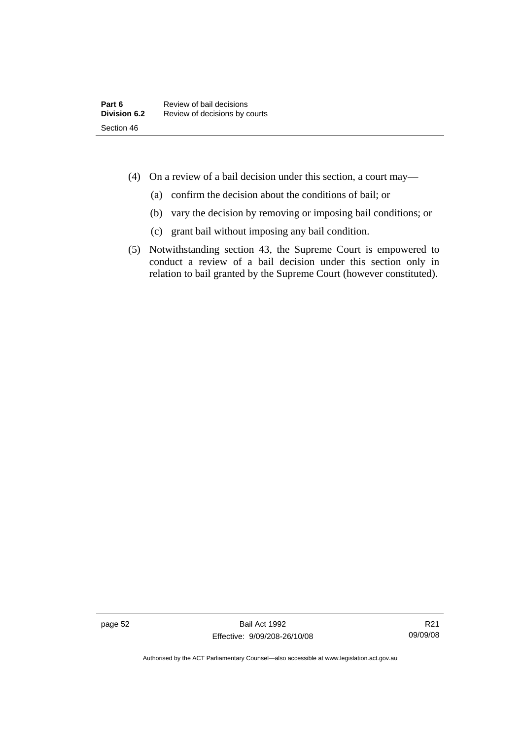- (4) On a review of a bail decision under this section, a court may—
	- (a) confirm the decision about the conditions of bail; or
	- (b) vary the decision by removing or imposing bail conditions; or
	- (c) grant bail without imposing any bail condition.
- (5) Notwithstanding section 43, the Supreme Court is empowered to conduct a review of a bail decision under this section only in relation to bail granted by the Supreme Court (however constituted).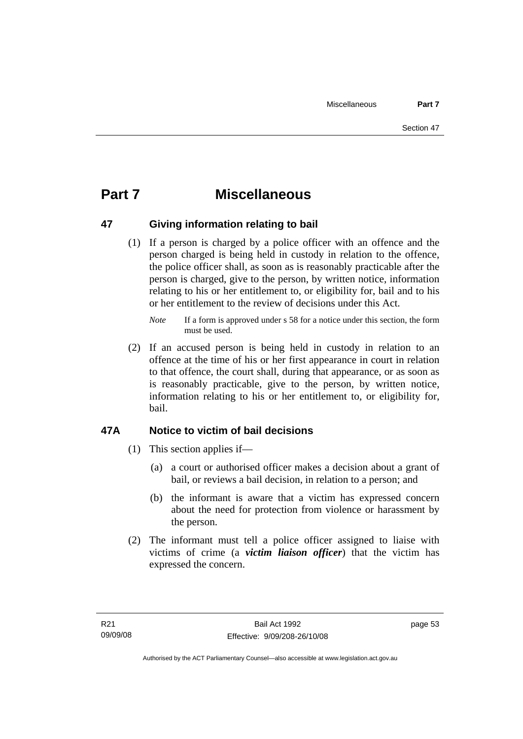# **Part 7 Miscellaneous**

### **47 Giving information relating to bail**

 (1) If a person is charged by a police officer with an offence and the person charged is being held in custody in relation to the offence, the police officer shall, as soon as is reasonably practicable after the person is charged, give to the person, by written notice, information relating to his or her entitlement to, or eligibility for, bail and to his or her entitlement to the review of decisions under this Act.

 (2) If an accused person is being held in custody in relation to an offence at the time of his or her first appearance in court in relation to that offence, the court shall, during that appearance, or as soon as is reasonably practicable, give to the person, by written notice, information relating to his or her entitlement to, or eligibility for, bail.

### **47A Notice to victim of bail decisions**

- (1) This section applies if—
	- (a) a court or authorised officer makes a decision about a grant of bail, or reviews a bail decision, in relation to a person; and
	- (b) the informant is aware that a victim has expressed concern about the need for protection from violence or harassment by the person.
- (2) The informant must tell a police officer assigned to liaise with victims of crime (a *victim liaison officer*) that the victim has expressed the concern.

*Note* If a form is approved under s 58 for a notice under this section, the form must be used.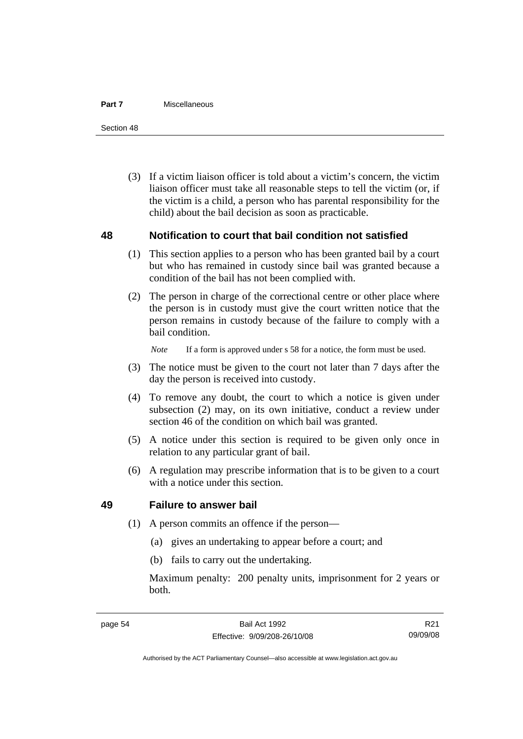#### **Part 7** Miscellaneous

Section 48

 (3) If a victim liaison officer is told about a victim's concern, the victim liaison officer must take all reasonable steps to tell the victim (or, if the victim is a child, a person who has parental responsibility for the child) about the bail decision as soon as practicable.

### **48 Notification to court that bail condition not satisfied**

- (1) This section applies to a person who has been granted bail by a court but who has remained in custody since bail was granted because a condition of the bail has not been complied with.
- (2) The person in charge of the correctional centre or other place where the person is in custody must give the court written notice that the person remains in custody because of the failure to comply with a bail condition.

*Note* If a form is approved under s 58 for a notice, the form must be used.

- (3) The notice must be given to the court not later than 7 days after the day the person is received into custody.
- (4) To remove any doubt, the court to which a notice is given under subsection (2) may, on its own initiative, conduct a review under section 46 of the condition on which bail was granted.
- (5) A notice under this section is required to be given only once in relation to any particular grant of bail.
- (6) A regulation may prescribe information that is to be given to a court with a notice under this section.

### **49 Failure to answer bail**

- (1) A person commits an offence if the person—
	- (a) gives an undertaking to appear before a court; and
	- (b) fails to carry out the undertaking.

Maximum penalty: 200 penalty units, imprisonment for 2 years or both.

R21 09/09/08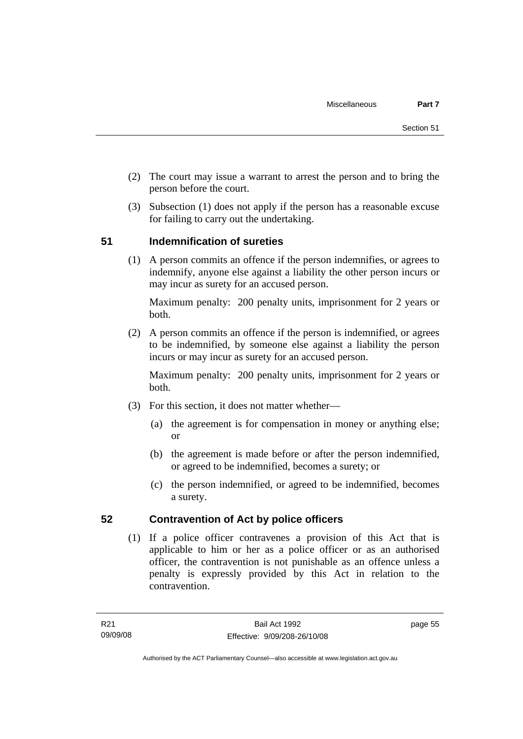- (2) The court may issue a warrant to arrest the person and to bring the person before the court.
- (3) Subsection (1) does not apply if the person has a reasonable excuse for failing to carry out the undertaking.

## **51 Indemnification of sureties**

 (1) A person commits an offence if the person indemnifies, or agrees to indemnify, anyone else against a liability the other person incurs or may incur as surety for an accused person.

Maximum penalty: 200 penalty units, imprisonment for 2 years or both.

 (2) A person commits an offence if the person is indemnified, or agrees to be indemnified, by someone else against a liability the person incurs or may incur as surety for an accused person.

Maximum penalty: 200 penalty units, imprisonment for 2 years or both.

- (3) For this section, it does not matter whether—
	- (a) the agreement is for compensation in money or anything else; or
	- (b) the agreement is made before or after the person indemnified, or agreed to be indemnified, becomes a surety; or
	- (c) the person indemnified, or agreed to be indemnified, becomes a surety.

### **52 Contravention of Act by police officers**

 (1) If a police officer contravenes a provision of this Act that is applicable to him or her as a police officer or as an authorised officer, the contravention is not punishable as an offence unless a penalty is expressly provided by this Act in relation to the contravention.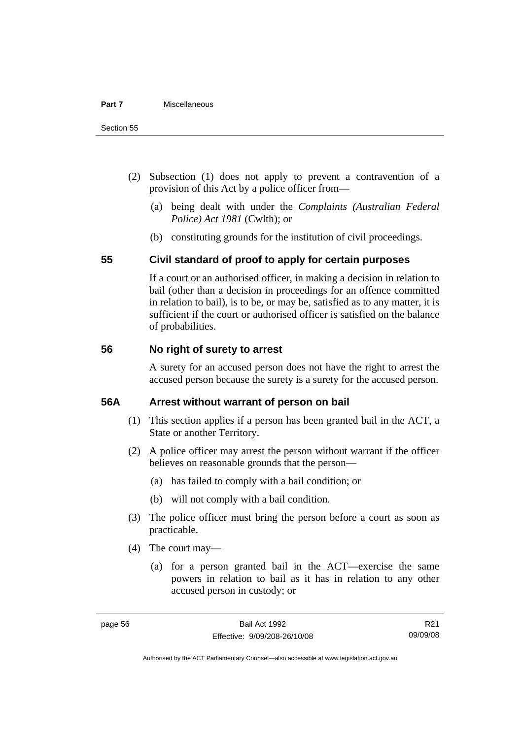- (2) Subsection (1) does not apply to prevent a contravention of a provision of this Act by a police officer from—
	- (a) being dealt with under the *Complaints (Australian Federal Police) Act 1981* (Cwlth); or
	- (b) constituting grounds for the institution of civil proceedings.

### **55 Civil standard of proof to apply for certain purposes**

If a court or an authorised officer, in making a decision in relation to bail (other than a decision in proceedings for an offence committed in relation to bail), is to be, or may be, satisfied as to any matter, it is sufficient if the court or authorised officer is satisfied on the balance of probabilities.

### **56 No right of surety to arrest**

A surety for an accused person does not have the right to arrest the accused person because the surety is a surety for the accused person.

### **56A Arrest without warrant of person on bail**

- (1) This section applies if a person has been granted bail in the ACT, a State or another Territory.
- (2) A police officer may arrest the person without warrant if the officer believes on reasonable grounds that the person—
	- (a) has failed to comply with a bail condition; or
	- (b) will not comply with a bail condition.
- (3) The police officer must bring the person before a court as soon as practicable.
- (4) The court may—
	- (a) for a person granted bail in the ACT—exercise the same powers in relation to bail as it has in relation to any other accused person in custody; or

R21 09/09/08

Authorised by the ACT Parliamentary Counsel—also accessible at www.legislation.act.gov.au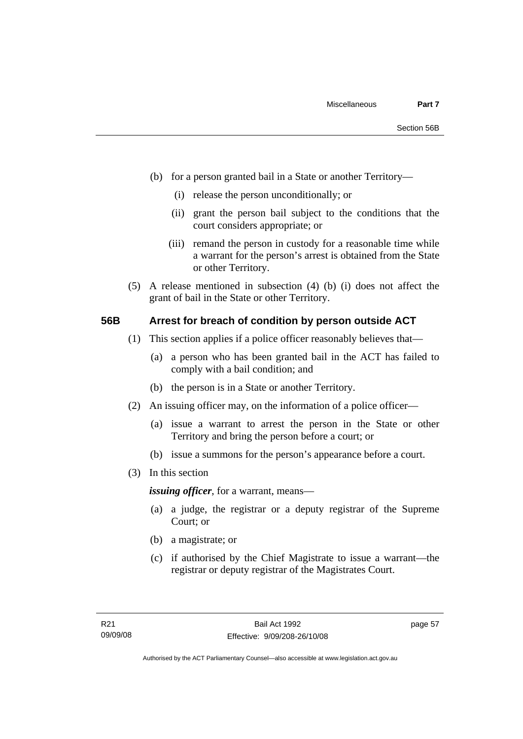- (b) for a person granted bail in a State or another Territory—
	- (i) release the person unconditionally; or
	- (ii) grant the person bail subject to the conditions that the court considers appropriate; or
	- (iii) remand the person in custody for a reasonable time while a warrant for the person's arrest is obtained from the State or other Territory.
- (5) A release mentioned in subsection (4) (b) (i) does not affect the grant of bail in the State or other Territory.

### **56B Arrest for breach of condition by person outside ACT**

- (1) This section applies if a police officer reasonably believes that—
	- (a) a person who has been granted bail in the ACT has failed to comply with a bail condition; and
	- (b) the person is in a State or another Territory.
- (2) An issuing officer may, on the information of a police officer—
	- (a) issue a warrant to arrest the person in the State or other Territory and bring the person before a court; or
	- (b) issue a summons for the person's appearance before a court.
- (3) In this section

*issuing officer*, for a warrant, means—

- (a) a judge, the registrar or a deputy registrar of the Supreme Court; or
- (b) a magistrate; or
- (c) if authorised by the Chief Magistrate to issue a warrant—the registrar or deputy registrar of the Magistrates Court.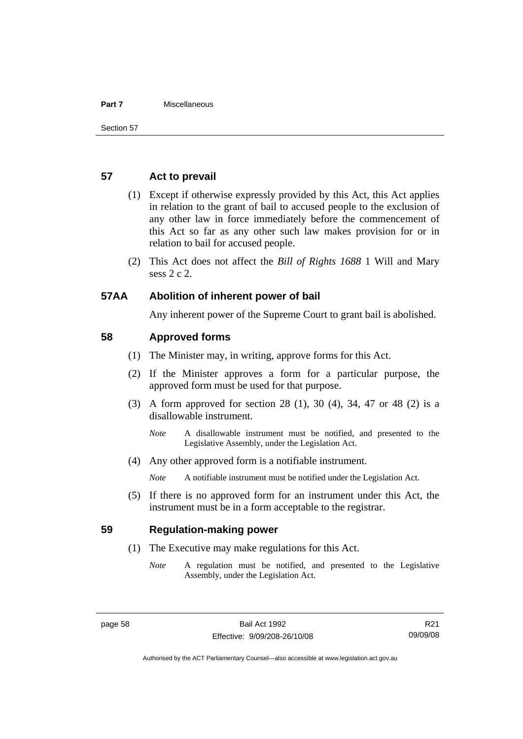#### **Part 7** Miscellaneous

### **57 Act to prevail**

- (1) Except if otherwise expressly provided by this Act, this Act applies in relation to the grant of bail to accused people to the exclusion of any other law in force immediately before the commencement of this Act so far as any other such law makes provision for or in relation to bail for accused people.
- (2) This Act does not affect the *Bill of Rights 1688* 1 Will and Mary sess 2 c 2.

### **57AA Abolition of inherent power of bail**

Any inherent power of the Supreme Court to grant bail is abolished.

### **58 Approved forms**

- (1) The Minister may, in writing, approve forms for this Act.
- (2) If the Minister approves a form for a particular purpose, the approved form must be used for that purpose.
- (3) A form approved for section 28 (1), 30 (4), 34, 47 or 48 (2) is a disallowable instrument.
	- *Note* A disallowable instrument must be notified, and presented to the Legislative Assembly, under the Legislation Act.
- (4) Any other approved form is a notifiable instrument.

*Note* A notifiable instrument must be notified under the Legislation Act.

 (5) If there is no approved form for an instrument under this Act, the instrument must be in a form acceptable to the registrar.

### **59 Regulation-making power**

- (1) The Executive may make regulations for this Act.
	- *Note* A regulation must be notified, and presented to the Legislative Assembly, under the Legislation Act.

R21 09/09/08

Authorised by the ACT Parliamentary Counsel—also accessible at www.legislation.act.gov.au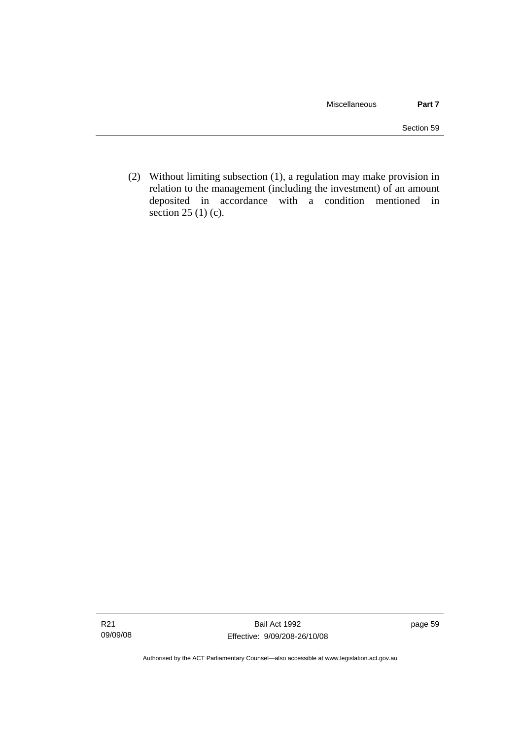(2) Without limiting subsection (1), a regulation may make provision in relation to the management (including the investment) of an amount deposited in accordance with a condition mentioned in section 25 (1) (c).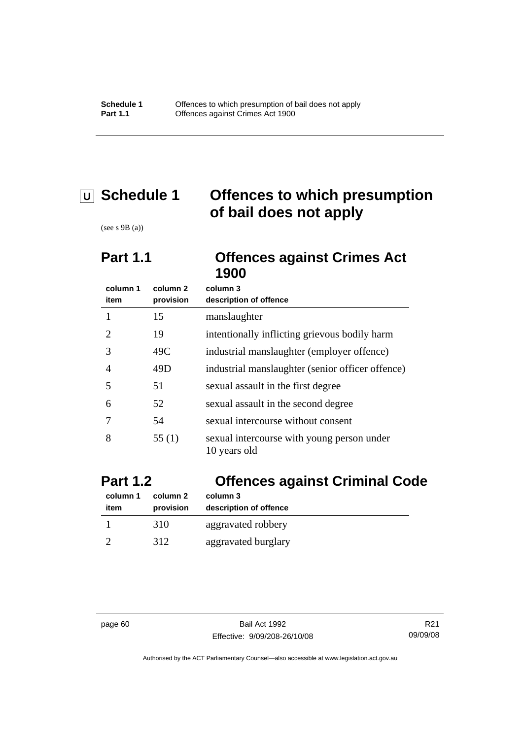# **U Schedule 1 Offences to which presumption of bail does not apply**

(see s 9B (a))

## **Part 1.1 Offences against Crimes Act 1900**

| column 1<br>item | column 2<br>provision | column 3<br>description of offence                         |
|------------------|-----------------------|------------------------------------------------------------|
|                  | 15                    | manslaughter                                               |
| 2                | 19                    | intentionally inflicting grievous bodily harm              |
| 3                | 49C                   | industrial manslaughter (employer offence)                 |
| 4                | 49D                   | industrial manslaughter (senior officer offence)           |
| 5                | 51                    | sexual assault in the first degree                         |
| 6                | 52                    | sexual assault in the second degree                        |
|                  | 54                    | sexual intercourse without consent                         |
| 8                | 55 $(1)$              | sexual intercourse with young person under<br>10 years old |

| <b>Part 1.2</b>  |                       | <b>Offences against Criminal Code</b> |  |
|------------------|-----------------------|---------------------------------------|--|
| column 1<br>item | column 2<br>provision | column 3<br>description of offence    |  |
|                  | 310                   | aggravated robbery                    |  |
|                  | 312                   | aggravated burglary                   |  |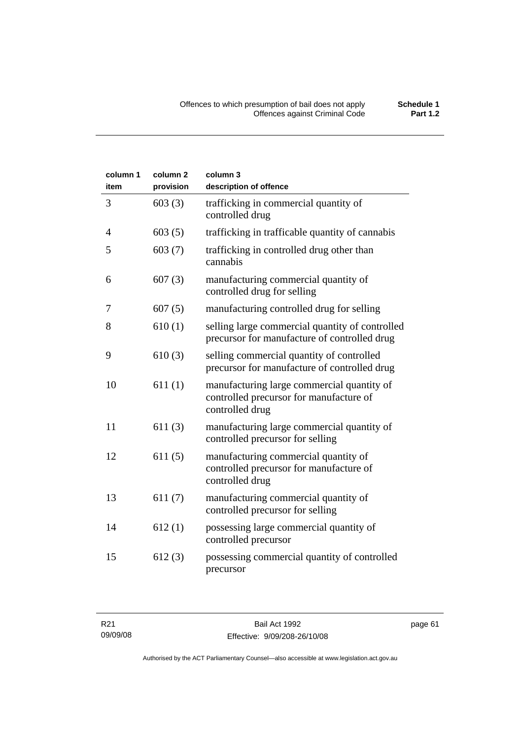| column 1<br>item | column <sub>2</sub><br>provision | column 3<br>description of offence                                                                       |
|------------------|----------------------------------|----------------------------------------------------------------------------------------------------------|
| 3                | 603(3)                           | trafficking in commercial quantity of<br>controlled drug                                                 |
| 4                | 603(5)                           | trafficking in trafficable quantity of cannabis                                                          |
| 5                | 603(7)                           | trafficking in controlled drug other than<br>cannabis                                                    |
| 6                | 607(3)                           | manufacturing commercial quantity of<br>controlled drug for selling                                      |
| 7                | 607(5)                           | manufacturing controlled drug for selling                                                                |
| 8                | 610(1)                           | selling large commercial quantity of controlled<br>precursor for manufacture of controlled drug          |
| 9                | 610(3)                           | selling commercial quantity of controlled<br>precursor for manufacture of controlled drug                |
| 10               | 611(1)                           | manufacturing large commercial quantity of<br>controlled precursor for manufacture of<br>controlled drug |
| 11               | 611(3)                           | manufacturing large commercial quantity of<br>controlled precursor for selling                           |
| 12               | 611(5)                           | manufacturing commercial quantity of<br>controlled precursor for manufacture of<br>controlled drug       |
| 13               | 611(7)                           | manufacturing commercial quantity of<br>controlled precursor for selling                                 |
| 14               | 612(1)                           | possessing large commercial quantity of<br>controlled precursor                                          |
| 15               | 612(3)                           | possessing commercial quantity of controlled<br>precursor                                                |

page 61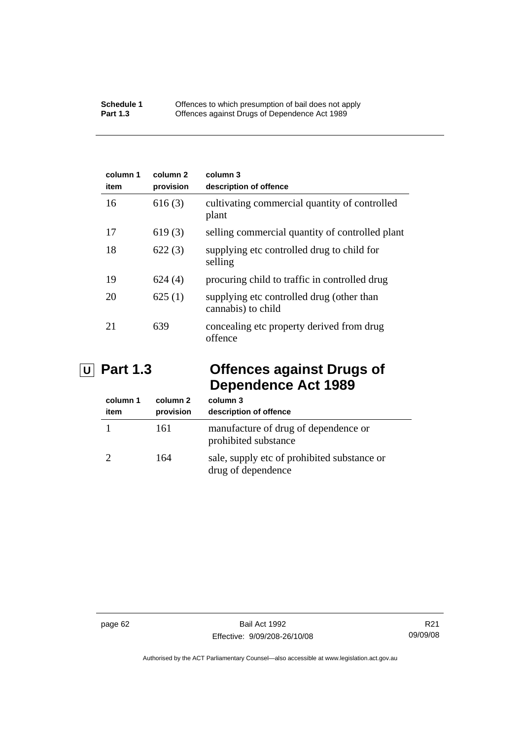| column 1<br>item | column 2<br>provision | column 3<br>description of offence                              |
|------------------|-----------------------|-----------------------------------------------------------------|
| 16               | 616(3)                | cultivating commercial quantity of controlled<br>plant          |
| 17               | 619(3)                | selling commercial quantity of controlled plant                 |
| 18               | 622(3)                | supplying etc controlled drug to child for<br>selling           |
| 19               | 624(4)                | procuring child to traffic in controlled drug                   |
| 20               | 625(1)                | supplying etc controlled drug (other than<br>cannabis) to child |
| 21               | 639                   | concealing etc property derived from drug<br>offence            |

# **U Part 1.3 Offences against Drugs of Dependence Act 1989**

| column 1<br>item | column 2<br>provision | column 3<br>description of offence                                |
|------------------|-----------------------|-------------------------------------------------------------------|
|                  | 161                   | manufacture of drug of dependence or<br>prohibited substance      |
|                  | 164                   | sale, supply etc of prohibited substance or<br>drug of dependence |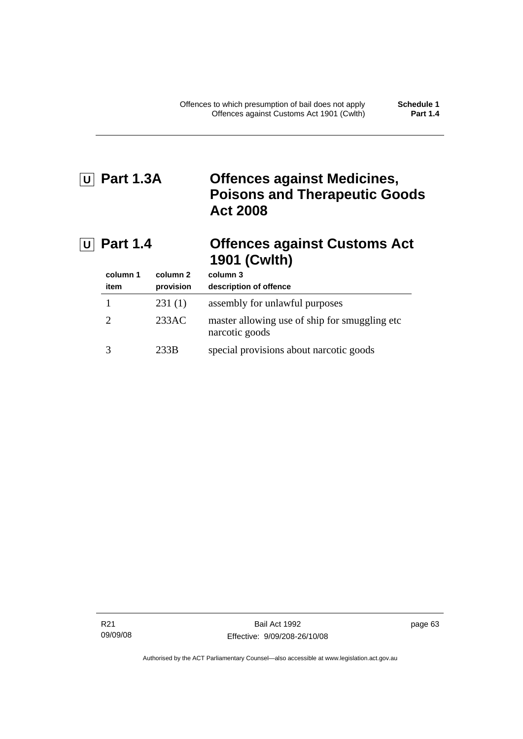# **U Part 1.3A Offences against Medicines, Poisons and Therapeutic Goods Act 2008**

# **U Part 1.4 Offences against Customs Act 1901 (Cwlth)**

| column 1<br>item | column 2<br>provision | column 3<br>description of offence                               |
|------------------|-----------------------|------------------------------------------------------------------|
|                  | 231(1)                | assembly for unlawful purposes                                   |
| $\mathcal{L}$    | 233AC                 | master allowing use of ship for smuggling etc.<br>narcotic goods |
|                  | 233B                  | special provisions about narcotic goods                          |

R21 09/09/08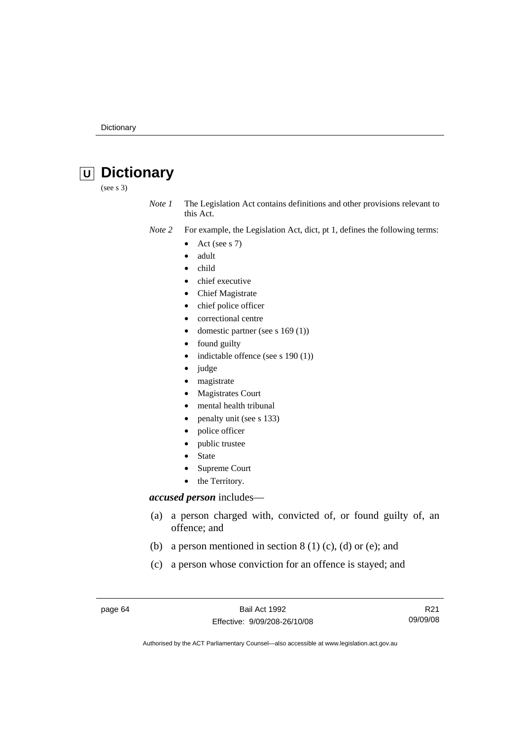# **U Dictionary**

(see s 3)

*Note 1* The Legislation Act contains definitions and other provisions relevant to this Act.

- *Note 2* For example, the Legislation Act, dict, pt 1, defines the following terms:
	- Act (see s  $7$ )
	- adult
	- child
	- chief executive
	- Chief Magistrate
	- chief police officer
	- correctional centre
	- domestic partner (see s 169 (1))
	- found guilty
	- indictable offence (see s 190 (1))
	- judge
	- magistrate
	- Magistrates Court
	- mental health tribunal
	- penalty unit (see s 133)
	- police officer
	- public trustee
	- **State**
	- Supreme Court
	- the Territory.

### *accused person* includes—

- (a) a person charged with, convicted of, or found guilty of, an offence; and
- (b) a person mentioned in section  $8(1)(c)$ , (d) or (e); and
- (c) a person whose conviction for an offence is stayed; and

page 64 Bail Act 1992 Effective: 9/09/208-26/10/08

R21 09/09/08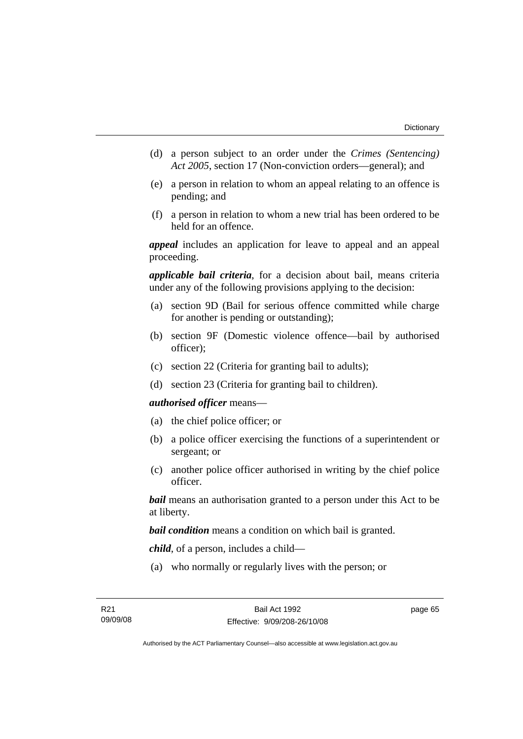- (d) a person subject to an order under the *Crimes (Sentencing) Act 2005*, section 17 (Non-conviction orders—general); and
- (e) a person in relation to whom an appeal relating to an offence is pending; and
- (f) a person in relation to whom a new trial has been ordered to be held for an offence.

*appeal* includes an application for leave to appeal and an appeal proceeding.

*applicable bail criteria*, for a decision about bail, means criteria under any of the following provisions applying to the decision:

- (a) section 9D (Bail for serious offence committed while charge for another is pending or outstanding);
- (b) section 9F (Domestic violence offence—bail by authorised officer);
- (c) section 22 (Criteria for granting bail to adults);
- (d) section 23 (Criteria for granting bail to children).

#### *authorised officer* means—

- (a) the chief police officer; or
- (b) a police officer exercising the functions of a superintendent or sergeant; or
- (c) another police officer authorised in writing by the chief police officer.

*bail* means an authorisation granted to a person under this Act to be at liberty.

*bail condition* means a condition on which bail is granted.

*child*, of a person, includes a child—

(a) who normally or regularly lives with the person; or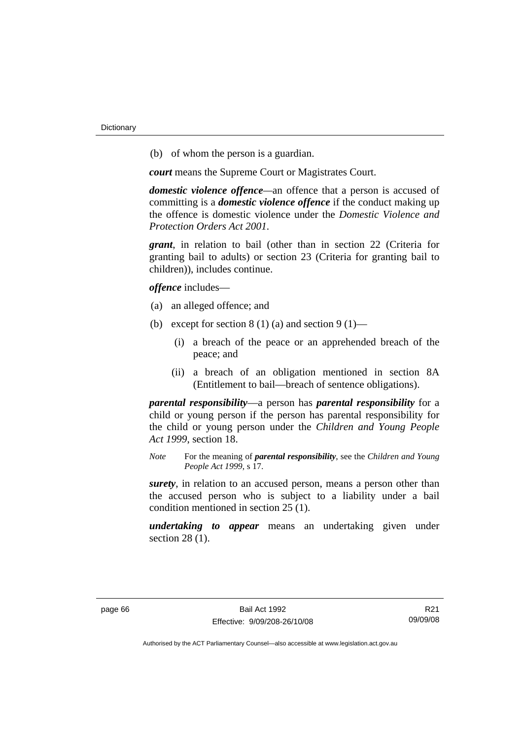(b) of whom the person is a guardian.

*court* means the Supreme Court or Magistrates Court.

*domestic violence offence—*an offence that a person is accused of committing is a *domestic violence offence* if the conduct making up the offence is domestic violence under the *Domestic Violence and Protection Orders Act 2001*.

*grant*, in relation to bail (other than in section 22 (Criteria for granting bail to adults) or section 23 (Criteria for granting bail to children)), includes continue.

*offence* includes—

- (a) an alleged offence; and
- (b) except for section  $8(1)(a)$  and section  $9(1)$ 
	- (i) a breach of the peace or an apprehended breach of the peace; and
	- (ii) a breach of an obligation mentioned in section 8A (Entitlement to bail—breach of sentence obligations).

*parental responsibility*—a person has *parental responsibility* for a child or young person if the person has parental responsibility for the child or young person under the *Children and Young People Act 1999*, section 18.

*Note* For the meaning of *parental responsibility*, see the *Children and Young People Act 1999*, s 17.

*surety*, in relation to an accused person, means a person other than the accused person who is subject to a liability under a bail condition mentioned in section 25 (1).

*undertaking to appear* means an undertaking given under section 28 (1).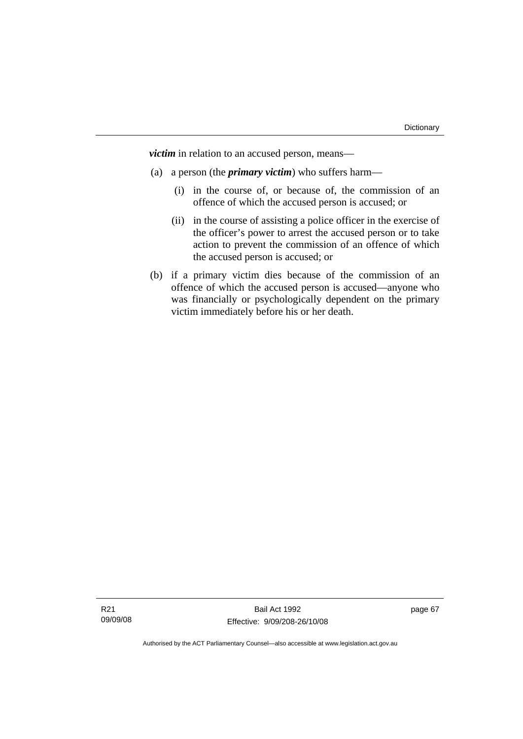*victim* in relation to an accused person, means—

- (a) a person (the *primary victim*) who suffers harm—
	- (i) in the course of, or because of, the commission of an offence of which the accused person is accused; or
	- (ii) in the course of assisting a police officer in the exercise of the officer's power to arrest the accused person or to take action to prevent the commission of an offence of which the accused person is accused; or
- (b) if a primary victim dies because of the commission of an offence of which the accused person is accused—anyone who was financially or psychologically dependent on the primary victim immediately before his or her death.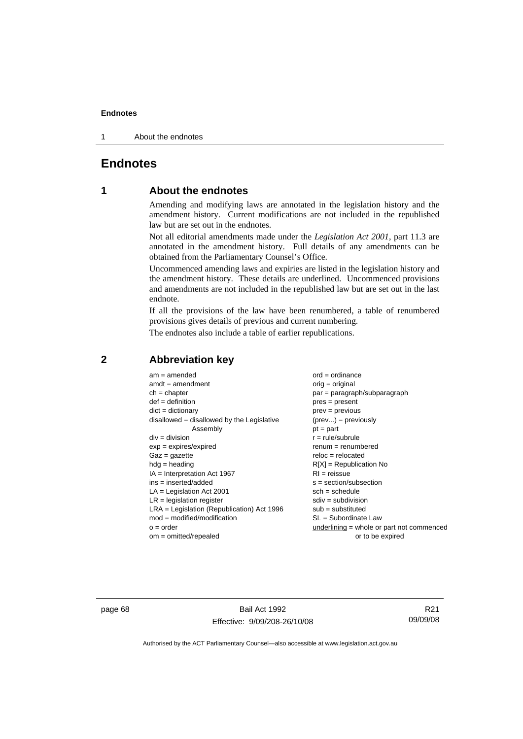1 About the endnotes

# **Endnotes**

## **1 About the endnotes**

Amending and modifying laws are annotated in the legislation history and the amendment history. Current modifications are not included in the republished law but are set out in the endnotes.

Not all editorial amendments made under the *Legislation Act 2001*, part 11.3 are annotated in the amendment history. Full details of any amendments can be obtained from the Parliamentary Counsel's Office.

Uncommenced amending laws and expiries are listed in the legislation history and the amendment history. These details are underlined. Uncommenced provisions and amendments are not included in the republished law but are set out in the last endnote.

If all the provisions of the law have been renumbered, a table of renumbered provisions gives details of previous and current numbering.

The endnotes also include a table of earlier republications.

| $am = amended$                               | $ord = ordinance$                         |
|----------------------------------------------|-------------------------------------------|
| $amdt = amendment$                           | $orig = original$                         |
| $ch = chapter$                               | $par = paragraph/subparagraph$            |
| $def = definition$                           | $pres = present$                          |
| $dict = dictionary$                          | $prev = previous$                         |
| disallowed = disallowed by the Legislative   | $(\text{prev}) = \text{previously}$       |
| Assembly                                     | $pt = part$                               |
| $div = division$                             | $r = rule/subrule$                        |
| $exp = expires/expired$                      | $renum = renumbered$                      |
| $Gaz = gazette$                              | $reloc = relocated$                       |
| $hdg =$ heading                              | $R[X]$ = Republication No                 |
| $IA = Interpretation Act 1967$               | $RI = reissue$                            |
| $ins = inserted/added$                       | $s = section/subsection$                  |
| $LA =$ Legislation Act 2001                  | $sch = schedule$                          |
| $LR =$ legislation register                  | $sdiv = subdivision$                      |
| $LRA =$ Legislation (Republication) Act 1996 | $sub = substituted$                       |
| $mod = modified/modification$                | SL = Subordinate Law                      |
| $o = order$                                  | underlining = whole or part not commenced |
| $om = omitted/report$                        | or to be expired                          |
|                                              |                                           |

## **2 Abbreviation key**

page 68 Bail Act 1992 Effective: 9/09/208-26/10/08

R21 09/09/08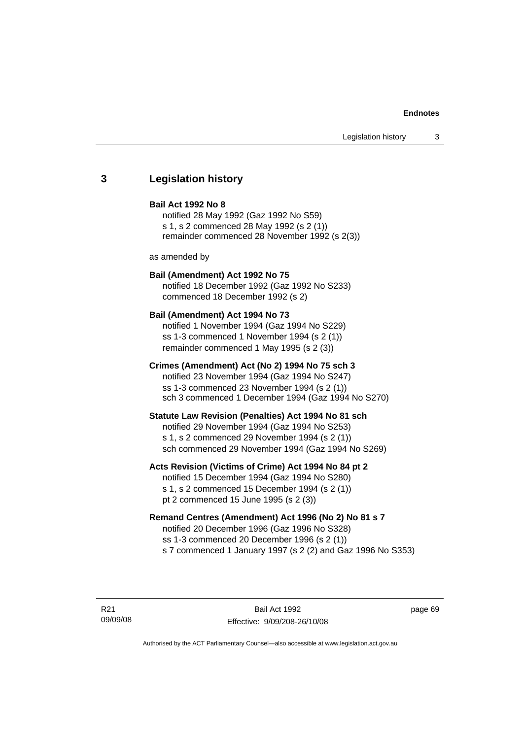## **3 Legislation history**

#### **Bail Act 1992 No 8**

notified 28 May 1992 (Gaz 1992 No S59) s 1, s 2 commenced 28 May 1992 (s 2 (1)) remainder commenced 28 November 1992 (s 2(3))

as amended by

## **Bail (Amendment) Act 1992 No 75**

notified 18 December 1992 (Gaz 1992 No S233) commenced 18 December 1992 (s 2)

#### **Bail (Amendment) Act 1994 No 73**

notified 1 November 1994 (Gaz 1994 No S229) ss 1-3 commenced 1 November 1994 (s 2 (1)) remainder commenced 1 May 1995 (s 2 (3))

#### **Crimes (Amendment) Act (No 2) 1994 No 75 sch 3**

notified 23 November 1994 (Gaz 1994 No S247) ss 1-3 commenced 23 November 1994 (s 2 (1)) sch 3 commenced 1 December 1994 (Gaz 1994 No S270)

#### **Statute Law Revision (Penalties) Act 1994 No 81 sch**

notified 29 November 1994 (Gaz 1994 No S253) s 1, s 2 commenced 29 November 1994 (s 2 (1)) sch commenced 29 November 1994 (Gaz 1994 No S269)

### **Acts Revision (Victims of Crime) Act 1994 No 84 pt 2**

notified 15 December 1994 (Gaz 1994 No S280) s 1, s 2 commenced 15 December 1994 (s 2 (1)) pt 2 commenced 15 June 1995 (s 2 (3))

## **Remand Centres (Amendment) Act 1996 (No 2) No 81 s 7**

notified 20 December 1996 (Gaz 1996 No S328) ss 1-3 commenced 20 December 1996 (s 2 (1)) s 7 commenced 1 January 1997 (s 2 (2) and Gaz 1996 No S353)

R21 09/09/08

Bail Act 1992 Effective: 9/09/208-26/10/08 page 69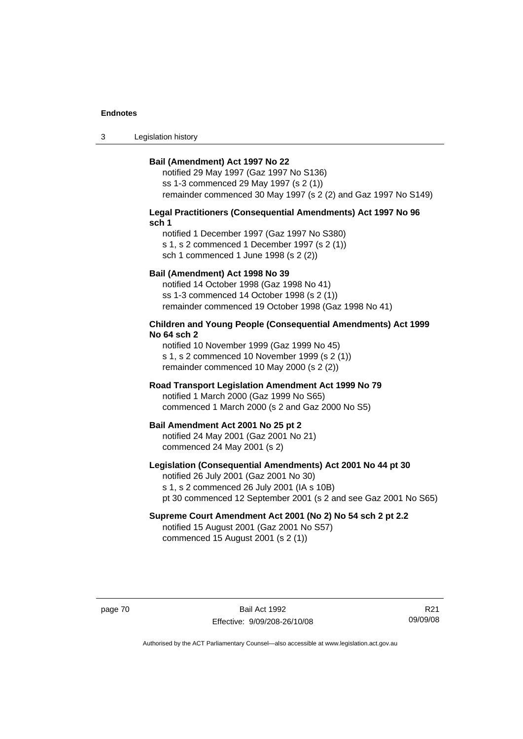3 Legislation history

#### **Bail (Amendment) Act 1997 No 22**

notified 29 May 1997 (Gaz 1997 No S136) ss 1-3 commenced 29 May 1997 (s 2 (1)) remainder commenced 30 May 1997 (s 2 (2) and Gaz 1997 No S149)

#### **Legal Practitioners (Consequential Amendments) Act 1997 No 96 sch 1**

notified 1 December 1997 (Gaz 1997 No S380) s 1, s 2 commenced 1 December 1997 (s 2 (1)) sch 1 commenced 1 June 1998 (s 2 (2))

### **Bail (Amendment) Act 1998 No 39**

notified 14 October 1998 (Gaz 1998 No 41) ss 1-3 commenced 14 October 1998 (s 2 (1)) remainder commenced 19 October 1998 (Gaz 1998 No 41)

#### **Children and Young People (Consequential Amendments) Act 1999 No 64 sch 2**

notified 10 November 1999 (Gaz 1999 No 45) s 1, s 2 commenced 10 November 1999 (s 2 (1)) remainder commenced 10 May 2000 (s 2 (2))

#### **Road Transport Legislation Amendment Act 1999 No 79**

notified 1 March 2000 (Gaz 1999 No S65) commenced 1 March 2000 (s 2 and Gaz 2000 No S5)

#### **Bail Amendment Act 2001 No 25 pt 2**

notified 24 May 2001 (Gaz 2001 No 21) commenced 24 May 2001 (s 2)

### **Legislation (Consequential Amendments) Act 2001 No 44 pt 30**

notified 26 July 2001 (Gaz 2001 No 30) s 1, s 2 commenced 26 July 2001 (IA s 10B) pt 30 commenced 12 September 2001 (s 2 and see Gaz 2001 No S65)

# **Supreme Court Amendment Act 2001 (No 2) No 54 sch 2 pt 2.2**

notified 15 August 2001 (Gaz 2001 No S57) commenced 15 August 2001 (s 2 (1))

page 70 Bail Act 1992 Effective: 9/09/208-26/10/08

R21 09/09/08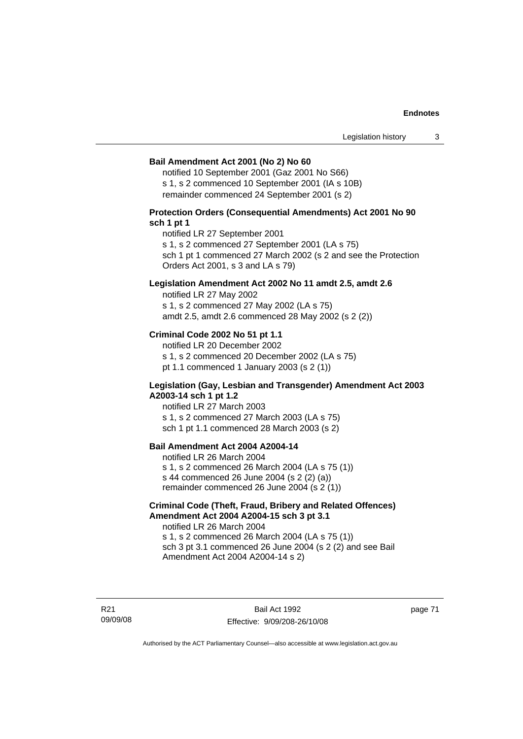#### **Bail Amendment Act 2001 (No 2) No 60**

notified 10 September 2001 (Gaz 2001 No S66) s 1, s 2 commenced 10 September 2001 (IA s 10B) remainder commenced 24 September 2001 (s 2)

### **Protection Orders (Consequential Amendments) Act 2001 No 90 sch 1 pt 1**

notified LR 27 September 2001

s 1, s 2 commenced 27 September 2001 (LA s 75)

sch 1 pt 1 commenced 27 March 2002 (s 2 and see the Protection Orders Act 2001, s 3 and LA s 79)

#### **Legislation Amendment Act 2002 No 11 amdt 2.5, amdt 2.6**

notified LR 27 May 2002 s 1, s 2 commenced 27 May 2002 (LA s 75) amdt 2.5, amdt 2.6 commenced 28 May 2002 (s 2 (2))

### **Criminal Code 2002 No 51 pt 1.1**

notified LR 20 December 2002 s 1, s 2 commenced 20 December 2002 (LA s 75) pt 1.1 commenced 1 January 2003 (s 2 (1))

#### **Legislation (Gay, Lesbian and Transgender) Amendment Act 2003 A2003-14 sch 1 pt 1.2**

notified LR 27 March 2003 s 1, s 2 commenced 27 March 2003 (LA s 75) sch 1 pt 1.1 commenced 28 March 2003 (s 2)

## **Bail Amendment Act 2004 A2004-14**

notified LR 26 March 2004 s 1, s 2 commenced 26 March 2004 (LA s 75 (1)) s 44 commenced 26 June 2004 (s 2 (2) (a)) remainder commenced 26 June 2004 (s 2 (1))

## **Criminal Code (Theft, Fraud, Bribery and Related Offences) Amendment Act 2004 A2004-15 sch 3 pt 3.1**

notified LR 26 March 2004 s 1, s 2 commenced 26 March 2004 (LA s 75 (1)) sch 3 pt 3.1 commenced 26 June 2004 (s 2 (2) and see Bail Amendment Act 2004 A2004-14 s 2)

R21 09/09/08

Bail Act 1992 Effective: 9/09/208-26/10/08 page 71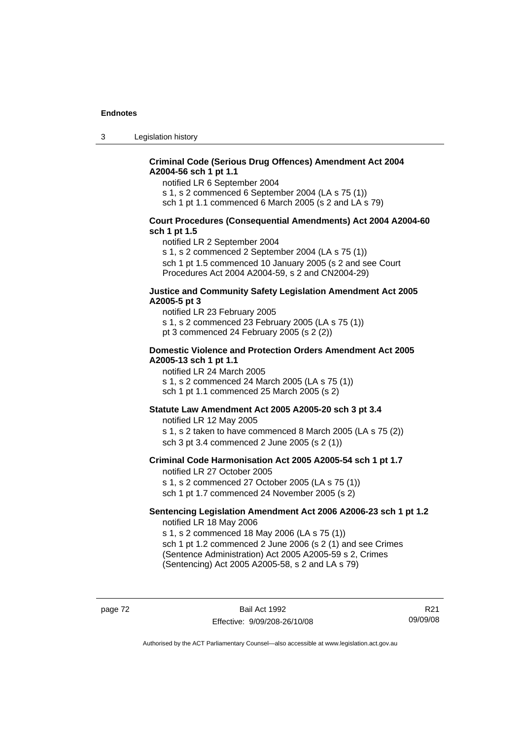3 Legislation history

## **Criminal Code (Serious Drug Offences) Amendment Act 2004 A2004-56 sch 1 pt 1.1**

notified LR 6 September 2004

s 1, s 2 commenced 6 September 2004 (LA s 75 (1))

sch 1 pt 1.1 commenced 6 March 2005 (s 2 and LA s 79)

#### **Court Procedures (Consequential Amendments) Act 2004 A2004-60 sch 1 pt 1.5**

notified LR 2 September 2004

s 1, s 2 commenced 2 September 2004 (LA s 75 (1)) sch 1 pt 1.5 commenced 10 January 2005 (s 2 and see Court Procedures Act 2004 A2004-59, s 2 and CN2004-29)

#### **Justice and Community Safety Legislation Amendment Act 2005 A2005-5 pt 3**

notified LR 23 February 2005 s 1, s 2 commenced 23 February 2005 (LA s 75 (1)) pt 3 commenced 24 February 2005 (s 2 (2))

#### **Domestic Violence and Protection Orders Amendment Act 2005 A2005-13 sch 1 pt 1.1**

notified LR 24 March 2005 s 1, s 2 commenced 24 March 2005 (LA s 75 (1)) sch 1 pt 1.1 commenced 25 March 2005 (s 2)

### **Statute Law Amendment Act 2005 A2005-20 sch 3 pt 3.4**

notified LR 12 May 2005 s 1, s 2 taken to have commenced 8 March 2005 (LA s 75 (2)) sch 3 pt 3.4 commenced 2 June 2005 (s 2 (1))

#### **Criminal Code Harmonisation Act 2005 A2005-54 sch 1 pt 1.7**  notified LR 27 October 2005

s 1, s 2 commenced 27 October 2005 (LA s 75 (1)) sch 1 pt 1.7 commenced 24 November 2005 (s 2)

#### **Sentencing Legislation Amendment Act 2006 A2006-23 sch 1 pt 1.2**  notified LR 18 May 2006

s 1, s 2 commenced 18 May 2006 (LA s 75 (1)) sch 1 pt 1.2 commenced 2 June 2006 (s 2 (1) and see Crimes (Sentence Administration) Act 2005 A2005-59 s 2, Crimes

(Sentencing) Act 2005 A2005-58, s 2 and LA s 79)

page 72 Bail Act 1992 Effective: 9/09/208-26/10/08

R21 09/09/08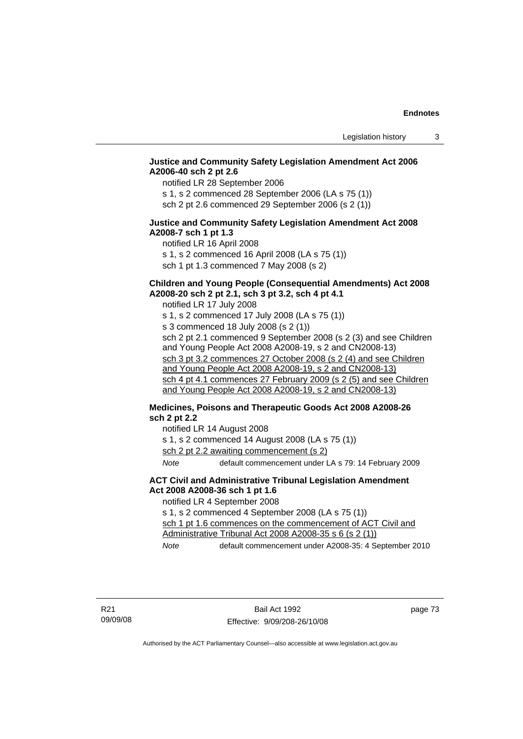## **Justice and Community Safety Legislation Amendment Act 2006 A2006-40 sch 2 pt 2.6**

notified LR 28 September 2006

s 1, s 2 commenced 28 September 2006 (LA s 75 (1)) sch 2 pt 2.6 commenced 29 September 2006 (s 2 (1))

### **Justice and Community Safety Legislation Amendment Act 2008 A2008-7 sch 1 pt 1.3**

notified LR 16 April 2008 s 1, s 2 commenced 16 April 2008 (LA s 75 (1)) sch 1 pt 1.3 commenced 7 May 2008 (s 2)

## **Children and Young People (Consequential Amendments) Act 2008 A2008-20 sch 2 pt 2.1, sch 3 pt 3.2, sch 4 pt 4.1**

notified LR 17 July 2008 s 1, s 2 commenced 17 July 2008 (LA s 75 (1)) s 3 commenced 18 July 2008 (s 2 (1)) sch 2 pt 2.1 commenced 9 September 2008 (s 2 (3) and see Children and Young People Act 2008 A2008-19, s 2 and CN2008-13) sch 3 pt 3.2 commences 27 October 2008 (s 2 (4) and see Children and Young People Act 2008 A2008-19, s 2 and CN2008-13) sch 4 pt 4.1 commences 27 February 2009 (s 2 (5) and see Children and Young People Act 2008 A2008-19, s 2 and CN2008-13)

## **Medicines, Poisons and Therapeutic Goods Act 2008 A2008-26 sch 2 pt 2.2**

notified LR 14 August 2008

s 1, s 2 commenced 14 August 2008 (LA s 75 (1))

sch 2 pt 2.2 awaiting commencement (s 2)

*Note* default commencement under LA s 79: 14 February 2009

#### **ACT Civil and Administrative Tribunal Legislation Amendment Act 2008 A2008-36 sch 1 pt 1.6**

notified LR 4 September 2008

s 1, s 2 commenced 4 September 2008 (LA s 75 (1))

sch 1 pt 1.6 commences on the commencement of ACT Civil and Administrative Tribunal Act 2008 A2008-35 s 6 (s 2 (1))

*Note* default commencement under A2008-35: 4 September 2010

page 73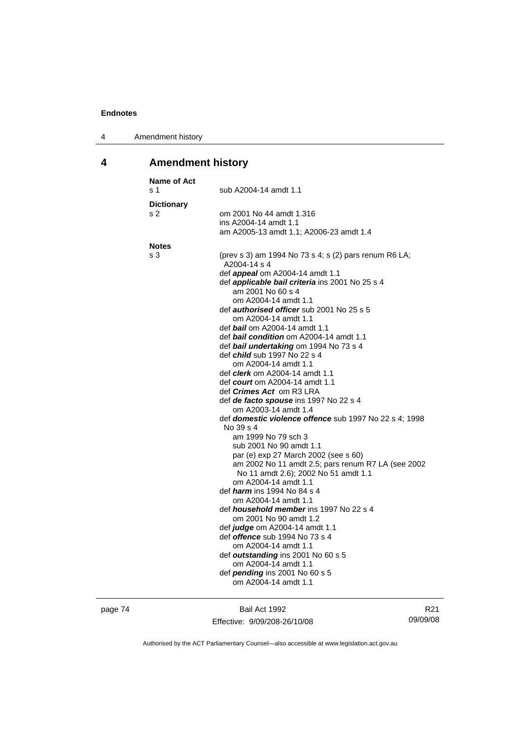| Amendment history<br>4 |  |
|------------------------|--|
|------------------------|--|

# **4 Amendment history**

| Name of Act<br>s 1       | sub A2004-14 amdt 1.1                                                                                                                                                                                                                                                                                                                                                                                                                                                                                                                                                                                                                                                                                                                                                                                                                                                                                                                                                                                                                                                                                                                                                                                                            |
|--------------------------|----------------------------------------------------------------------------------------------------------------------------------------------------------------------------------------------------------------------------------------------------------------------------------------------------------------------------------------------------------------------------------------------------------------------------------------------------------------------------------------------------------------------------------------------------------------------------------------------------------------------------------------------------------------------------------------------------------------------------------------------------------------------------------------------------------------------------------------------------------------------------------------------------------------------------------------------------------------------------------------------------------------------------------------------------------------------------------------------------------------------------------------------------------------------------------------------------------------------------------|
| <b>Dictionary</b><br>s 2 | om 2001 No 44 amdt 1.316<br>ins A2004-14 amdt 1.1<br>am A2005-13 amdt 1.1; A2006-23 amdt 1.4                                                                                                                                                                                                                                                                                                                                                                                                                                                                                                                                                                                                                                                                                                                                                                                                                                                                                                                                                                                                                                                                                                                                     |
| <b>Notes</b>             |                                                                                                                                                                                                                                                                                                                                                                                                                                                                                                                                                                                                                                                                                                                                                                                                                                                                                                                                                                                                                                                                                                                                                                                                                                  |
| s 3                      | (prev s 3) am 1994 No 73 s 4; s (2) pars renum R6 LA;<br>A2004-14 s 4<br>def <i>appeal</i> om A2004-14 amdt 1.1<br>def <i>applicable bail criteria</i> ins 2001 No 25 s 4<br>am 2001 No 60 s 4<br>om A2004-14 amdt 1.1<br>def <i>authorised officer</i> sub 2001 No 25 s 5<br>om A2004-14 amdt 1.1<br>def <b>bail</b> om A2004-14 amdt 1.1<br>def <b>bail condition</b> om A2004-14 amdt 1.1<br>def bail undertaking om 1994 No 73 s 4<br>def <i>child</i> sub 1997 No 22 s 4<br>om A2004-14 amdt 1.1<br>def <i>clerk</i> om A2004-14 amdt 1.1<br>def <i>court</i> om A2004-14 amdt 1.1<br>def <i>Crimes Act</i> om R3 LRA<br>def de facto spouse ins 1997 No 22 s 4<br>om A2003-14 amdt 1.4<br>def domestic violence offence sub 1997 No 22 s 4; 1998<br>No 39 s 4<br>am 1999 No 79 sch 3<br>sub 2001 No 90 amdt 1.1<br>par (e) exp 27 March 2002 (see s 60)<br>am 2002 No 11 amdt 2.5; pars renum R7 LA (see 2002<br>No 11 amdt 2.6); 2002 No 51 amdt 1.1<br>om A2004-14 amdt 1.1<br>def <i>harm</i> ins 1994 No 84 s 4<br>om A2004-14 amdt 1.1<br>def <i>household member</i> ins 1997 No 22 s 4<br>om 2001 No 90 amdt 1.2<br>def judge om A2004-14 amdt 1.1<br>def <i>offence</i> sub 1994 No 73 s 4<br>om A2004-14 amdt 1.1 |
|                          | def outstanding ins 2001 No 60 s 5                                                                                                                                                                                                                                                                                                                                                                                                                                                                                                                                                                                                                                                                                                                                                                                                                                                                                                                                                                                                                                                                                                                                                                                               |
|                          | om A2004-14 amdt 1.1<br>def <i>pending</i> ins 2001 No 60 s 5<br>om A2004-14 amdt 1.1                                                                                                                                                                                                                                                                                                                                                                                                                                                                                                                                                                                                                                                                                                                                                                                                                                                                                                                                                                                                                                                                                                                                            |
|                          |                                                                                                                                                                                                                                                                                                                                                                                                                                                                                                                                                                                                                                                                                                                                                                                                                                                                                                                                                                                                                                                                                                                                                                                                                                  |

page 74 Bail Act 1992 Effective: 9/09/208-26/10/08

R21 09/09/08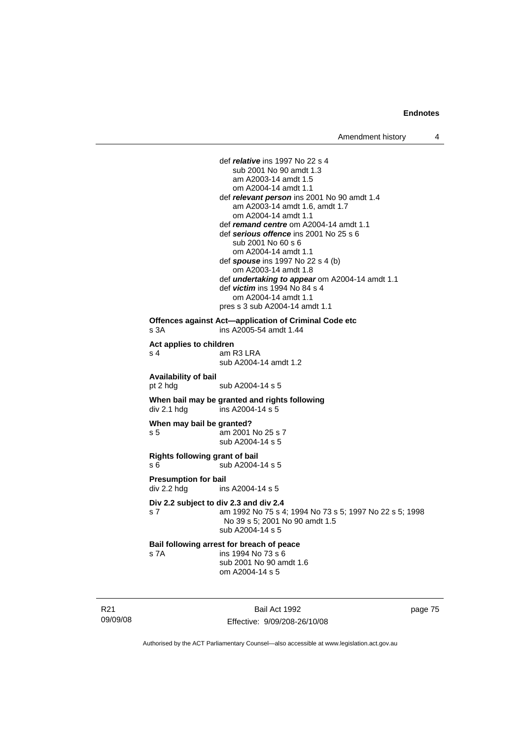def *relative* ins 1997 No 22 s 4 sub 2001 No 90 amdt 1.3 am A2003-14 amdt 1.5 om A2004-14 amdt 1.1 def *relevant person* ins 2001 No 90 amdt 1.4 am A2003-14 amdt 1.6, amdt 1.7 om A2004-14 amdt 1.1 def *remand centre* om A2004-14 amdt 1.1 def *serious offence* ins 2001 No 25 s 6 sub 2001 No 60 s 6 om A2004-14 amdt 1.1 def *spouse* ins 1997 No 22 s 4 (b) om A2003-14 amdt 1.8 def *undertaking to appear* om A2004-14 amdt 1.1 def *victim* ins 1994 No 84 s 4 om A2004-14 amdt 1.1 pres s 3 sub A2004-14 amdt 1.1 **Offences against Act—application of Criminal Code etc**  s 3A ins A2005-54 amdt 1.44 **Act applies to children**  am R3 LRA sub A2004-14 amdt 1.2 **Availability of bail**  pt 2 hdg sub A2004-14 s 5 **When bail may be granted and rights following div 2.1 hdg ins A2004-14 s 5**  $ins$  A2004-14 s 5 **When may bail be granted?**  s 5 am 2001 No 25 s 7 sub A2004-14 s 5 **Rights following grant of bail**  s 6 sub A2004-14 s 5 **Presumption for bail**  div 2.2 hdg ins A2004-14 s 5 **Div 2.2 subject to div 2.3 and div 2.4** s 7 am 1992 No 75 s 4; 1994 No 73 s 5; 1997 No 22 s 5; 1998 No 39 s 5; 2001 No 90 amdt 1.5 sub A2004-14 s 5 **Bail following arrest for breach of peace** s 7A ins 1994 No 73 s 6 sub 2001 No 90 amdt 1.6 om A2004-14 s 5

R21 09/09/08

Bail Act 1992 Effective: 9/09/208-26/10/08 page 75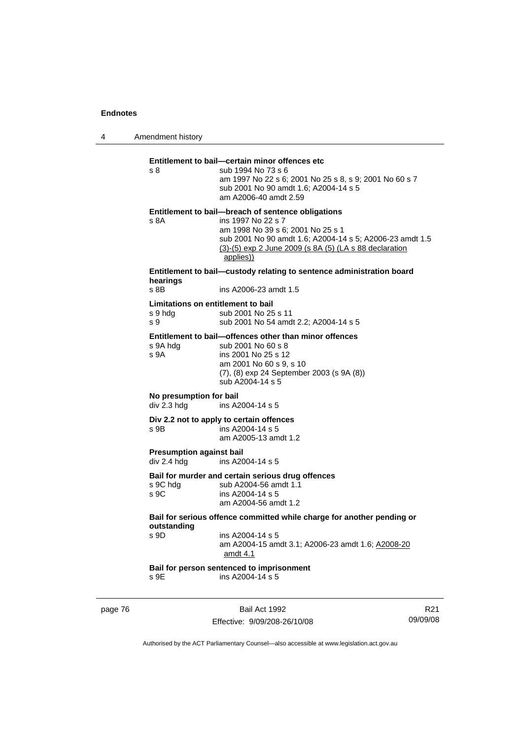4 Amendment history page 76 Bail Act 1992 Effective: 9/09/208-26/10/08 R21 09/09/08 **Entitlement to bail—certain minor offences etc** s 8 sub 1994 No 73 s 6 am 1997 No 22 s 6; 2001 No 25 s 8, s 9; 2001 No 60 s 7 sub 2001 No 90 amdt 1.6; A2004-14 s 5 am A2006-40 amdt 2.59 **Entitlement to bail—breach of sentence obligations** s 8A ins 1997 No 22 s 7 am 1998 No 39 s 6; 2001 No 25 s 1 sub 2001 No 90 amdt 1.6; A2004-14 s 5; A2006-23 amdt 1.5 (3)-(5) exp 2 June 2009 (s 8A (5) (LA s 88 declaration applies)) **Entitlement to bail—custody relating to sentence administration board hearings** s 8B ins A2006-23 amdt 1.5 **Limitations on entitlement to bail**  s 9 hdg sub 2001 No 25 s 11 s 9 sub 2001 No 54 amdt 2.2; A2004-14 s 5 **Entitlement to bail—offences other than minor offences**  s 9A hdg sub 2001 No 60 s 8 s 9A ins 2001 No 25 s 12 am 2001 No 60 s 9, s 10 (7), (8) exp 24 September 2003 (s 9A (8)) sub A2004-14 s 5 **No presumption for bail**  div 2.3 hdg ins A2004-14 s 5 **Div 2.2 not to apply to certain offences**   $\frac{1}{2}$  ins A2004-14 s 5 am A2005-13 amdt 1.2 **Presumption against bail**  div 2.4 hdg ins A2004-14 s 5 **Bail for murder and certain serious drug offences**  s 9C hdg sub A2004-56 amdt 1.1<br>s 9C ins A2004-14 s 5 ins A2004-14 s 5 am A2004-56 amdt 1.2 **Bail for serious offence committed while charge for another pending or outstanding**   $ins A2004-14 s 5$  am A2004-15 amdt 3.1; A2006-23 amdt 1.6; A2008-20 amdt 4.1 **Bail for person sentenced to imprisonment**  s 9E ins A2004-14 s 5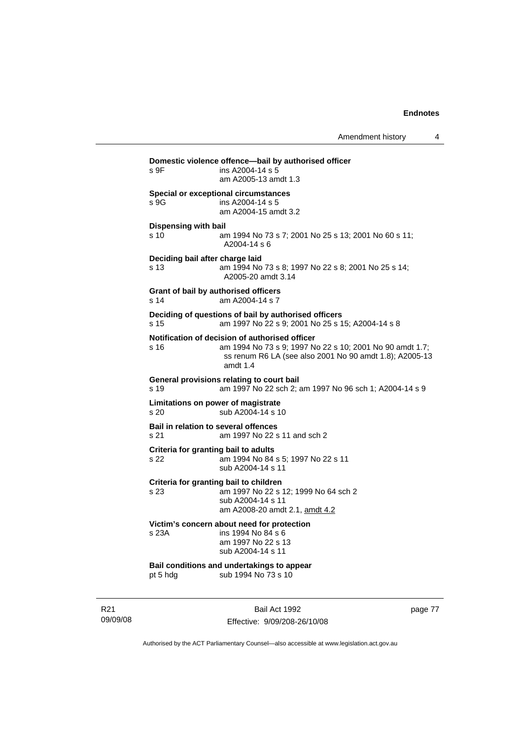| Domestic violence offence-bail by authorised officer<br>ins A2004-14 s 5<br>s 9F |                                                                                                                                                                                     |  |
|----------------------------------------------------------------------------------|-------------------------------------------------------------------------------------------------------------------------------------------------------------------------------------|--|
|                                                                                  | am A2005-13 amdt 1.3                                                                                                                                                                |  |
| s 9G                                                                             | Special or exceptional circumstances<br>ins A2004-14 s 5<br>am A2004-15 amdt 3.2                                                                                                    |  |
| Dispensing with bail                                                             |                                                                                                                                                                                     |  |
| s 10                                                                             | am 1994 No 73 s 7; 2001 No 25 s 13; 2001 No 60 s 11;<br>A2004-14 s 6                                                                                                                |  |
| Deciding bail after charge laid<br>s 13                                          | am 1994 No 73 s 8; 1997 No 22 s 8; 2001 No 25 s 14;<br>A2005-20 amdt 3.14                                                                                                           |  |
| s 14                                                                             | Grant of bail by authorised officers<br>am A2004-14 s 7                                                                                                                             |  |
| s 15                                                                             | Deciding of questions of bail by authorised officers<br>am 1997 No 22 s 9; 2001 No 25 s 15; A2004-14 s 8                                                                            |  |
| s 16                                                                             | Notification of decision of authorised officer<br>am 1994 No 73 s 9; 1997 No 22 s 10; 2001 No 90 amdt 1.7;<br>ss renum R6 LA (see also 2001 No 90 amdt 1.8); A2005-13<br>amdt $1.4$ |  |
| s 19                                                                             | General provisions relating to court bail<br>am 1997 No 22 sch 2; am 1997 No 96 sch 1; A2004-14 s 9                                                                                 |  |
| s 20                                                                             | Limitations on power of magistrate<br>sub A2004-14 s 10                                                                                                                             |  |
| s 21                                                                             | Bail in relation to several offences<br>am 1997 No 22 s 11 and sch 2                                                                                                                |  |
| Criteria for granting bail to adults<br>s 22                                     | am 1994 No 84 s 5; 1997 No 22 s 11<br>sub A2004-14 s 11                                                                                                                             |  |
| s 23                                                                             | Criteria for granting bail to children<br>am 1997 No 22 s 12; 1999 No 64 sch 2<br>sub A2004-14 s 11<br>am A2008-20 amdt 2.1, amdt 4.2                                               |  |
| s 23A                                                                            | Victim's concern about need for protection<br>ins 1994 No 84 s 6<br>am 1997 No 22 s 13<br>sub A2004-14 s 11                                                                         |  |
| pt 5 hdg                                                                         | Bail conditions and undertakings to appear<br>sub 1994 No 73 s 10                                                                                                                   |  |
|                                                                                  |                                                                                                                                                                                     |  |

R21 09/09/08

Bail Act 1992 Effective: 9/09/208-26/10/08 page 77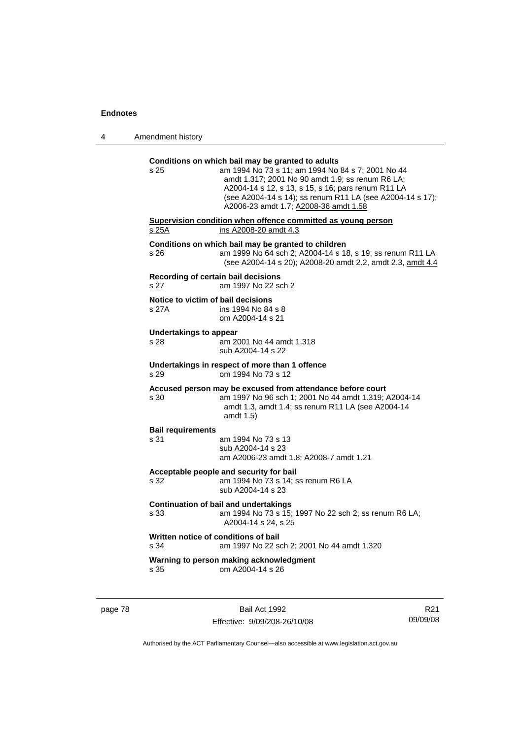| s 25                                        | Conditions on which bail may be granted to adults<br>am 1994 No 73 s 11; am 1994 No 84 s 7; 2001 No 44<br>amdt 1.317; 2001 No 90 amdt 1.9; ss renum R6 LA;<br>A2004-14 s 12, s 13, s 15, s 16; pars renum R11 LA<br>(see A2004-14 s 14); ss renum R11 LA (see A2004-14 s 17);<br>A2006-23 amdt 1.7; A2008-36 amdt 1.58 |
|---------------------------------------------|------------------------------------------------------------------------------------------------------------------------------------------------------------------------------------------------------------------------------------------------------------------------------------------------------------------------|
| s 25A                                       | Supervision condition when offence committed as young person<br>ins A2008-20 amdt 4.3                                                                                                                                                                                                                                  |
| s 26                                        | Conditions on which bail may be granted to children<br>am 1999 No 64 sch 2; A2004-14 s 18, s 19; ss renum R11 LA<br>(see A2004-14 s 20); A2008-20 amdt 2.2, amdt 2.3, amdt 4.4                                                                                                                                         |
| s 27                                        | Recording of certain bail decisions<br>am 1997 No 22 sch 2                                                                                                                                                                                                                                                             |
| Notice to victim of bail decisions<br>s 27A | ins 1994 No 84 s 8<br>om A2004-14 s 21                                                                                                                                                                                                                                                                                 |
| <b>Undertakings to appear</b><br>s 28       | am 2001 No 44 amdt 1.318<br>sub A2004-14 s 22                                                                                                                                                                                                                                                                          |
| s 29                                        | Undertakings in respect of more than 1 offence<br>om 1994 No 73 s 12                                                                                                                                                                                                                                                   |
| s 30                                        | Accused person may be excused from attendance before court<br>am 1997 No 96 sch 1; 2001 No 44 amdt 1.319; A2004-14<br>amdt 1.3, amdt 1.4; ss renum R11 LA (see A2004-14<br>amdt 1.5)                                                                                                                                   |
| <b>Bail requirements</b>                    |                                                                                                                                                                                                                                                                                                                        |
| s 31                                        | am 1994 No 73 s 13<br>sub A2004-14 s 23<br>am A2006-23 amdt 1.8; A2008-7 amdt 1.21                                                                                                                                                                                                                                     |
| s 32                                        | Acceptable people and security for bail<br>am 1994 No 73 s 14; ss renum R6 LA<br>sub A2004-14 s 23                                                                                                                                                                                                                     |
| s 33                                        | <b>Continuation of bail and undertakings</b><br>am 1994 No 73 s 15; 1997 No 22 sch 2; ss renum R6 LA;<br>A2004-14 s 24, s 25                                                                                                                                                                                           |
| s 34                                        | Written notice of conditions of bail<br>am 1997 No 22 sch 2; 2001 No 44 amdt 1.320                                                                                                                                                                                                                                     |
| s 35                                        | Warning to person making acknowledgment<br>om A2004-14 s 26                                                                                                                                                                                                                                                            |

page 78 Bail Act 1992 Effective: 9/09/208-26/10/08

R21 09/09/08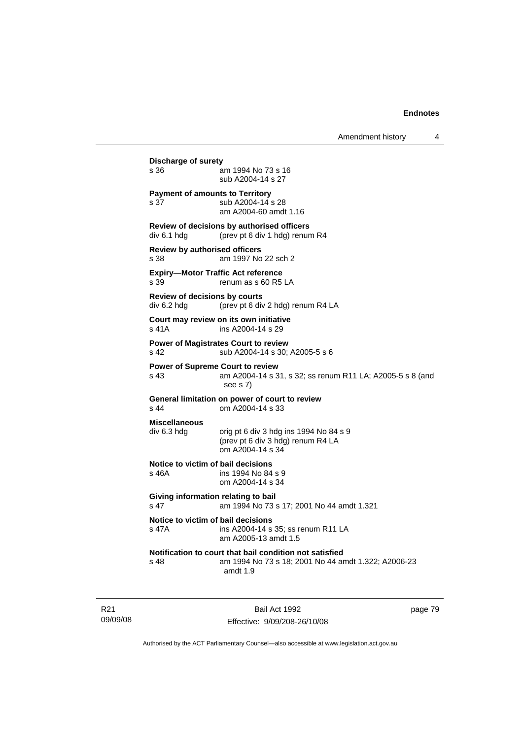| Discharge of surety<br>s 36                         | am 1994 No 73 s 16<br>sub A2004-14 s 27                                                                                      |
|-----------------------------------------------------|------------------------------------------------------------------------------------------------------------------------------|
| s 37                                                | <b>Payment of amounts to Territory</b><br>sub A2004-14 s 28<br>am A2004-60 amdt 1.16                                         |
| div 6.1 hdg                                         | Review of decisions by authorised officers<br>(prev pt 6 div 1 hdg) renum R4                                                 |
| Review by authorised officers<br>s 38               | am 1997 No 22 sch 2                                                                                                          |
| s 39                                                | <b>Expiry-Motor Traffic Act reference</b><br>renum as s 60 R5 LA                                                             |
| <b>Review of decisions by courts</b><br>div 6.2 hdg | (prev pt 6 div 2 hdg) renum R4 LA                                                                                            |
| $s$ 41 $A$                                          | Court may review on its own initiative<br>ins A2004-14 s 29                                                                  |
| s 42                                                | Power of Magistrates Court to review<br>sub A2004-14 s 30; A2005-5 s 6                                                       |
| s 43                                                | <b>Power of Supreme Court to review</b><br>am A2004-14 s 31, s 32; ss renum R11 LA; A2005-5 s 8 (and<br>see s 7)             |
| s <sub>44</sub>                                     | General limitation on power of court to review<br>om A2004-14 s 33                                                           |
| <b>Miscellaneous</b><br>div 6.3 hdg                 | orig pt 6 div 3 hdg ins 1994 No 84 s 9<br>(prev pt 6 div 3 hdg) renum R4 LA<br>om A2004-14 s 34                              |
| s 46A                                               | Notice to victim of bail decisions<br>ins 1994 No 84 s 9<br>om A2004-14 s 34                                                 |
| s 47                                                | Giving information relating to bail<br>am 1994 No 73 s 17; 2001 No 44 amdt 1.321                                             |
| s 47A                                               | Notice to victim of bail decisions<br>ins A2004-14 s 35; ss renum R11 LA<br>am A2005-13 amdt 1.5                             |
| $s$ 48                                              | Notification to court that bail condition not satisfied<br>am 1994 No 73 s 18; 2001 No 44 amdt 1.322; A2006-23<br>amdt $1.9$ |

R21 09/09/08

Bail Act 1992 Effective: 9/09/208-26/10/08 page 79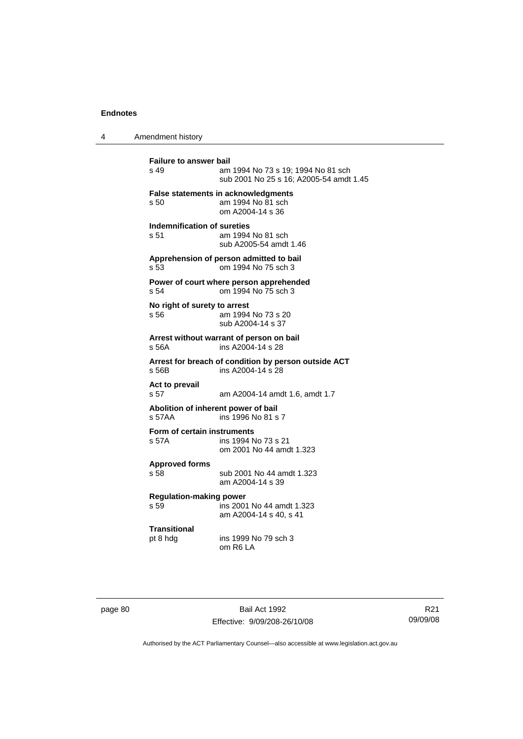4 Amendment history

**Failure to answer bail**<br>s 49 am am 1994 No 73 s 19: 1994 No 81 sch sub 2001 No 25 s 16; A2005-54 amdt 1.45 **False statements in acknowledgments** s 50 am 1994 No 81 sch om A2004-14 s 36 **Indemnification of sureties** s 51 am 1994 No 81 sch sub A2005-54 amdt 1.46 **Apprehension of person admitted to bail** s 53 om 1994 No 75 sch 3 **Power of court where person apprehended** s 54 om 1994 No 75 sch 3 **No right of surety to arrest** s 56 am 1994 No 73 s 20 sub A2004-14 s 37 **Arrest without warrant of person on bail** s 56A ins A2004-14 s 28 **Arrest for breach of condition by person outside ACT** ins A2004-14 s 28 **Act to prevail**  s 57 am A2004-14 amdt 1.6, amdt 1.7 **Abolition of inherent power of bail** s 57AA ins 1996 No 81 s 7 **Form of certain instruments** s 57A ins 1994 No 73 s 21 om 2001 No 44 amdt 1.323 **Approved forms**  s 58 sub 2001 No 44 amdt 1.323 am A2004-14 s 39 **Regulation-making power**   $\overline{5}$  ins 2001 No 44 amdt 1.323 am A2004-14 s 40, s 41 **Transitional** pt 8 hdg ins 1999 No 79 sch 3 om R6 LA

page 80 Bail Act 1992 Effective: 9/09/208-26/10/08

R21 09/09/08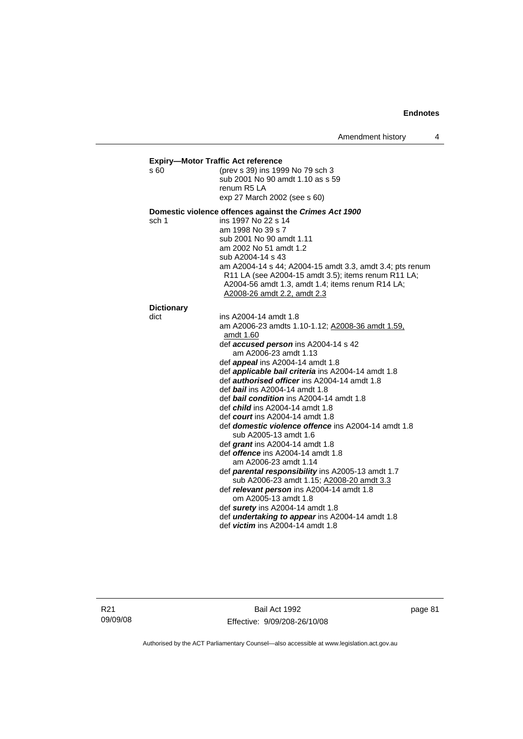**Expiry—Motor Traffic Act reference** s 60 (prev s 39) ins 1999 No 79 sch 3 sub 2001 No 90 amdt 1.10 as s 59 renum R5 LA exp 27 March 2002 (see s 60) **Domestic violence offences against the** *Crimes Act 1900* sch 1 ins 1997 No 22 s 14 am 1998 No 39 s 7 sub 2001 No 90 amdt 1.11 am 2002 No 51 amdt 1.2 sub A2004-14 s 43 am A2004-14 s 44; A2004-15 amdt 3.3, amdt 3.4; pts renum R11 LA (see A2004-15 amdt 3.5); items renum R11 LA; A2004-56 amdt 1.3, amdt 1.4; items renum R14 LA; A2008-26 amdt 2.2, amdt 2.3 **Dictionary**  dict ins A2004-14 amdt 1.8 am A2006-23 amdts 1.10-1.12; A2008-36 amdt 1.59, amdt 1.60 def *accused person* ins A2004-14 s 42 am A2006-23 amdt 1.13 def *appeal* ins A2004-14 amdt 1.8 def *applicable bail criteria* ins A2004-14 amdt 1.8 def *authorised officer* ins A2004-14 amdt 1.8 def *bail* ins A2004-14 amdt 1.8 def *bail condition* ins A2004-14 amdt 1.8 def *child* ins A2004-14 amdt 1.8 def *court* ins A2004-14 amdt 1.8 def *domestic violence offence* ins A2004-14 amdt 1.8 sub A2005-13 amdt 1.6 def *grant* ins A2004-14 amdt 1.8 def *offence* ins A2004-14 amdt 1.8 am A2006-23 amdt 1.14 def *parental responsibility* ins A2005-13 amdt 1.7 sub A2006-23 amdt 1.15; A2008-20 amdt 3.3 def *relevant person* ins A2004-14 amdt 1.8 om A2005-13 amdt 1.8 def *surety* ins A2004-14 amdt 1.8 def *undertaking to appear* ins A2004-14 amdt 1.8 def *victim* ins A2004-14 amdt 1.8

Bail Act 1992 Effective: 9/09/208-26/10/08 page 81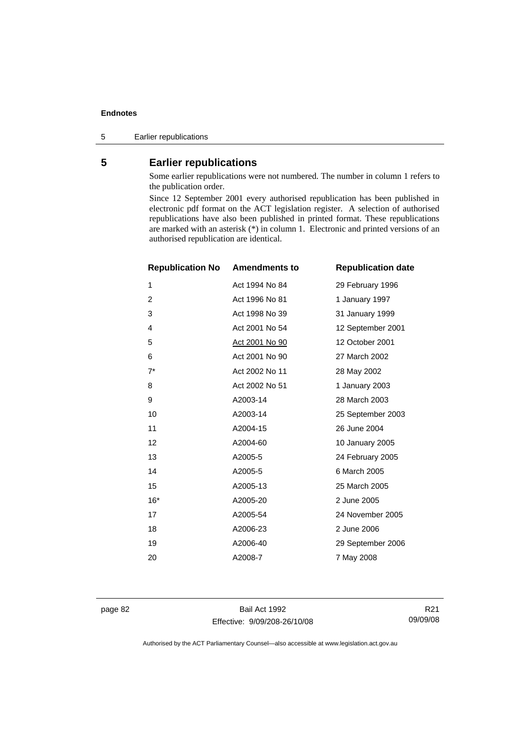5 Earlier republications

## **5 Earlier republications**

Some earlier republications were not numbered. The number in column 1 refers to the publication order.

Since 12 September 2001 every authorised republication has been published in electronic pdf format on the ACT legislation register. A selection of authorised republications have also been published in printed format. These republications are marked with an asterisk (\*) in column 1. Electronic and printed versions of an authorised republication are identical.

| <b>Republication No</b> | <b>Amendments to</b>  | <b>Republication date</b> |
|-------------------------|-----------------------|---------------------------|
| 1                       | Act 1994 No 84        | 29 February 1996          |
| 2                       | Act 1996 No 81        | 1 January 1997            |
| 3                       | Act 1998 No 39        | 31 January 1999           |
| 4                       | Act 2001 No 54        | 12 September 2001         |
| 5                       | <u>Act 2001 No 90</u> | 12 October 2001           |
| 6                       | Act 2001 No 90        | 27 March 2002             |
| $7^*$                   | Act 2002 No 11        | 28 May 2002               |
| 8                       | Act 2002 No 51        | 1 January 2003            |
| 9                       | A2003-14              | 28 March 2003             |
| 10                      | A2003-14              | 25 September 2003         |
| 11                      | A2004-15              | 26 June 2004              |
| 12                      | A2004-60              | 10 January 2005           |
| 13                      | A2005-5               | 24 February 2005          |
| 14                      | A2005-5               | 6 March 2005              |
| 15                      | A2005-13              | 25 March 2005             |
| $16*$                   | A2005-20              | 2 June 2005               |
| 17                      | A2005-54              | 24 November 2005          |
| 18                      | A2006-23              | 2 June 2006               |
| 19                      | A2006-40              | 29 September 2006         |
| 20                      | A2008-7               | 7 May 2008                |

page 82 Bail Act 1992 Effective: 9/09/208-26/10/08

R21 09/09/08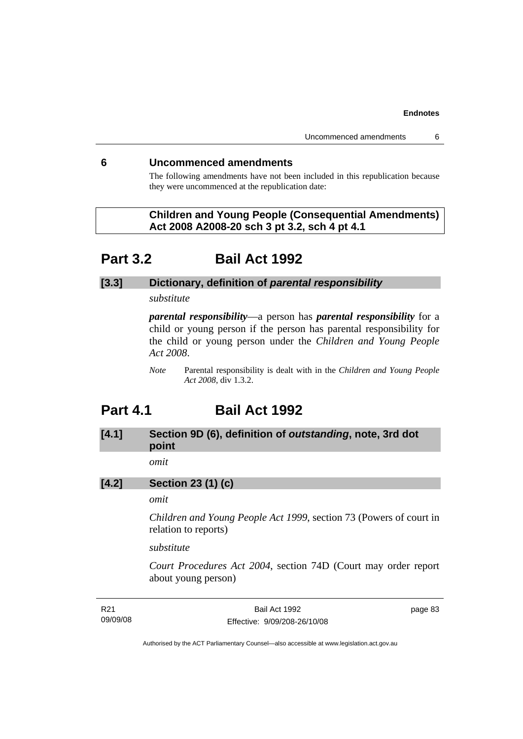### **6 Uncommenced amendments**

The following amendments have not been included in this republication because they were uncommenced at the republication date:

 **Children and Young People (Consequential Amendments) Act 2008 A2008-20 sch 3 pt 3.2, sch 4 pt 4.1** 

# **Part 3.2 Bail Act 1992**

## **[3.3] Dictionary, definition of** *parental responsibility*

*substitute* 

*parental responsibility*—a person has *parental responsibility* for a child or young person if the person has parental responsibility for the child or young person under the *Children and Young People Act 2008*.

*Note* Parental responsibility is dealt with in the *Children and Young People Act 2008*, div 1.3.2.

# **Part 4.1 Bail Act 1992**

# **[4.1] Section 9D (6), definition of** *outstanding***, note, 3rd dot point**

*omit* 

## **[4.2] Section 23 (1) (c)**

# *omit*

*Children and Young People Act 1999*, section 73 (Powers of court in relation to reports)

*substitute* 

*Court Procedures Act 2004*, section 74D (Court may order report about young person)

| R21      | Bail Act 1992                | page 83 |
|----------|------------------------------|---------|
| 09/09/08 | Effective: 9/09/208-26/10/08 |         |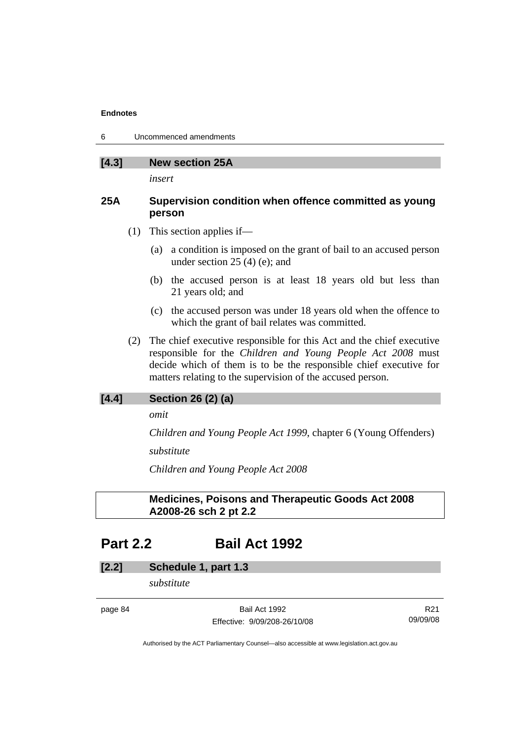6 Uncommenced amendments

| [4.3]<br><b>New section 25A</b> |
|---------------------------------|
|---------------------------------|

*insert* 

## **25A Supervision condition when offence committed as young person**

- (1) This section applies if—
	- (a) a condition is imposed on the grant of bail to an accused person under section 25 (4) (e); and
	- (b) the accused person is at least 18 years old but less than 21 years old; and
	- (c) the accused person was under 18 years old when the offence to which the grant of bail relates was committed.
- (2) The chief executive responsible for this Act and the chief executive responsible for the *Children and Young People Act 2008* must decide which of them is to be the responsible chief executive for matters relating to the supervision of the accused person.

# **[4.4] Section 26 (2) (a)**

*omit* 

*Children and Young People Act 1999*, chapter 6 (Young Offenders)

*substitute* 

*Children and Young People Act 2008*

# **Medicines, Poisons and Therapeutic Goods Act 2008 A2008-26 sch 2 pt 2.2**

# **Part 2.2 Bail Act 1992**

## **[2.2] Schedule 1, part 1.3**

*substitute* 

page 84 Bail Act 1992 Effective: 9/09/208-26/10/08

R21 09/09/08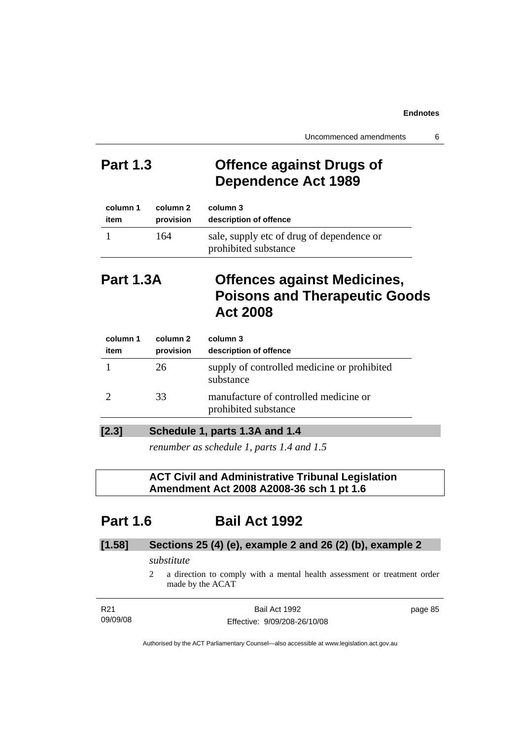# **Part 1.3 Offence against Drugs of Dependence Act 1989**

| column 1 | column 2  | column 3                                                          |
|----------|-----------|-------------------------------------------------------------------|
| item     | provision | description of offence                                            |
|          | 164       | sale, supply etc of drug of dependence or<br>prohibited substance |

# **Part 1.3A Offences against Medicines, Poisons and Therapeutic Goods Act 2008**

| column 1<br>item | column 2<br>provision | column 3<br>description of offence                            |
|------------------|-----------------------|---------------------------------------------------------------|
|                  | 26                    | supply of controlled medicine or prohibited<br>substance      |
|                  | 33                    | manufacture of controlled medicine or<br>prohibited substance |
|                  |                       |                                                               |

## **[2.3] Schedule 1, parts 1.3A and 1.4**

*renumber as schedule 1, parts 1.4 and 1.5* 

# **ACT Civil and Administrative Tribunal Legislation Amendment Act 2008 A2008-36 sch 1 pt 1.6**

# **Part 1.6 Bail Act 1992**

# **[1.58] Sections 25 (4) (e), example 2 and 26 (2) (b), example 2**

## *substitute*

2 a direction to comply with a mental health assessment or treatment order made by the ACAT

| R21      | Bail Act 1992                | page 85 |
|----------|------------------------------|---------|
| 09/09/08 | Effective: 9/09/208-26/10/08 |         |